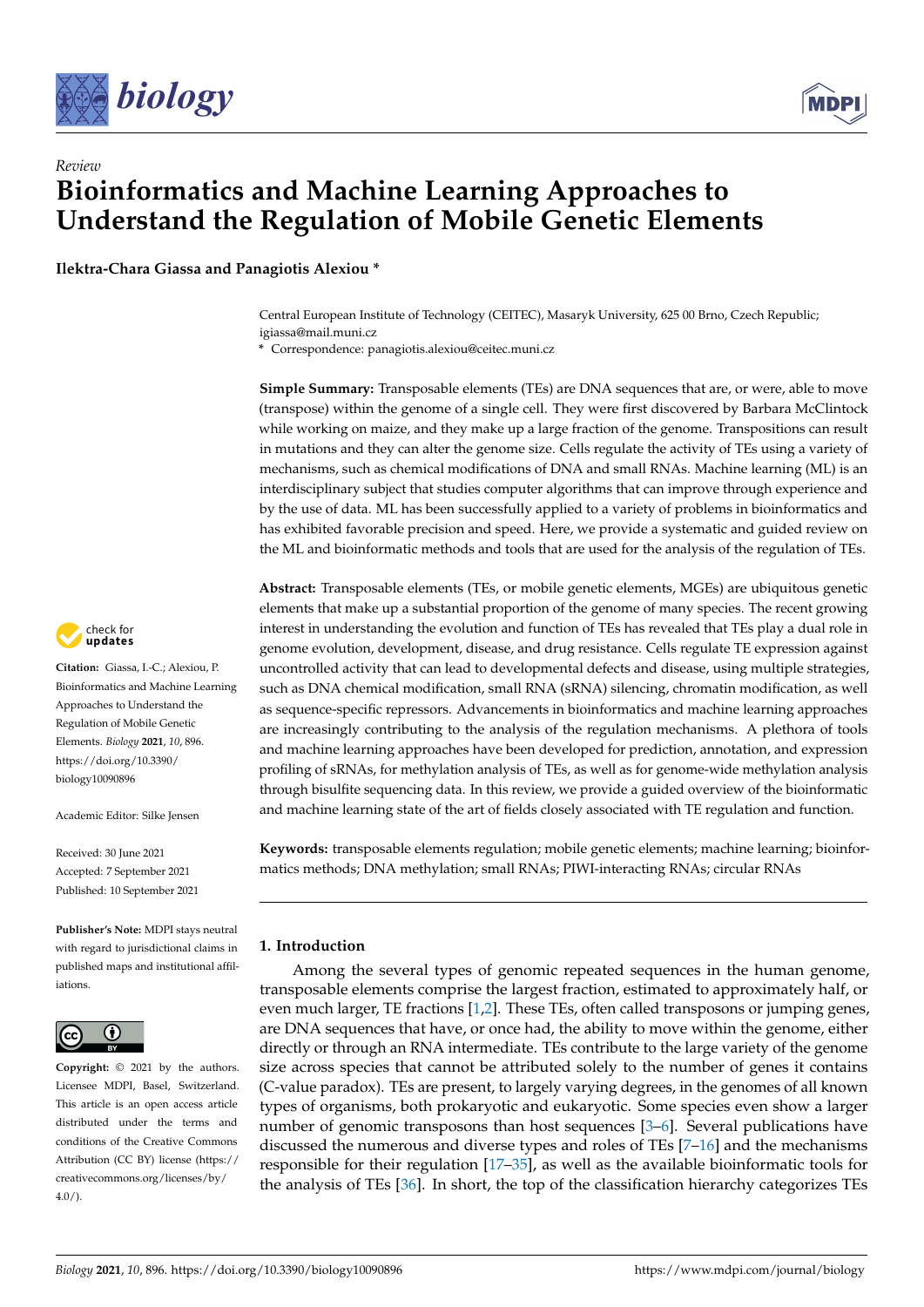



# *Review* **Bioinformatics and Machine Learning Approaches to Understand the Regulation of Mobile Genetic Elements**

**Ilektra-Chara Giassa and Panagiotis Alexiou \***

Central European Institute of Technology (CEITEC), Masaryk University, 625 00 Brno, Czech Republic; igiassa@mail.muni.cz

**\*** Correspondence: panagiotis.alexiou@ceitec.muni.cz

**Simple Summary:** Transposable elements (TEs) are DNA sequences that are, or were, able to move (transpose) within the genome of a single cell. They were first discovered by Barbara McClintock while working on maize, and they make up a large fraction of the genome. Transpositions can result in mutations and they can alter the genome size. Cells regulate the activity of TEs using a variety of mechanisms, such as chemical modifications of DNA and small RNAs. Machine learning (ML) is an interdisciplinary subject that studies computer algorithms that can improve through experience and by the use of data. ML has been successfully applied to a variety of problems in bioinformatics and has exhibited favorable precision and speed. Here, we provide a systematic and guided review on the ML and bioinformatic methods and tools that are used for the analysis of the regulation of TEs.

**Abstract:** Transposable elements (TEs, or mobile genetic elements, MGEs) are ubiquitous genetic elements that make up a substantial proportion of the genome of many species. The recent growing interest in understanding the evolution and function of TEs has revealed that TEs play a dual role in genome evolution, development, disease, and drug resistance. Cells regulate TE expression against uncontrolled activity that can lead to developmental defects and disease, using multiple strategies, such as DNA chemical modification, small RNA (sRNA) silencing, chromatin modification, as well as sequence-specific repressors. Advancements in bioinformatics and machine learning approaches are increasingly contributing to the analysis of the regulation mechanisms. A plethora of tools and machine learning approaches have been developed for prediction, annotation, and expression profiling of sRNAs, for methylation analysis of TEs, as well as for genome-wide methylation analysis through bisulfite sequencing data. In this review, we provide a guided overview of the bioinformatic and machine learning state of the art of fields closely associated with TE regulation and function.

**Keywords:** transposable elements regulation; mobile genetic elements; machine learning; bioinformatics methods; DNA methylation; small RNAs; PIWI-interacting RNAs; circular RNAs

# **1. Introduction**

Among the several types of genomic repeated sequences in the human genome, transposable elements comprise the largest fraction, estimated to approximately half, or even much larger, TE fractions [\[1](#page-15-0)[,2\]](#page-15-1). These TEs, often called transposons or jumping genes, are DNA sequences that have, or once had, the ability to move within the genome, either directly or through an RNA intermediate. TEs contribute to the large variety of the genome size across species that cannot be attributed solely to the number of genes it contains (C-value paradox). TEs are present, to largely varying degrees, in the genomes of all known types of organisms, both prokaryotic and eukaryotic. Some species even show a larger number of genomic transposons than host sequences [\[3](#page-15-2)[–6\]](#page-15-3). Several publications have discussed the numerous and diverse types and roles of TEs [\[7](#page-15-4)[–16\]](#page-15-5) and the mechanisms responsible for their regulation [\[17–](#page-15-6)[35\]](#page-16-0), as well as the available bioinformatic tools for the analysis of TEs [\[36\]](#page-16-1). In short, the top of the classification hierarchy categorizes TEs



**Citation:** Giassa, I.-C.; Alexiou, P. Bioinformatics and Machine Learning Approaches to Understand the Regulation of Mobile Genetic Elements. *Biology* **2021**, *10*, 896. [https://doi.org/10.3390/](https://doi.org/10.3390/biology10090896) [biology10090896](https://doi.org/10.3390/biology10090896)

Academic Editor: Silke Jensen

Received: 30 June 2021 Accepted: 7 September 2021 Published: 10 September 2021

**Publisher's Note:** MDPI stays neutral with regard to jurisdictional claims in published maps and institutional affiliations.



**Copyright:** © 2021 by the authors. Licensee MDPI, Basel, Switzerland. This article is an open access article distributed under the terms and conditions of the Creative Commons Attribution (CC BY) license (https:/[/](https://creativecommons.org/licenses/by/4.0/) [creativecommons.org/licenses/by/](https://creativecommons.org/licenses/by/4.0/)  $4.0/$ ).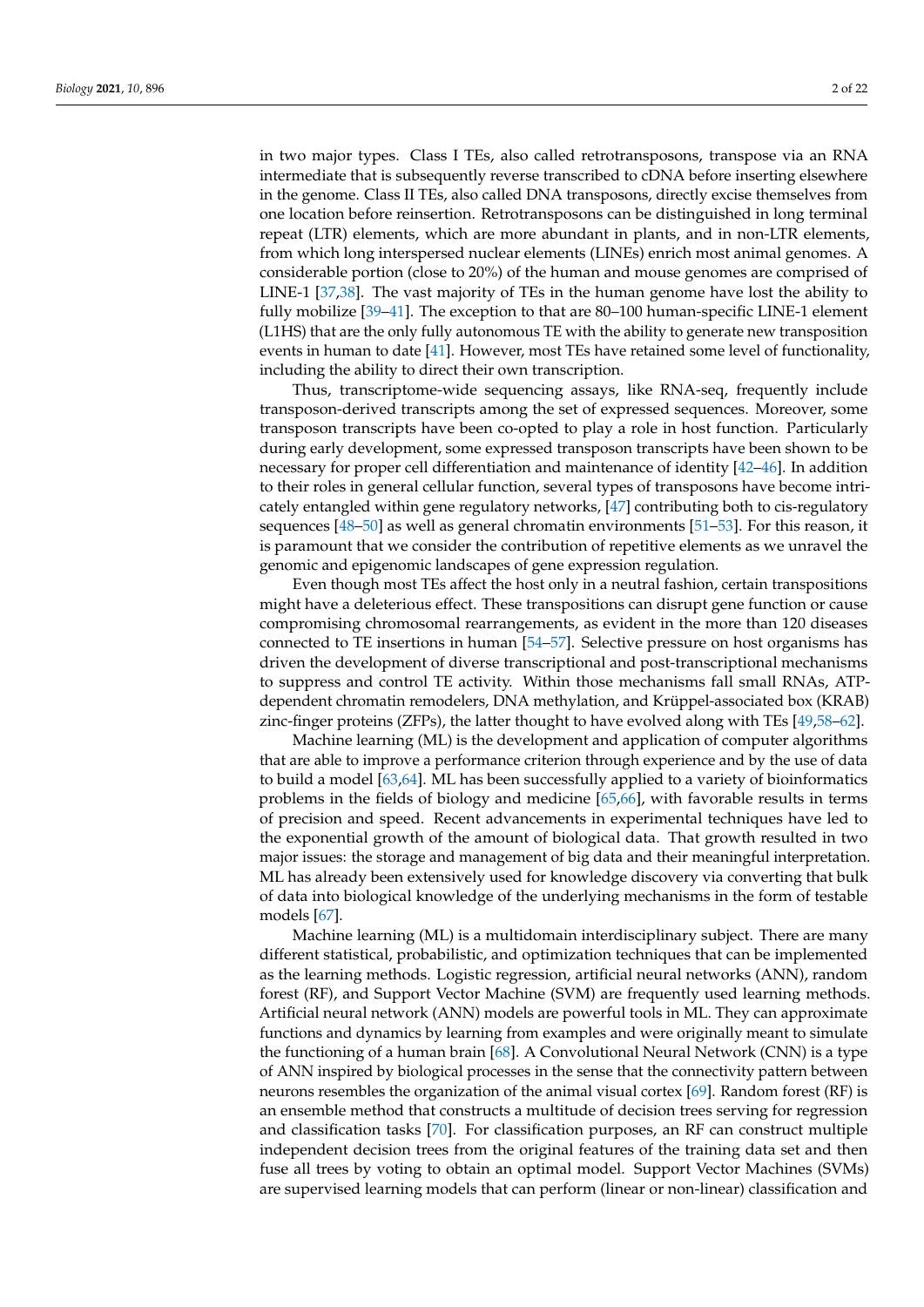in two major types. Class I TEs, also called retrotransposons, transpose via an RNA intermediate that is subsequently reverse transcribed to cDNA before inserting elsewhere in the genome. Class II TEs, also called DNA transposons, directly excise themselves from one location before reinsertion. Retrotransposons can be distinguished in long terminal repeat (LTR) elements, which are more abundant in plants, and in non-LTR elements, from which long interspersed nuclear elements (LINEs) enrich most animal genomes. A considerable portion (close to 20%) of the human and mouse genomes are comprised of LINE-1 [\[37](#page-16-2)[,38\]](#page-16-3). The vast majority of TEs in the human genome have lost the ability to fully mobilize [\[39–](#page-16-4)[41\]](#page-16-5). The exception to that are 80–100 human-specific LINE-1 element (L1HS) that are the only fully autonomous TE with the ability to generate new transposition events in human to date [\[41\]](#page-16-5). However, most TEs have retained some level of functionality, including the ability to direct their own transcription.

Thus, transcriptome-wide sequencing assays, like RNA-seq, frequently include transposon-derived transcripts among the set of expressed sequences. Moreover, some transposon transcripts have been co-opted to play a role in host function. Particularly during early development, some expressed transposon transcripts have been shown to be necessary for proper cell differentiation and maintenance of identity [\[42–](#page-16-6)[46\]](#page-16-7). In addition to their roles in general cellular function, several types of transposons have become intricately entangled within gene regulatory networks, [\[47\]](#page-16-8) contributing both to cis-regulatory sequences [\[48–](#page-17-0)[50\]](#page-17-1) as well as general chromatin environments [\[51–](#page-17-2)[53\]](#page-17-3). For this reason, it is paramount that we consider the contribution of repetitive elements as we unravel the genomic and epigenomic landscapes of gene expression regulation.

Even though most TEs affect the host only in a neutral fashion, certain transpositions might have a deleterious effect. These transpositions can disrupt gene function or cause compromising chromosomal rearrangements, as evident in the more than 120 diseases connected to TE insertions in human [\[54–](#page-17-4)[57\]](#page-17-5). Selective pressure on host organisms has driven the development of diverse transcriptional and post-transcriptional mechanisms to suppress and control TE activity. Within those mechanisms fall small RNAs, ATPdependent chromatin remodelers, DNA methylation, and Krüppel-associated box (KRAB) zinc-finger proteins (ZFPs), the latter thought to have evolved along with TEs [\[49](#page-17-6)[,58](#page-17-7)[–62\]](#page-17-8).

Machine learning (ML) is the development and application of computer algorithms that are able to improve a performance criterion through experience and by the use of data to build a model [\[63,](#page-17-9)[64\]](#page-17-10). ML has been successfully applied to a variety of bioinformatics problems in the fields of biology and medicine [\[65](#page-17-11)[,66\]](#page-17-12), with favorable results in terms of precision and speed. Recent advancements in experimental techniques have led to the exponential growth of the amount of biological data. That growth resulted in two major issues: the storage and management of big data and their meaningful interpretation. ML has already been extensively used for knowledge discovery via converting that bulk of data into biological knowledge of the underlying mechanisms in the form of testable models [\[67\]](#page-17-13).

Machine learning (ML) is a multidomain interdisciplinary subject. There are many different statistical, probabilistic, and optimization techniques that can be implemented as the learning methods. Logistic regression, artificial neural networks (ANN), random forest (RF), and Support Vector Machine (SVM) are frequently used learning methods. Artificial neural network (ANN) models are powerful tools in ML. They can approximate functions and dynamics by learning from examples and were originally meant to simulate the functioning of a human brain [\[68\]](#page-17-14). A Convolutional Neural Network (CNN) is a type of ANN inspired by biological processes in the sense that the connectivity pattern between neurons resembles the organization of the animal visual cortex [\[69\]](#page-17-15). Random forest (RF) is an ensemble method that constructs a multitude of decision trees serving for regression and classification tasks [\[70\]](#page-17-16). For classification purposes, an RF can construct multiple independent decision trees from the original features of the training data set and then fuse all trees by voting to obtain an optimal model. Support Vector Machines (SVMs) are supervised learning models that can perform (linear or non-linear) classification and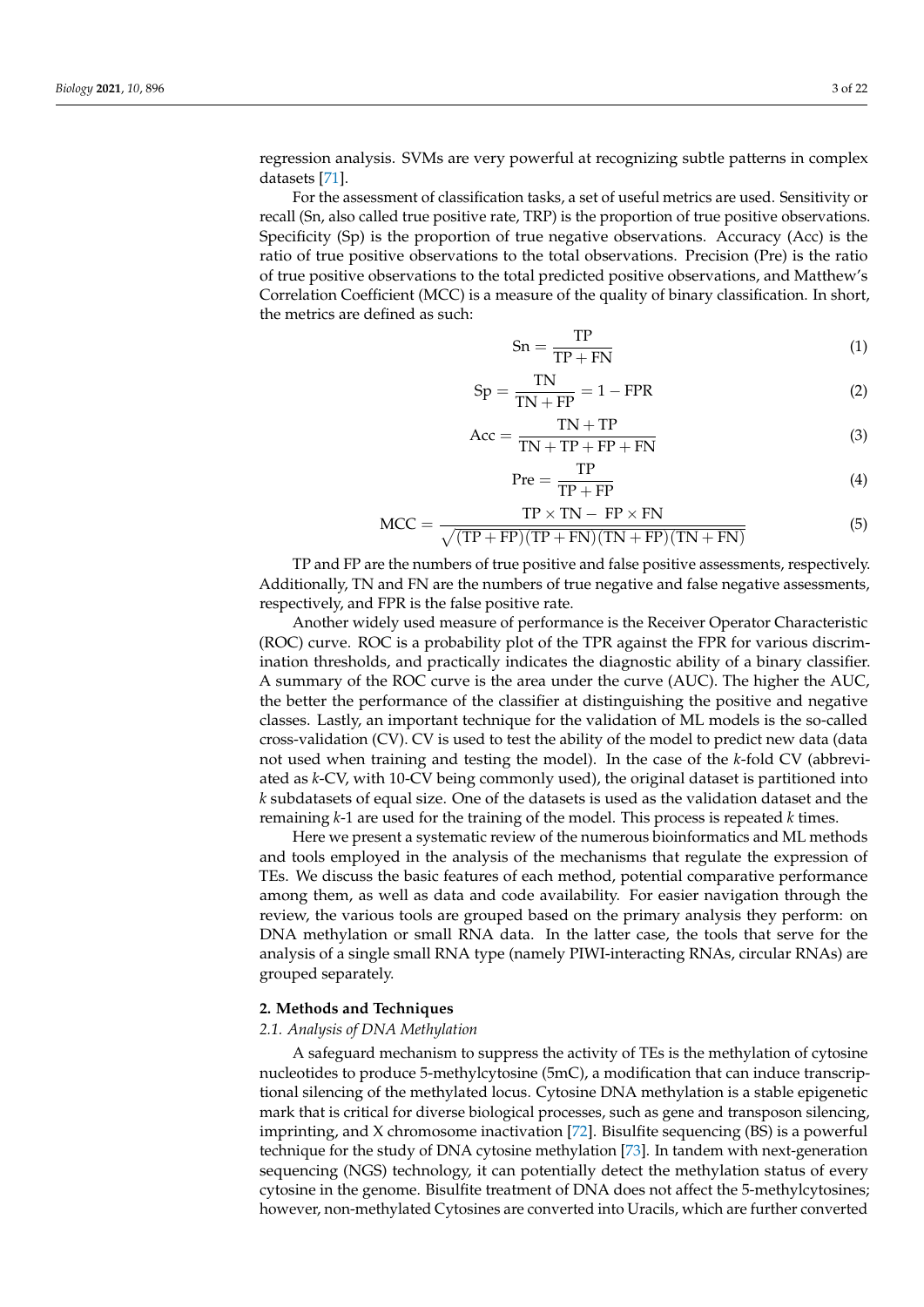regression analysis. SVMs are very powerful at recognizing subtle patterns in complex datasets [\[71\]](#page-17-17).

For the assessment of classification tasks, a set of useful metrics are used. Sensitivity or recall (Sn, also called true positive rate, TRP) is the proportion of true positive observations. Specificity (Sp) is the proportion of true negative observations. Accuracy (Acc) is the ratio of true positive observations to the total observations. Precision (Pre) is the ratio of true positive observations to the total predicted positive observations, and Matthew's Correlation Coefficient (MCC) is a measure of the quality of binary classification. In short, the metrics are defined as such:

$$
Sn = \frac{TP}{TP + FN}
$$
 (1)

$$
Sp = \frac{TN}{TN + FP} = 1 - FPR
$$
 (2)

$$
Acc = \frac{TN + TP}{TN + TP + FP + FN}
$$
\n(3)

$$
\text{Pre} = \frac{\text{TP}}{\text{TP} + \text{FP}} \tag{4}
$$

$$
MCC = \frac{TP \times TN - FP \times FN}{\sqrt{(TP + FP)(TP + FN)(TN + FP)(TN + FN)}}
$$
(5)

TP and FP are the numbers of true positive and false positive assessments, respectively. Additionally, TN and FN are the numbers of true negative and false negative assessments, respectively, and FPR is the false positive rate.

Another widely used measure of performance is the Receiver Operator Characteristic (ROC) curve. ROC is a probability plot of the TPR against the FPR for various discrimination thresholds, and practically indicates the diagnostic ability of a binary classifier. A summary of the ROC curve is the area under the curve (AUC). The higher the AUC, the better the performance of the classifier at distinguishing the positive and negative classes. Lastly, an important technique for the validation of ML models is the so-called cross-validation (CV). CV is used to test the ability of the model to predict new data (data not used when training and testing the model). In the case of the *k*-fold CV (abbreviated as *k*-CV, with 10-CV being commonly used), the original dataset is partitioned into *k* subdatasets of equal size. One of the datasets is used as the validation dataset and the remaining *k*-1 are used for the training of the model. This process is repeated *k* times.

Here we present a systematic review of the numerous bioinformatics and ML methods and tools employed in the analysis of the mechanisms that regulate the expression of TEs. We discuss the basic features of each method, potential comparative performance among them, as well as data and code availability. For easier navigation through the review, the various tools are grouped based on the primary analysis they perform: on DNA methylation or small RNA data. In the latter case, the tools that serve for the analysis of a single small RNA type (namely PIWI-interacting RNAs, circular RNAs) are grouped separately.

## **2. Methods and Techniques**

#### *2.1. Analysis of DNA Methylation*

A safeguard mechanism to suppress the activity of TEs is the methylation of cytosine nucleotides to produce 5-methylcytosine (5mC), a modification that can induce transcriptional silencing of the methylated locus. Cytosine DNA methylation is a stable epigenetic mark that is critical for diverse biological processes, such as gene and transposon silencing, imprinting, and X chromosome inactivation [\[72\]](#page-17-18). Bisulfite sequencing (BS) is a powerful technique for the study of DNA cytosine methylation [\[73\]](#page-17-19). In tandem with next-generation sequencing (NGS) technology, it can potentially detect the methylation status of every cytosine in the genome. Bisulfite treatment of DNA does not affect the 5-methylcytosines; however, non-methylated Cytosines are converted into Uracils, which are further converted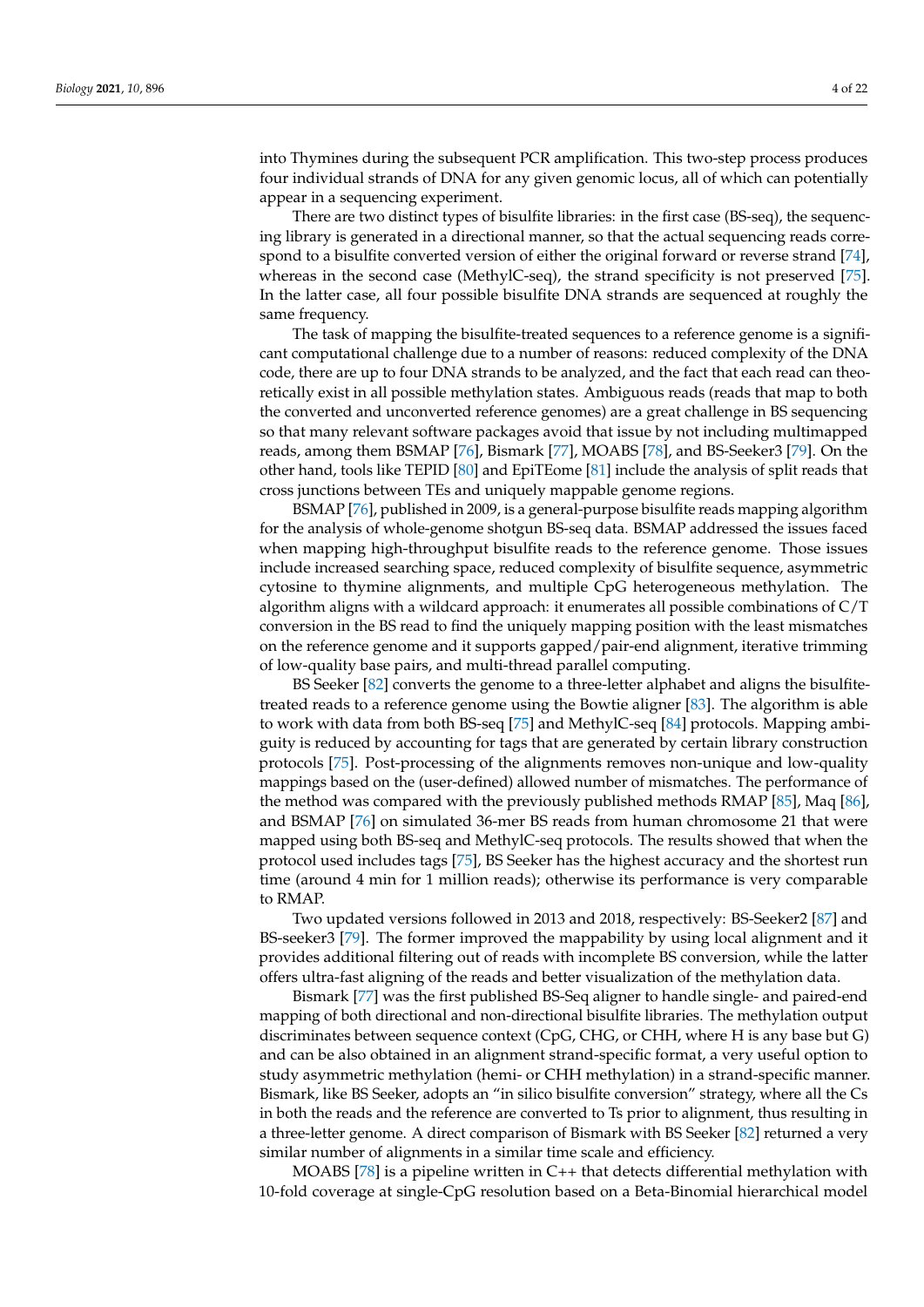into Thymines during the subsequent PCR amplification. This two-step process produces four individual strands of DNA for any given genomic locus, all of which can potentially appear in a sequencing experiment.

There are two distinct types of bisulfite libraries: in the first case (BS-seq), the sequencing library is generated in a directional manner, so that the actual sequencing reads correspond to a bisulfite converted version of either the original forward or reverse strand [\[74\]](#page-17-20), whereas in the second case (MethylC-seq), the strand specificity is not preserved [\[75\]](#page-17-21). In the latter case, all four possible bisulfite DNA strands are sequenced at roughly the same frequency.

The task of mapping the bisulfite-treated sequences to a reference genome is a significant computational challenge due to a number of reasons: reduced complexity of the DNA code, there are up to four DNA strands to be analyzed, and the fact that each read can theoretically exist in all possible methylation states. Ambiguous reads (reads that map to both the converted and unconverted reference genomes) are a great challenge in BS sequencing so that many relevant software packages avoid that issue by not including multimapped reads, among them BSMAP [\[76\]](#page-17-22), Bismark [\[77\]](#page-18-0), MOABS [\[78\]](#page-18-1), and BS-Seeker3 [\[79\]](#page-18-2). On the other hand, tools like TEPID [\[80\]](#page-18-3) and EpiTEome [\[81\]](#page-18-4) include the analysis of split reads that cross junctions between TEs and uniquely mappable genome regions.

BSMAP [\[76\]](#page-17-22), published in 2009, is a general-purpose bisulfite reads mapping algorithm for the analysis of whole-genome shotgun BS-seq data. BSMAP addressed the issues faced when mapping high-throughput bisulfite reads to the reference genome. Those issues include increased searching space, reduced complexity of bisulfite sequence, asymmetric cytosine to thymine alignments, and multiple CpG heterogeneous methylation. The algorithm aligns with a wildcard approach: it enumerates all possible combinations of  $C/T$ conversion in the BS read to find the uniquely mapping position with the least mismatches on the reference genome and it supports gapped/pair-end alignment, iterative trimming of low-quality base pairs, and multi-thread parallel computing.

BS Seeker [\[82\]](#page-18-5) converts the genome to a three-letter alphabet and aligns the bisulfitetreated reads to a reference genome using the Bowtie aligner [\[83\]](#page-18-6). The algorithm is able to work with data from both BS-seq [\[75\]](#page-17-21) and MethylC-seq [\[84\]](#page-18-7) protocols. Mapping ambiguity is reduced by accounting for tags that are generated by certain library construction protocols [\[75\]](#page-17-21). Post-processing of the alignments removes non-unique and low-quality mappings based on the (user-defined) allowed number of mismatches. The performance of the method was compared with the previously published methods RMAP [\[85\]](#page-18-8), Maq [\[86\]](#page-18-9), and BSMAP [\[76\]](#page-17-22) on simulated 36-mer BS reads from human chromosome 21 that were mapped using both BS-seq and MethylC-seq protocols. The results showed that when the protocol used includes tags [\[75\]](#page-17-21), BS Seeker has the highest accuracy and the shortest run time (around 4 min for 1 million reads); otherwise its performance is very comparable to RMAP.

Two updated versions followed in 2013 and 2018, respectively: BS-Seeker2 [\[87\]](#page-18-10) and BS-seeker3 [\[79\]](#page-18-2). The former improved the mappability by using local alignment and it provides additional filtering out of reads with incomplete BS conversion, while the latter offers ultra-fast aligning of the reads and better visualization of the methylation data.

Bismark [\[77\]](#page-18-0) was the first published BS-Seq aligner to handle single- and paired-end mapping of both directional and non-directional bisulfite libraries. The methylation output discriminates between sequence context (CpG, CHG, or CHH, where H is any base but G) and can be also obtained in an alignment strand-specific format, a very useful option to study asymmetric methylation (hemi- or CHH methylation) in a strand-specific manner. Bismark, like BS Seeker, adopts an "in silico bisulfite conversion" strategy, where all the Cs in both the reads and the reference are converted to Ts prior to alignment, thus resulting in a three-letter genome. A direct comparison of Bismark with BS Seeker [\[82\]](#page-18-5) returned a very similar number of alignments in a similar time scale and efficiency.

MOABS [\[78\]](#page-18-1) is a pipeline written in  $C++$  that detects differential methylation with 10-fold coverage at single-CpG resolution based on a Beta-Binomial hierarchical model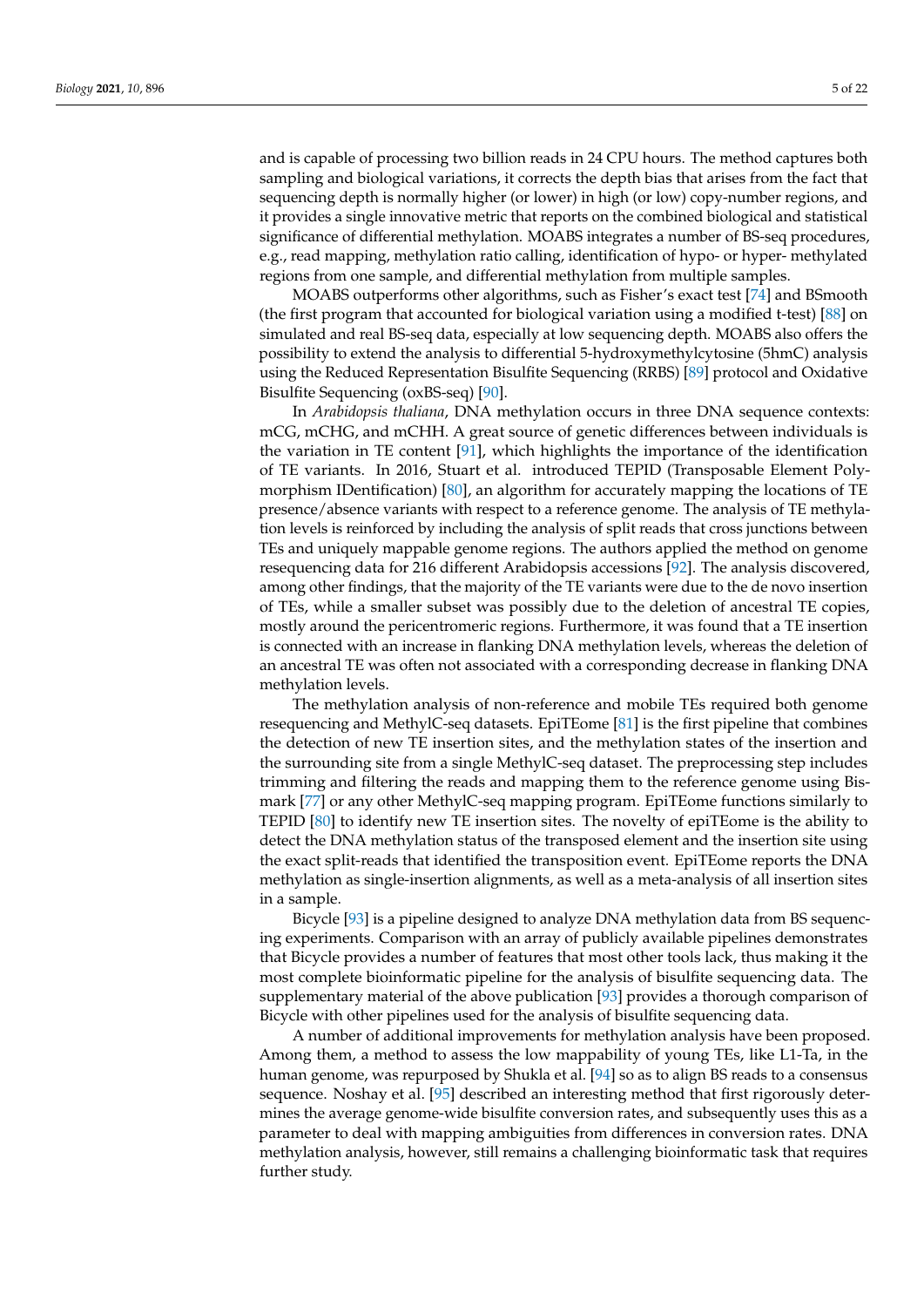and is capable of processing two billion reads in 24 CPU hours. The method captures both sampling and biological variations, it corrects the depth bias that arises from the fact that sequencing depth is normally higher (or lower) in high (or low) copy-number regions, and it provides a single innovative metric that reports on the combined biological and statistical significance of differential methylation. MOABS integrates a number of BS-seq procedures, e.g., read mapping, methylation ratio calling, identification of hypo- or hyper- methylated regions from one sample, and differential methylation from multiple samples.

MOABS outperforms other algorithms, such as Fisher's exact test [\[74\]](#page-17-20) and BSmooth (the first program that accounted for biological variation using a modified t-test) [\[88\]](#page-18-11) on simulated and real BS-seq data, especially at low sequencing depth. MOABS also offers the possibility to extend the analysis to differential 5-hydroxymethylcytosine (5hmC) analysis using the Reduced Representation Bisulfite Sequencing (RRBS) [\[89\]](#page-18-12) protocol and Oxidative Bisulfite Sequencing (oxBS-seq) [\[90\]](#page-18-13).

In *Arabidopsis thaliana*, DNA methylation occurs in three DNA sequence contexts: mCG, mCHG, and mCHH. A great source of genetic differences between individuals is the variation in TE content [\[91\]](#page-18-14), which highlights the importance of the identification of TE variants. In 2016, Stuart et al. introduced TEPID (Transposable Element Polymorphism IDentification) [\[80\]](#page-18-3), an algorithm for accurately mapping the locations of TE presence/absence variants with respect to a reference genome. The analysis of TE methylation levels is reinforced by including the analysis of split reads that cross junctions between TEs and uniquely mappable genome regions. The authors applied the method on genome resequencing data for 216 different Arabidopsis accessions [\[92\]](#page-18-15). The analysis discovered, among other findings, that the majority of the TE variants were due to the de novo insertion of TEs, while a smaller subset was possibly due to the deletion of ancestral TE copies, mostly around the pericentromeric regions. Furthermore, it was found that a TE insertion is connected with an increase in flanking DNA methylation levels, whereas the deletion of an ancestral TE was often not associated with a corresponding decrease in flanking DNA methylation levels.

The methylation analysis of non-reference and mobile TEs required both genome resequencing and MethylC-seq datasets. EpiTEome [\[81\]](#page-18-4) is the first pipeline that combines the detection of new TE insertion sites, and the methylation states of the insertion and the surrounding site from a single MethylC-seq dataset. The preprocessing step includes trimming and filtering the reads and mapping them to the reference genome using Bismark [\[77\]](#page-18-0) or any other MethylC-seq mapping program. EpiTEome functions similarly to TEPID [\[80\]](#page-18-3) to identify new TE insertion sites. The novelty of epiTEome is the ability to detect the DNA methylation status of the transposed element and the insertion site using the exact split-reads that identified the transposition event. EpiTEome reports the DNA methylation as single-insertion alignments, as well as a meta-analysis of all insertion sites in a sample.

Bicycle [\[93\]](#page-18-16) is a pipeline designed to analyze DNA methylation data from BS sequencing experiments. Comparison with an array of publicly available pipelines demonstrates that Bicycle provides a number of features that most other tools lack, thus making it the most complete bioinformatic pipeline for the analysis of bisulfite sequencing data. The supplementary material of the above publication [\[93\]](#page-18-16) provides a thorough comparison of Bicycle with other pipelines used for the analysis of bisulfite sequencing data.

A number of additional improvements for methylation analysis have been proposed. Among them, a method to assess the low mappability of young TEs, like L1-Ta, in the human genome, was repurposed by Shukla et al. [\[94\]](#page-18-17) so as to align BS reads to a consensus sequence. Noshay et al. [\[95\]](#page-18-18) described an interesting method that first rigorously determines the average genome-wide bisulfite conversion rates, and subsequently uses this as a parameter to deal with mapping ambiguities from differences in conversion rates. DNA methylation analysis, however, still remains a challenging bioinformatic task that requires further study.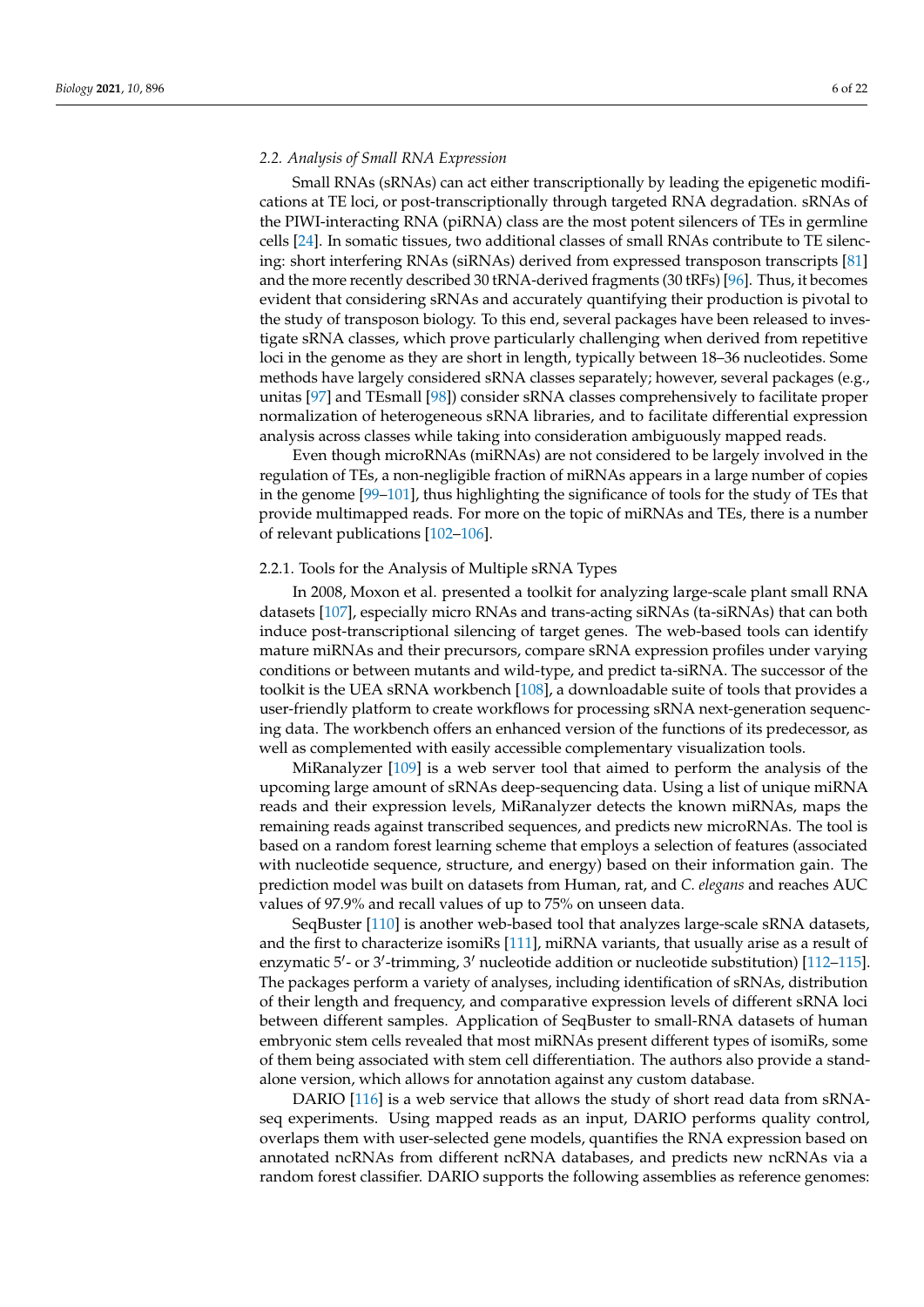# *2.2. Analysis of Small RNA Expression*

Small RNAs (sRNAs) can act either transcriptionally by leading the epigenetic modifications at TE loci, or post-transcriptionally through targeted RNA degradation. sRNAs of the PIWI-interacting RNA (piRNA) class are the most potent silencers of TEs in germline cells [\[24\]](#page-16-9). In somatic tissues, two additional classes of small RNAs contribute to TE silencing: short interfering RNAs (siRNAs) derived from expressed transposon transcripts [\[81\]](#page-18-4) and the more recently described 30 tRNA-derived fragments (30 tRFs) [\[96\]](#page-18-19). Thus, it becomes evident that considering sRNAs and accurately quantifying their production is pivotal to the study of transposon biology. To this end, several packages have been released to investigate sRNA classes, which prove particularly challenging when derived from repetitive loci in the genome as they are short in length, typically between 18–36 nucleotides. Some methods have largely considered sRNA classes separately; however, several packages (e.g., unitas [\[97\]](#page-18-20) and TEsmall [\[98\]](#page-18-21)) consider sRNA classes comprehensively to facilitate proper normalization of heterogeneous sRNA libraries, and to facilitate differential expression analysis across classes while taking into consideration ambiguously mapped reads.

Even though microRNAs (miRNAs) are not considered to be largely involved in the regulation of TEs, a non-negligible fraction of miRNAs appears in a large number of copies in the genome [\[99–](#page-18-22)[101\]](#page-18-23), thus highlighting the significance of tools for the study of TEs that provide multimapped reads. For more on the topic of miRNAs and TEs, there is a number of relevant publications [\[102–](#page-18-24)[106\]](#page-19-0).

#### 2.2.1. Tools for the Analysis of Multiple sRNA Types

In 2008, Moxon et al. presented a toolkit for analyzing large-scale plant small RNA datasets [\[107\]](#page-19-1), especially micro RNAs and trans-acting siRNAs (ta-siRNAs) that can both induce post-transcriptional silencing of target genes. The web-based tools can identify mature miRNAs and their precursors, compare sRNA expression profiles under varying conditions or between mutants and wild-type, and predict ta-siRNA. The successor of the toolkit is the UEA sRNA workbench [\[108\]](#page-19-2), a downloadable suite of tools that provides a user-friendly platform to create workflows for processing sRNA next-generation sequencing data. The workbench offers an enhanced version of the functions of its predecessor, as well as complemented with easily accessible complementary visualization tools.

MiRanalyzer [\[109\]](#page-19-3) is a web server tool that aimed to perform the analysis of the upcoming large amount of sRNAs deep-sequencing data. Using a list of unique miRNA reads and their expression levels, MiRanalyzer detects the known miRNAs, maps the remaining reads against transcribed sequences, and predicts new microRNAs. The tool is based on a random forest learning scheme that employs a selection of features (associated with nucleotide sequence, structure, and energy) based on their information gain. The prediction model was built on datasets from Human, rat, and *C. elegans* and reaches AUC values of 97.9% and recall values of up to 75% on unseen data.

SeqBuster [\[110\]](#page-19-4) is another web-based tool that analyzes large-scale sRNA datasets, and the first to characterize isomiRs [\[111\]](#page-19-5), miRNA variants, that usually arise as a result of enzymatic 5'- or 3'-trimming, 3' nucleotide addition or nucleotide substitution) [\[112](#page-19-6)-115]. The packages perform a variety of analyses, including identification of sRNAs, distribution of their length and frequency, and comparative expression levels of different sRNA loci between different samples. Application of SeqBuster to small-RNA datasets of human embryonic stem cells revealed that most miRNAs present different types of isomiRs, some of them being associated with stem cell differentiation. The authors also provide a standalone version, which allows for annotation against any custom database.

DARIO [\[116\]](#page-19-8) is a web service that allows the study of short read data from sRNAseq experiments. Using mapped reads as an input, DARIO performs quality control, overlaps them with user-selected gene models, quantifies the RNA expression based on annotated ncRNAs from different ncRNA databases, and predicts new ncRNAs via a random forest classifier. DARIO supports the following assemblies as reference genomes: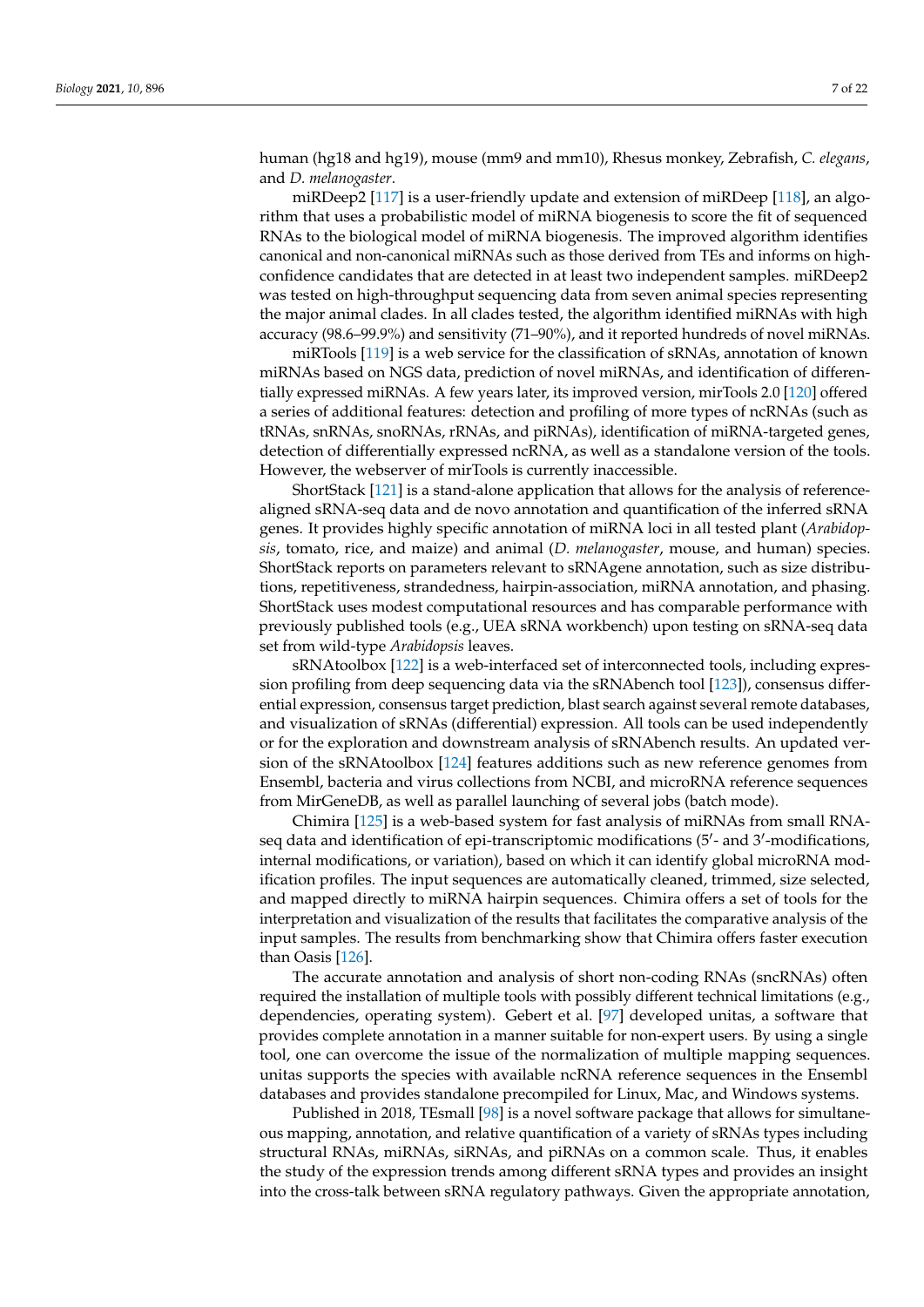human (hg18 and hg19), mouse (mm9 and mm10), Rhesus monkey, Zebrafish, *C. elegans*, and *D. melanogaster*.

miRDeep2 [\[117\]](#page-19-9) is a user-friendly update and extension of miRDeep [\[118\]](#page-19-10), an algorithm that uses a probabilistic model of miRNA biogenesis to score the fit of sequenced RNAs to the biological model of miRNA biogenesis. The improved algorithm identifies canonical and non-canonical miRNAs such as those derived from TEs and informs on highconfidence candidates that are detected in at least two independent samples. miRDeep2 was tested on high-throughput sequencing data from seven animal species representing the major animal clades. In all clades tested, the algorithm identified miRNAs with high accuracy (98.6–99.9%) and sensitivity (71–90%), and it reported hundreds of novel miRNAs.

miRTools [\[119\]](#page-19-11) is a web service for the classification of sRNAs, annotation of known miRNAs based on NGS data, prediction of novel miRNAs, and identification of differentially expressed miRNAs. A few years later, its improved version, mirTools 2.0 [\[120\]](#page-19-12) offered a series of additional features: detection and profiling of more types of ncRNAs (such as tRNAs, snRNAs, snoRNAs, rRNAs, and piRNAs), identification of miRNA-targeted genes, detection of differentially expressed ncRNA, as well as a standalone version of the tools. However, the webserver of mirTools is currently inaccessible.

ShortStack [\[121\]](#page-19-13) is a stand-alone application that allows for the analysis of referencealigned sRNA-seq data and de novo annotation and quantification of the inferred sRNA genes. It provides highly specific annotation of miRNA loci in all tested plant (*Arabidopsis*, tomato, rice, and maize) and animal (*D. melanogaster*, mouse, and human) species. ShortStack reports on parameters relevant to sRNAgene annotation, such as size distributions, repetitiveness, strandedness, hairpin-association, miRNA annotation, and phasing. ShortStack uses modest computational resources and has comparable performance with previously published tools (e.g., UEA sRNA workbench) upon testing on sRNA-seq data set from wild-type *Arabidopsis* leaves.

sRNAtoolbox [\[122\]](#page-19-14) is a web-interfaced set of interconnected tools, including expression profiling from deep sequencing data via the sRNAbench tool [\[123\]](#page-19-15)), consensus differential expression, consensus target prediction, blast search against several remote databases, and visualization of sRNAs (differential) expression. All tools can be used independently or for the exploration and downstream analysis of sRNAbench results. An updated version of the sRNAtoolbox [\[124\]](#page-19-16) features additions such as new reference genomes from Ensembl, bacteria and virus collections from NCBI, and microRNA reference sequences from MirGeneDB, as well as parallel launching of several jobs (batch mode).

Chimira [\[125\]](#page-19-17) is a web-based system for fast analysis of miRNAs from small RNAseq data and identification of epi-transcriptomic modifications (5'- and 3'-modifications, internal modifications, or variation), based on which it can identify global microRNA modification profiles. The input sequences are automatically cleaned, trimmed, size selected, and mapped directly to miRNA hairpin sequences. Chimira offers a set of tools for the interpretation and visualization of the results that facilitates the comparative analysis of the input samples. The results from benchmarking show that Chimira offers faster execution than Oasis [\[126\]](#page-19-18).

The accurate annotation and analysis of short non-coding RNAs (sncRNAs) often required the installation of multiple tools with possibly different technical limitations (e.g., dependencies, operating system). Gebert et al. [\[97\]](#page-18-20) developed unitas, a software that provides complete annotation in a manner suitable for non-expert users. By using a single tool, one can overcome the issue of the normalization of multiple mapping sequences. unitas supports the species with available ncRNA reference sequences in the Ensembl databases and provides standalone precompiled for Linux, Mac, and Windows systems.

Published in 2018, TEsmall [\[98\]](#page-18-21) is a novel software package that allows for simultaneous mapping, annotation, and relative quantification of a variety of sRNAs types including structural RNAs, miRNAs, siRNAs, and piRNAs on a common scale. Thus, it enables the study of the expression trends among different sRNA types and provides an insight into the cross-talk between sRNA regulatory pathways. Given the appropriate annotation,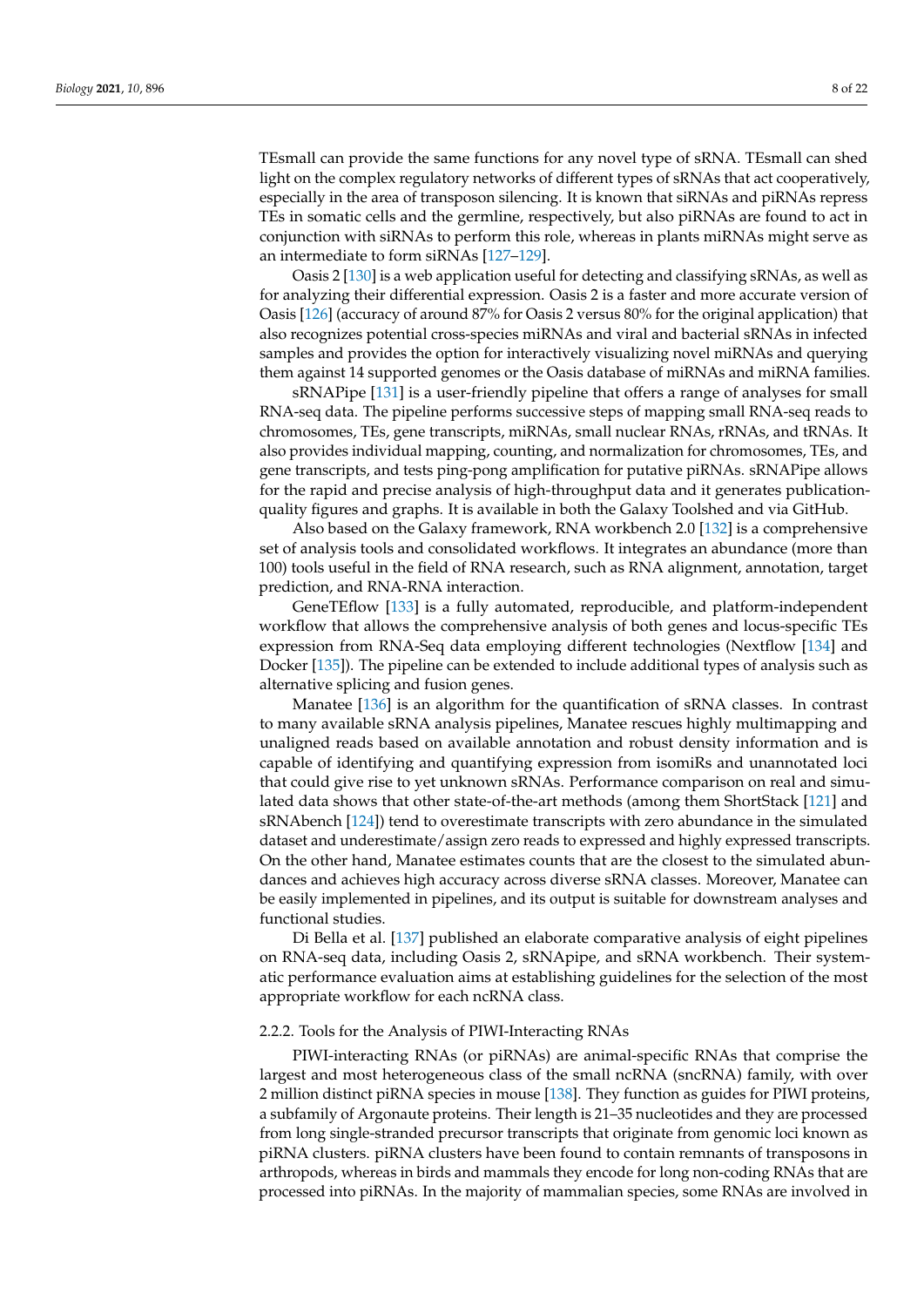TEsmall can provide the same functions for any novel type of sRNA. TEsmall can shed light on the complex regulatory networks of different types of sRNAs that act cooperatively, especially in the area of transposon silencing. It is known that siRNAs and piRNAs repress TEs in somatic cells and the germline, respectively, but also piRNAs are found to act in conjunction with siRNAs to perform this role, whereas in plants miRNAs might serve as an intermediate to form siRNAs [\[127](#page-19-19)[–129\]](#page-19-20).

Oasis 2 [\[130\]](#page-19-21) is a web application useful for detecting and classifying sRNAs, as well as for analyzing their differential expression. Oasis 2 is a faster and more accurate version of Oasis [\[126\]](#page-19-18) (accuracy of around 87% for Oasis 2 versus 80% for the original application) that also recognizes potential cross-species miRNAs and viral and bacterial sRNAs in infected samples and provides the option for interactively visualizing novel miRNAs and querying them against 14 supported genomes or the Oasis database of miRNAs and miRNA families.

sRNAPipe [\[131\]](#page-19-22) is a user-friendly pipeline that offers a range of analyses for small RNA-seq data. The pipeline performs successive steps of mapping small RNA-seq reads to chromosomes, TEs, gene transcripts, miRNAs, small nuclear RNAs, rRNAs, and tRNAs. It also provides individual mapping, counting, and normalization for chromosomes, TEs, and gene transcripts, and tests ping-pong amplification for putative piRNAs. sRNAPipe allows for the rapid and precise analysis of high-throughput data and it generates publicationquality figures and graphs. It is available in both the Galaxy Toolshed and via GitHub.

Also based on the Galaxy framework, RNA workbench 2.0 [\[132\]](#page-20-0) is a comprehensive set of analysis tools and consolidated workflows. It integrates an abundance (more than 100) tools useful in the field of RNA research, such as RNA alignment, annotation, target prediction, and RNA-RNA interaction.

GeneTEflow [\[133\]](#page-20-1) is a fully automated, reproducible, and platform-independent workflow that allows the comprehensive analysis of both genes and locus-specific TEs expression from RNA-Seq data employing different technologies (Nextflow [\[134\]](#page-20-2) and Docker [\[135\]](#page-20-3)). The pipeline can be extended to include additional types of analysis such as alternative splicing and fusion genes.

Manatee [\[136\]](#page-20-4) is an algorithm for the quantification of sRNA classes. In contrast to many available sRNA analysis pipelines, Manatee rescues highly multimapping and unaligned reads based on available annotation and robust density information and is capable of identifying and quantifying expression from isomiRs and unannotated loci that could give rise to yet unknown sRNAs. Performance comparison on real and simulated data shows that other state-of-the-art methods (among them ShortStack [\[121\]](#page-19-13) and sRNAbench [\[124\]](#page-19-16)) tend to overestimate transcripts with zero abundance in the simulated dataset and underestimate/assign zero reads to expressed and highly expressed transcripts. On the other hand, Manatee estimates counts that are the closest to the simulated abundances and achieves high accuracy across diverse sRNA classes. Moreover, Manatee can be easily implemented in pipelines, and its output is suitable for downstream analyses and functional studies.

Di Bella et al. [\[137\]](#page-20-5) published an elaborate comparative analysis of eight pipelines on RNA-seq data, including Oasis 2, sRNApipe, and sRNA workbench. Their systematic performance evaluation aims at establishing guidelines for the selection of the most appropriate workflow for each ncRNA class.

## 2.2.2. Tools for the Analysis of PIWI-Interacting RNAs

PIWI-interacting RNAs (or piRNAs) are animal-specific RNAs that comprise the largest and most heterogeneous class of the small ncRNA (sncRNA) family, with over 2 million distinct piRNA species in mouse [\[138\]](#page-20-6). They function as guides for PIWI proteins, a subfamily of Argonaute proteins. Their length is 21–35 nucleotides and they are processed from long single-stranded precursor transcripts that originate from genomic loci known as piRNA clusters. piRNA clusters have been found to contain remnants of transposons in arthropods, whereas in birds and mammals they encode for long non-coding RNAs that are processed into piRNAs. In the majority of mammalian species, some RNAs are involved in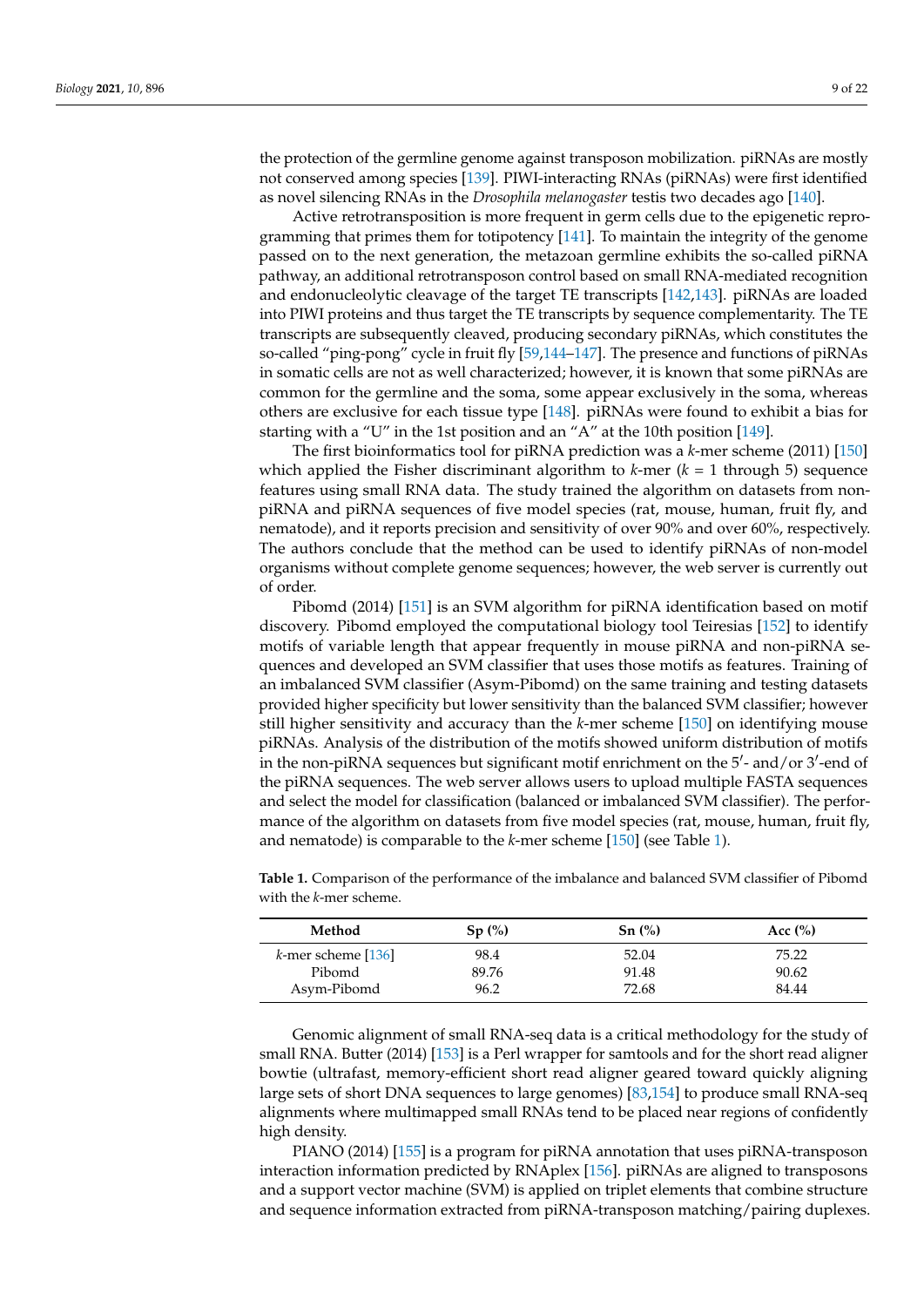the protection of the germline genome against transposon mobilization. piRNAs are mostly not conserved among species [\[139\]](#page-20-7). PIWI-interacting RNAs (piRNAs) were first identified as novel silencing RNAs in the *Drosophila melanogaster* testis two decades ago [\[140\]](#page-20-8).

Active retrotransposition is more frequent in germ cells due to the epigenetic reprogramming that primes them for totipotency [\[141\]](#page-20-9). To maintain the integrity of the genome passed on to the next generation, the metazoan germline exhibits the so-called piRNA pathway, an additional retrotransposon control based on small RNA-mediated recognition and endonucleolytic cleavage of the target TE transcripts [\[142,](#page-20-10)[143\]](#page-20-11). piRNAs are loaded into PIWI proteins and thus target the TE transcripts by sequence complementarity. The TE transcripts are subsequently cleaved, producing secondary piRNAs, which constitutes the so-called "ping-pong" cycle in fruit fly [\[59,](#page-17-23)[144–](#page-20-12)[147\]](#page-20-13). The presence and functions of piRNAs in somatic cells are not as well characterized; however, it is known that some piRNAs are common for the germline and the soma, some appear exclusively in the soma, whereas others are exclusive for each tissue type [\[148\]](#page-20-14). piRNAs were found to exhibit a bias for starting with a "U" in the 1st position and an "A" at the 10th position [\[149\]](#page-20-15).

The first bioinformatics tool for piRNA prediction was a *k*-mer scheme (2011) [\[150\]](#page-20-16) which applied the Fisher discriminant algorithm to  $k$ -mer ( $k = 1$  through 5) sequence features using small RNA data. The study trained the algorithm on datasets from nonpiRNA and piRNA sequences of five model species (rat, mouse, human, fruit fly, and nematode), and it reports precision and sensitivity of over 90% and over 60%, respectively. The authors conclude that the method can be used to identify piRNAs of non-model organisms without complete genome sequences; however, the web server is currently out of order.

Pibomd (2014) [\[151\]](#page-20-17) is an SVM algorithm for piRNA identification based on motif discovery. Pibomd employed the computational biology tool Teiresias [\[152\]](#page-20-18) to identify motifs of variable length that appear frequently in mouse piRNA and non-piRNA sequences and developed an SVM classifier that uses those motifs as features. Training of an imbalanced SVM classifier (Asym-Pibomd) on the same training and testing datasets provided higher specificity but lower sensitivity than the balanced SVM classifier; however still higher sensitivity and accuracy than the *k*-mer scheme [\[150\]](#page-20-16) on identifying mouse piRNAs. Analysis of the distribution of the motifs showed uniform distribution of motifs in the non-piRNA sequences but significant motif enrichment on the  $5'$ - and/or  $3'$ -end of the piRNA sequences. The web server allows users to upload multiple FASTA sequences and select the model for classification (balanced or imbalanced SVM classifier). The performance of the algorithm on datasets from five model species (rat, mouse, human, fruit fly, and nematode) is comparable to the *k*-mer scheme [\[150\]](#page-20-16) (see Table [1\)](#page-8-0).

| Method                | Sp(%) | Sn(%) | Acc $(\%)$ |
|-----------------------|-------|-------|------------|
| $k$ -mer scheme [136] | 98.4  | 52.04 | 75.22      |
| Pibomd                | 89.76 | 91.48 | 90.62      |
| Asym-Pibomd           | 96.2  | 72.68 | 84.44      |

<span id="page-8-0"></span>**Table 1.** Comparison of the performance of the imbalance and balanced SVM classifier of Pibomd with the *k*-mer scheme.

Genomic alignment of small RNA-seq data is a critical methodology for the study of small RNA. Butter (2014) [\[153\]](#page-20-19) is a Perl wrapper for samtools and for the short read aligner bowtie (ultrafast, memory-efficient short read aligner geared toward quickly aligning large sets of short DNA sequences to large genomes) [\[83](#page-18-6)[,154\]](#page-20-20) to produce small RNA-seq alignments where multimapped small RNAs tend to be placed near regions of confidently high density.

PIANO (2014) [\[155\]](#page-20-21) is a program for piRNA annotation that uses piRNA-transposon interaction information predicted by RNAplex [\[156\]](#page-20-22). piRNAs are aligned to transposons and a support vector machine (SVM) is applied on triplet elements that combine structure and sequence information extracted from piRNA-transposon matching/pairing duplexes.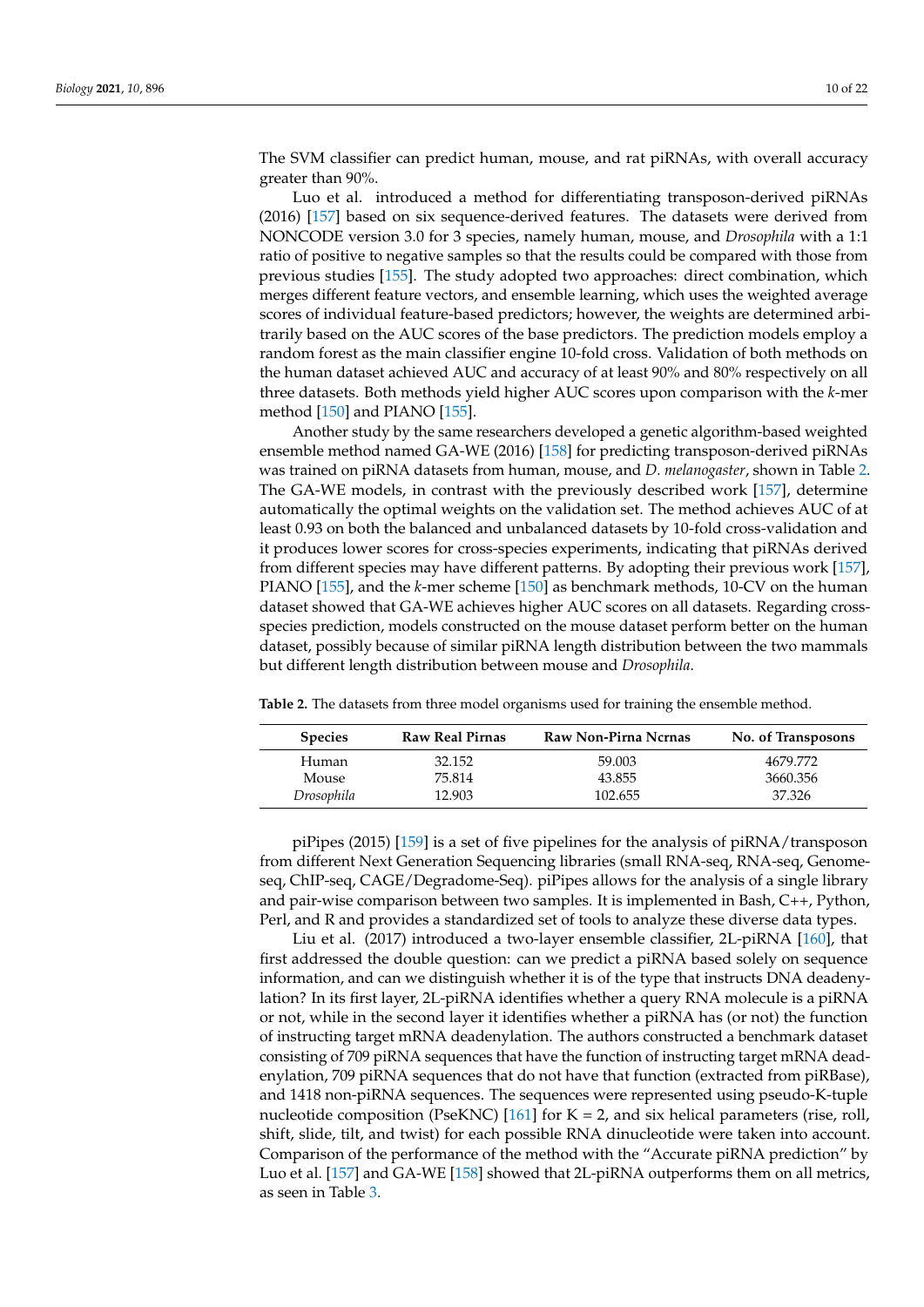The SVM classifier can predict human, mouse, and rat piRNAs, with overall accuracy greater than 90%.

Luo et al. introduced a method for differentiating transposon-derived piRNAs (2016) [\[157\]](#page-20-23) based on six sequence-derived features. The datasets were derived from NONCODE version 3.0 for 3 species, namely human, mouse, and *Drosophila* with a 1:1 ratio of positive to negative samples so that the results could be compared with those from previous studies [\[155\]](#page-20-21). The study adopted two approaches: direct combination, which merges different feature vectors, and ensemble learning, which uses the weighted average scores of individual feature-based predictors; however, the weights are determined arbitrarily based on the AUC scores of the base predictors. The prediction models employ a random forest as the main classifier engine 10-fold cross. Validation of both methods on the human dataset achieved AUC and accuracy of at least 90% and 80% respectively on all three datasets. Both methods yield higher AUC scores upon comparison with the *k*-mer method [\[150\]](#page-20-16) and PIANO [\[155\]](#page-20-21).

Another study by the same researchers developed a genetic algorithm-based weighted ensemble method named GA-WE (2016) [\[158\]](#page-20-24) for predicting transposon-derived piRNAs was trained on piRNA datasets from human, mouse, and *D. melanogaster*, shown in Table [2.](#page-9-0) The GA-WE models, in contrast with the previously described work [\[157\]](#page-20-23), determine automatically the optimal weights on the validation set. The method achieves AUC of at least 0.93 on both the balanced and unbalanced datasets by 10-fold cross-validation and it produces lower scores for cross-species experiments, indicating that piRNAs derived from different species may have different patterns. By adopting their previous work [\[157\]](#page-20-23), PIANO [\[155\]](#page-20-21), and the *k*-mer scheme [\[150\]](#page-20-16) as benchmark methods, 10-CV on the human dataset showed that GA-WE achieves higher AUC scores on all datasets. Regarding crossspecies prediction, models constructed on the mouse dataset perform better on the human dataset, possibly because of similar piRNA length distribution between the two mammals but different length distribution between mouse and *Drosophila*.

| <b>Species</b> | <b>Raw Real Pirnas</b> | Raw Non-Pirna Ncrnas | No. of Transposons |
|----------------|------------------------|----------------------|--------------------|
| Human          | 32.152                 | 59.003               | 4679.772           |
| Mouse          | 75.814                 | 43.855               | 3660.356           |
| Drosophila     | 12.903                 | 102.655              | 37.326             |

<span id="page-9-0"></span>**Table 2.** The datasets from three model organisms used for training the ensemble method.

piPipes (2015) [\[159\]](#page-20-25) is a set of five pipelines for the analysis of piRNA/transposon from different Next Generation Sequencing libraries (small RNA-seq, RNA-seq, Genomeseq, ChIP-seq, CAGE/Degradome-Seq). piPipes allows for the analysis of a single library and pair-wise comparison between two samples. It is implemented in Bash, C++, Python, Perl, and R and provides a standardized set of tools to analyze these diverse data types.

Liu et al. (2017) introduced a two-layer ensemble classifier, 2L-piRNA [\[160\]](#page-20-26), that first addressed the double question: can we predict a piRNA based solely on sequence information, and can we distinguish whether it is of the type that instructs DNA deadenylation? In its first layer, 2L-piRNA identifies whether a query RNA molecule is a piRNA or not, while in the second layer it identifies whether a piRNA has (or not) the function of instructing target mRNA deadenylation. The authors constructed a benchmark dataset consisting of 709 piRNA sequences that have the function of instructing target mRNA deadenylation, 709 piRNA sequences that do not have that function (extracted from piRBase), and 1418 non-piRNA sequences. The sequences were represented using pseudo-K-tuple nucleotide composition (PseKNC) [\[161\]](#page-20-27) for  $K = 2$ , and six helical parameters (rise, roll, shift, slide, tilt, and twist) for each possible RNA dinucleotide were taken into account. Comparison of the performance of the method with the "Accurate piRNA prediction" by Luo et al. [\[157\]](#page-20-23) and GA-WE [\[158\]](#page-20-24) showed that 2L-piRNA outperforms them on all metrics, as seen in Table [3.](#page-10-0)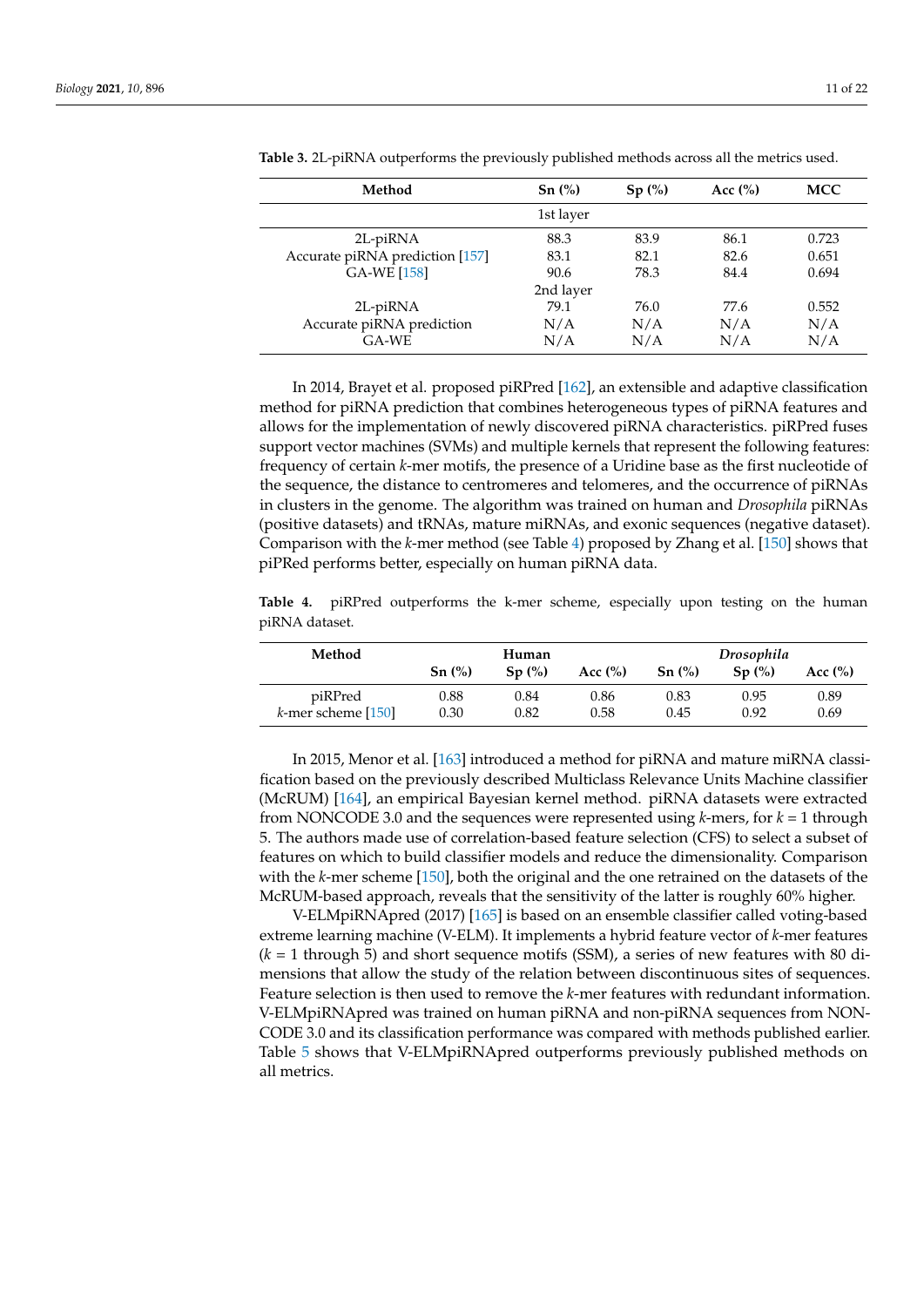| Method                          | Sn(%)     | Sp(%) | Acc $(\% )$ | MCC   |
|---------------------------------|-----------|-------|-------------|-------|
|                                 | 1st layer |       |             |       |
| 2L-piRNA                        | 88.3      | 83.9  | 86.1        | 0.723 |
| Accurate piRNA prediction [157] | 83.1      | 82.1  | 82.6        | 0.651 |
| <b>GA-WE [158]</b>              | 90.6      | 78.3  | 84.4        | 0.694 |
|                                 | 2nd layer |       |             |       |
| 2L-piRNA                        | 79.1      | 76.0  | 77.6        | 0.552 |
| Accurate piRNA prediction       | N/A       | N/A   | N/A         | N/A   |
| $GA-WE$                         | N/A       | N/A   | N/A         | N/A   |

<span id="page-10-0"></span>**Table 3.** 2L-piRNA outperforms the previously published methods across all the metrics used.

In 2014, Brayet et al. proposed piRPred [\[162\]](#page-21-0), an extensible and adaptive classification method for piRNA prediction that combines heterogeneous types of piRNA features and allows for the implementation of newly discovered piRNA characteristics. piRPred fuses support vector machines (SVMs) and multiple kernels that represent the following features: frequency of certain *k*-mer motifs, the presence of a Uridine base as the first nucleotide of the sequence, the distance to centromeres and telomeres, and the occurrence of piRNAs in clusters in the genome. The algorithm was trained on human and *Drosophila* piRNAs (positive datasets) and tRNAs, mature miRNAs, and exonic sequences (negative dataset). Comparison with the *k*-mer method (see Table [4\)](#page-10-1) proposed by Zhang et al. [\[150\]](#page-20-16) shows that piPRed performs better, especially on human piRNA data.

<span id="page-10-1"></span>**Table 4.** piRPred outperforms the k-mer scheme, especially upon testing on the human piRNA dataset.

| Method                | Human                           |       |             | Drosophila |       |             |
|-----------------------|---------------------------------|-------|-------------|------------|-------|-------------|
|                       | $Sn \left(\frac{\%}{\}}\right)$ | Sp(%) | Acc $(\% )$ | Sn(%)      | Sp(%) | Acc $(\% )$ |
| piRPred               | 0.88                            | 0.84  | 0.86        | 0.83       | 0.95  | 0.89        |
| $k$ -mer scheme [150] | 0.30                            | 0.82  | 0.58        | 0.45       | 0.92  | 0.69        |

In 2015, Menor et al. [\[163\]](#page-21-1) introduced a method for piRNA and mature miRNA classification based on the previously described Multiclass Relevance Units Machine classifier (McRUM) [\[164\]](#page-21-2), an empirical Bayesian kernel method. piRNA datasets were extracted from NONCODE 3.0 and the sequences were represented using *k*-mers, for *k* = 1 through 5. The authors made use of correlation-based feature selection (CFS) to select a subset of features on which to build classifier models and reduce the dimensionality. Comparison with the *k*-mer scheme [\[150\]](#page-20-16), both the original and the one retrained on the datasets of the McRUM-based approach, reveals that the sensitivity of the latter is roughly 60% higher.

V-ELMpiRNApred (2017) [\[165\]](#page-21-3) is based on an ensemble classifier called voting-based extreme learning machine (V-ELM). It implements a hybrid feature vector of *k*-mer features (*k* = 1 through 5) and short sequence motifs (SSM), a series of new features with 80 dimensions that allow the study of the relation between discontinuous sites of sequences. Feature selection is then used to remove the *k*-mer features with redundant information. V-ELMpiRNApred was trained on human piRNA and non-piRNA sequences from NON-CODE 3.0 and its classification performance was compared with methods published earlier. Table [5](#page-11-0) shows that V-ELMpiRNApred outperforms previously published methods on all metrics.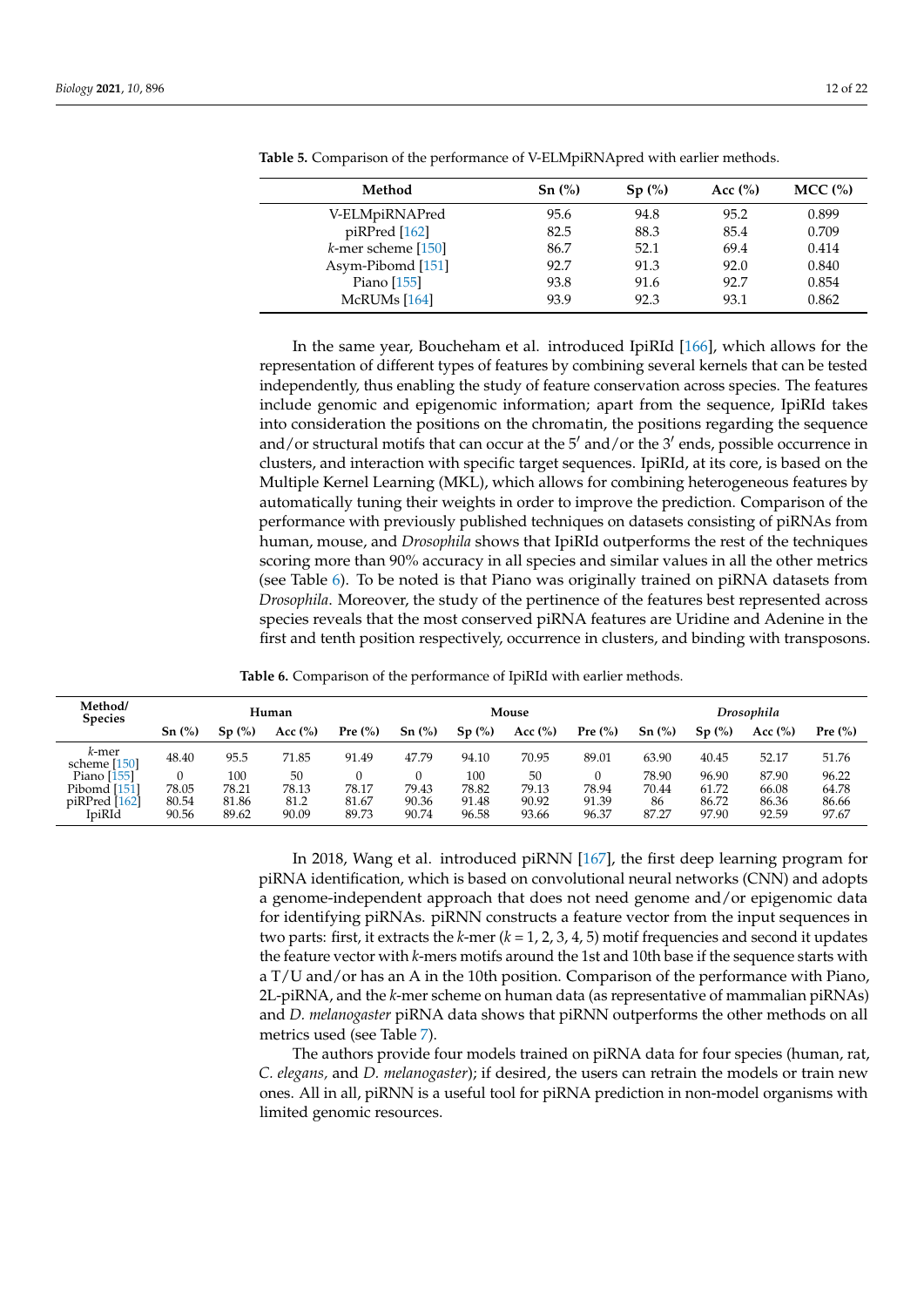| Method                | $Sn \left(\frac{\%}{\$\right)}$ | Sp(%) | Acc $(\% )$ | $MCC$ $\left(\% \right)$ |
|-----------------------|---------------------------------|-------|-------------|--------------------------|
| V-ELMpiRNAPred        | 95.6                            | 94.8  | 95.2        | 0.899                    |
| piRPred [162]         | 82.5                            | 88.3  | 85.4        | 0.709                    |
| $k$ -mer scheme [150] | 86.7                            | 52.1  | 69.4        | 0.414                    |
| Asym-Pibomd [151]     | 92.7                            | 91.3  | 92.0        | 0.840                    |
| Piano $[155]$         | 93.8                            | 91.6  | 92.7        | 0.854                    |
| McRUMs [164]          | 93.9                            | 92.3  | 93.1        | 0.862                    |

<span id="page-11-0"></span>**Table 5.** Comparison of the performance of V-ELMpiRNApred with earlier methods.

In the same year, Boucheham et al. introduced IpiRId [\[166\]](#page-21-4), which allows for the representation of different types of features by combining several kernels that can be tested independently, thus enabling the study of feature conservation across species. The features include genomic and epigenomic information; apart from the sequence, IpiRId takes into consideration the positions on the chromatin, the positions regarding the sequence and/or structural motifs that can occur at the 5' and/or the 3' ends, possible occurrence in clusters, and interaction with specific target sequences. IpiRId, at its core, is based on the Multiple Kernel Learning (MKL), which allows for combining heterogeneous features by automatically tuning their weights in order to improve the prediction. Comparison of the performance with previously published techniques on datasets consisting of piRNAs from human, mouse, and *Drosophila* shows that IpiRId outperforms the rest of the techniques scoring more than 90% accuracy in all species and similar values in all the other metrics (see Table [6\)](#page-11-1). To be noted is that Piano was originally trained on piRNA datasets from *Drosophila*. Moreover, the study of the pertinence of the features best represented across species reveals that the most conserved piRNA features are Uridine and Adenine in the first and tenth position respectively, occurrence in clusters, and binding with transposons.

**Table 6.** Comparison of the performance of IpiRId with earlier methods.

<span id="page-11-1"></span>

| Method/<br><b>Species</b>                                | Human                   |                                |                              |                         | Mouse                   |                                |                               | Drosophila              |                               |                                  |                                  |                                  |
|----------------------------------------------------------|-------------------------|--------------------------------|------------------------------|-------------------------|-------------------------|--------------------------------|-------------------------------|-------------------------|-------------------------------|----------------------------------|----------------------------------|----------------------------------|
|                                                          | Sn(%)                   | Sp(%)                          | Acc $(\%)$                   | Pre $\left(\%\right)$   | Sn(%)                   | Sp(%)                          | Acc $(\%)$                    | Pre $(\%)$              | Sn(%)                         | Sp(%)                            | Acc $(\% )$                      | Pre $\left(\%\right)$            |
| k-mer<br>scheme [150]                                    | 48.40                   | 95.5                           | 71.85                        | 91.49                   | 47.79                   | 94.10                          | 70.95                         | 89.01                   | 63.90                         | 40.45                            | 52.17                            | 51.76                            |
| Piano $[155]$<br>Pibomd [151]<br>piRPred [162]<br>IpiRId | 78.05<br>80.54<br>90.56 | 100<br>78.21<br>81.86<br>89.62 | 50<br>78.13<br>81.2<br>90.09 | 78.17<br>81.67<br>89.73 | 79.43<br>90.36<br>90.74 | 100<br>78.82<br>91.48<br>96.58 | 50<br>79.13<br>90.92<br>93.66 | 78.94<br>91.39<br>96.37 | 78.90<br>70.44<br>86<br>87.27 | 96.90<br>61.72<br>86.72<br>97.90 | 87.90<br>66.08<br>86.36<br>92.59 | 96.22<br>64.78<br>86.66<br>97.67 |

In 2018, Wang et al. introduced piRNN [\[167\]](#page-21-5), the first deep learning program for piRNA identification, which is based on convolutional neural networks (CNN) and adopts a genome-independent approach that does not need genome and/or epigenomic data for identifying piRNAs. piRNN constructs a feature vector from the input sequences in two parts: first, it extracts the *k*-mer (*k* = 1, 2, 3, 4, 5) motif frequencies and second it updates the feature vector with *k*-mers motifs around the 1st and 10th base if the sequence starts with a T/U and/or has an A in the 10th position. Comparison of the performance with Piano, 2L-piRNA, and the *k*-mer scheme on human data (as representative of mammalian piRNAs) and *D. melanogaster* piRNA data shows that piRNN outperforms the other methods on all metrics used (see Table [7\)](#page-12-0).

The authors provide four models trained on piRNA data for four species (human, rat, *C. elegans,* and *D. melanogaster*); if desired, the users can retrain the models or train new ones. All in all, piRNN is a useful tool for piRNA prediction in non-model organisms with limited genomic resources.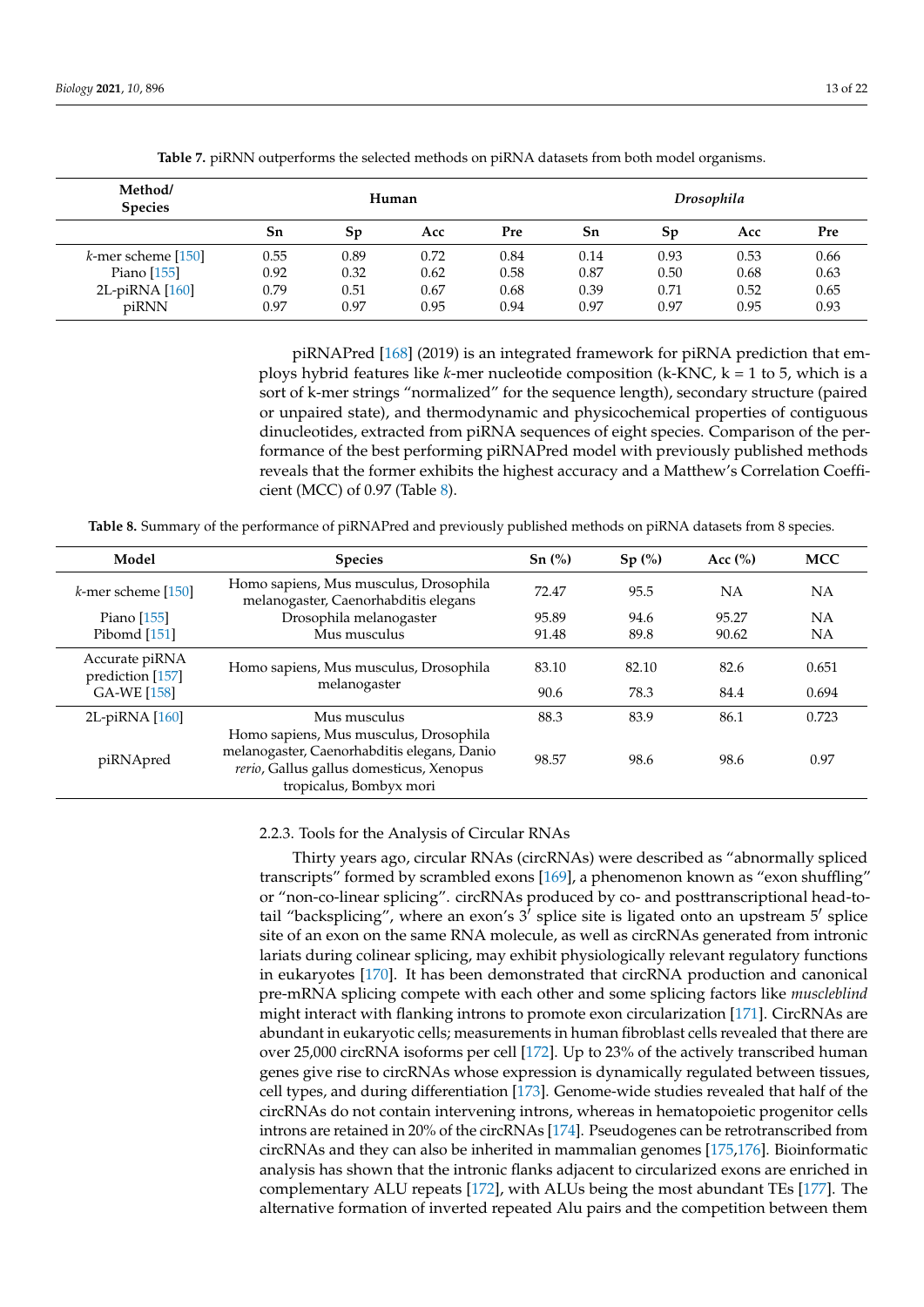<span id="page-12-0"></span>

| Method/<br><b>Species</b> | Human |      |      |      | Drosophila |      |      |      |
|---------------------------|-------|------|------|------|------------|------|------|------|
|                           | Sn    | Sp   | Acc  | Pre  | Sn         | Sp   | Acc  | Pre  |
| $k$ -mer scheme [150]     | 0.55  | 0.89 | 0.72 | 0.84 | 0.14       | 0.93 | 0.53 | 0.66 |
| Piano $[155]$             | 0.92  | 0.32 | 0.62 | 0.58 | 0.87       | 0.50 | 0.68 | 0.63 |
| 2L-piRNA [160]            | 0.79  | 0.51 | 0.67 | 0.68 | 0.39       | 0.71 | 0.52 | 0.65 |
| piRNN                     | 0.97  | 0.97 | 0.95 | 0.94 | 0.97       | 0.97 | 0.95 | 0.93 |

**Table 7.** piRNN outperforms the selected methods on piRNA datasets from both model organisms.

piRNAPred [\[168\]](#page-21-6) (2019) is an integrated framework for piRNA prediction that employs hybrid features like *k*-mer nucleotide composition (k-KNC, k = 1 to 5, which is a sort of k-mer strings "normalized" for the sequence length), secondary structure (paired or unpaired state), and thermodynamic and physicochemical properties of contiguous dinucleotides, extracted from piRNA sequences of eight species. Comparison of the performance of the best performing piRNAPred model with previously published methods reveals that the former exhibits the highest accuracy and a Matthew's Correlation Coefficient (MCC) of 0.97 (Table [8\)](#page-12-1).

<span id="page-12-1"></span>**Table 8.** Summary of the performance of piRNAPred and previously published methods on piRNA datasets from 8 species.

| Model                              | <b>Species</b>                                                                                                                                               | $Sn(^{0}_{0})$ | Sp(%) | Acc $(\% )$ | <b>MCC</b> |
|------------------------------------|--------------------------------------------------------------------------------------------------------------------------------------------------------------|----------------|-------|-------------|------------|
| $k$ -mer scheme [150]              | Homo sapiens, Mus musculus, Drosophila<br>melanogaster, Caenorhabditis elegans                                                                               | 72.47          | 95.5  | NΑ          | NΑ         |
| Piano [155]                        | Drosophila melanogaster                                                                                                                                      | 95.89          | 94.6  | 95.27       | NA         |
| Pibomd $[151]$                     | Mus musculus                                                                                                                                                 | 91.48          | 89.8  | 90.62       | ΝA         |
| Accurate piRNA<br>prediction [157] | Homo sapiens, Mus musculus, Drosophila                                                                                                                       | 83.10          | 82.10 | 82.6        | 0.651      |
| GA-WE [158]                        | melanogaster                                                                                                                                                 | 90.6           | 78.3  | 84.4        | 0.694      |
| $2L-piRNA$ $[160]$                 | Mus musculus                                                                                                                                                 | 88.3           | 83.9  | 86.1        | 0.723      |
| piRNApred                          | Homo sapiens, Mus musculus, Drosophila<br>melanogaster, Caenorhabditis elegans, Danio<br>rerio, Gallus gallus domesticus, Xenopus<br>tropicalus, Bombyx mori | 98.57          | 98.6  | 98.6        | 0.97       |

### 2.2.3. Tools for the Analysis of Circular RNAs

Thirty years ago, circular RNAs (circRNAs) were described as "abnormally spliced transcripts" formed by scrambled exons [\[169\]](#page-21-7), a phenomenon known as "exon shuffling" or "non-co-linear splicing". circRNAs produced by co- and posttranscriptional head-totail "backsplicing", where an exon's  $3<sup>j</sup>$  splice site is ligated onto an upstream  $5<sup>j</sup>$  splice site of an exon on the same RNA molecule, as well as circRNAs generated from intronic lariats during colinear splicing, may exhibit physiologically relevant regulatory functions in eukaryotes [\[170\]](#page-21-8). It has been demonstrated that circRNA production and canonical pre-mRNA splicing compete with each other and some splicing factors like *muscleblind* might interact with flanking introns to promote exon circularization [\[171\]](#page-21-9). CircRNAs are abundant in eukaryotic cells; measurements in human fibroblast cells revealed that there are over 25,000 circRNA isoforms per cell [\[172\]](#page-21-10). Up to 23% of the actively transcribed human genes give rise to circRNAs whose expression is dynamically regulated between tissues, cell types, and during differentiation [\[173\]](#page-21-11). Genome-wide studies revealed that half of the circRNAs do not contain intervening introns, whereas in hematopoietic progenitor cells introns are retained in 20% of the circRNAs [\[174\]](#page-21-12). Pseudogenes can be retrotranscribed from circRNAs and they can also be inherited in mammalian genomes [\[175](#page-21-13)[,176\]](#page-21-14). Bioinformatic analysis has shown that the intronic flanks adjacent to circularized exons are enriched in complementary ALU repeats [\[172\]](#page-21-10), with ALUs being the most abundant TEs [\[177\]](#page-21-15). The alternative formation of inverted repeated Alu pairs and the competition between them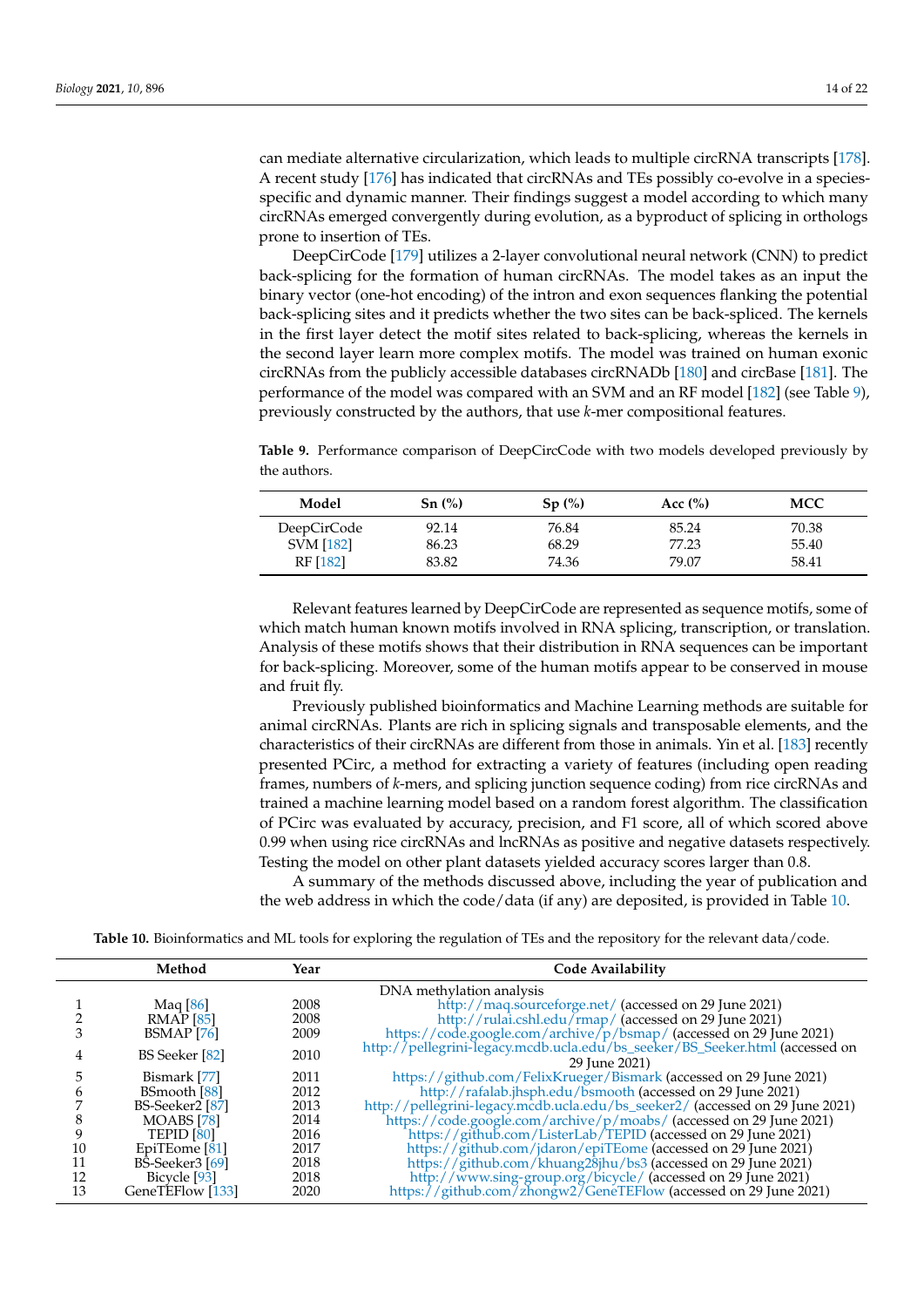can mediate alternative circularization, which leads to multiple circRNA transcripts [\[178\]](#page-21-16). A recent study [\[176\]](#page-21-14) has indicated that circRNAs and TEs possibly co-evolve in a speciesspecific and dynamic manner. Their findings suggest a model according to which many circRNAs emerged convergently during evolution, as a byproduct of splicing in orthologs prone to insertion of TEs.

DeepCirCode [\[179\]](#page-21-17) utilizes a 2-layer convolutional neural network (CNN) to predict back-splicing for the formation of human circRNAs. The model takes as an input the binary vector (one-hot encoding) of the intron and exon sequences flanking the potential back-splicing sites and it predicts whether the two sites can be back-spliced. The kernels in the first layer detect the motif sites related to back-splicing, whereas the kernels in the second layer learn more complex motifs. The model was trained on human exonic circRNAs from the publicly accessible databases circRNADb [\[180\]](#page-21-18) and circBase [\[181\]](#page-21-19). The performance of the model was compared with an SVM and an RF model [\[182\]](#page-21-20) (see Table [9\)](#page-13-0), previously constructed by the authors, that use *k*-mer compositional features.

<span id="page-13-0"></span>**Table 9.** Performance comparison of DeepCircCode with two models developed previously by the authors.

| Model            | Sn(%) | Sp(%) | Acc $(\%)$ | <b>MCC</b> |
|------------------|-------|-------|------------|------------|
| DeepCirCode      | 92.14 | 76.84 | 85.24      | 70.38      |
| <b>SVM</b> [182] | 86.23 | 68.29 | 77.23      | 55.40      |
| RF [182]         | 83.82 | 74.36 | 79.07      | 58.41      |

Relevant features learned by DeepCirCode are represented as sequence motifs, some of which match human known motifs involved in RNA splicing, transcription, or translation. Analysis of these motifs shows that their distribution in RNA sequences can be important for back-splicing. Moreover, some of the human motifs appear to be conserved in mouse and fruit fly.

Previously published bioinformatics and Machine Learning methods are suitable for animal circRNAs. Plants are rich in splicing signals and transposable elements, and the characteristics of their circRNAs are different from those in animals. Yin et al. [\[183\]](#page-21-21) recently presented PCirc, a method for extracting a variety of features (including open reading frames, numbers of *k*-mers, and splicing junction sequence coding) from rice circRNAs and trained a machine learning model based on a random forest algorithm. The classification of PCirc was evaluated by accuracy, precision, and F1 score, all of which scored above 0.99 when using rice circRNAs and lncRNAs as positive and negative datasets respectively. Testing the model on other plant datasets yielded accuracy scores larger than 0.8.

A summary of the methods discussed above, including the year of publication and the web address in which the code/data (if any) are deposited, is provided in Table [10.](#page-14-0)

**Table 10.** Bioinformatics and ML tools for exploring the regulation of TEs and the repository for the relevant data/code.

|    | Method                     | Year | Code Availability                                                             |
|----|----------------------------|------|-------------------------------------------------------------------------------|
|    |                            |      | DNA methylation analysis                                                      |
|    | Maq [86]                   | 2008 | http://maq.sourceforge.net/ (accessed on 29 June 2021)                        |
|    | <b>RMAP</b> [85]           | 2008 | http://rulai.cshl.edu/rmap/ (accessed on 29 June 2021)                        |
|    | BSMAP [76]                 | 2009 | https://code.google.com/archive/p/bsmap/ (accessed on 29 June 2021)           |
|    |                            |      | http://pellegrini-legacy.mcdb.ucla.edu/bs_seeker/BS_Seeker.html (accessed on  |
|    | BS Seeker [82]             | 2010 | 29 June 2021)                                                                 |
|    | Bismark [77]               | 2011 | https://github.com/FelixKrueger/Bismark (accessed on 29 June 2021)            |
| h  | BSmooth [88]               | 2012 | http://rafalab.jhsph.edu/bsmooth (accessed on 29 June 2021)                   |
|    | BS-Seeker2 <sup>[87]</sup> | 2013 | http://pellegrini-legacy.mcdb.ucla.edu/bs_seeker2/ (accessed on 29 June 2021) |
|    | $MOABS$ [78]               | 2014 | https://code.google.com/archive/p/moabs/ (accessed on 29 June 2021)           |
|    | TEPID <sup>[80]</sup>      | 2016 | https://github.com/ListerLab/TEPID (accessed on 29 June 2021)                 |
| 10 | EpiTEome <sup>[81]</sup>   | 2017 | https://github.com/jdaron/epiTEome (accessed on 29 June 2021)                 |
|    | $B\hat{S}$ -Seeker3 [69]   | 2018 | https://github.com/khuang28jhu/bs3 (accessed on 29 June 2021)                 |
| 12 | Bicycle [93]               | 2018 | http://www.sing-group.org/bicycle/ (accessed on 29 June 2021)                 |
| 13 | GeneTEFlow [133]           | 2020 | https://github.com/zhongw2/GeneTEFlow (accessed on 29 June 2021)              |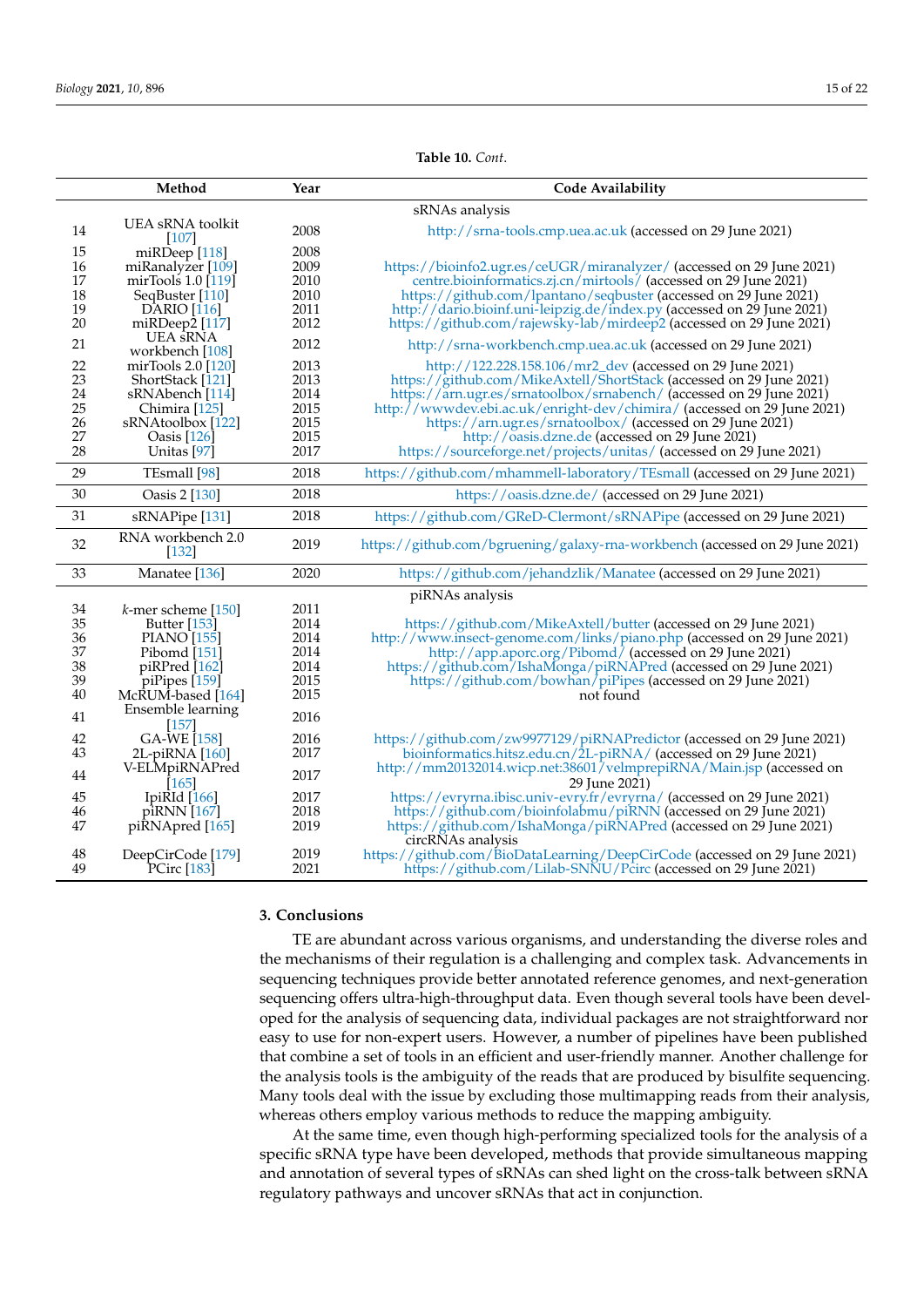## **Table 10.** *Cont*.

<span id="page-14-0"></span>

|                                                  | Method                                                                                                                                                                    | Year                                                         | <b>Code Availability</b>                                                                                                                                                                                                                                                                                                                                                                                                                                                     |
|--------------------------------------------------|---------------------------------------------------------------------------------------------------------------------------------------------------------------------------|--------------------------------------------------------------|------------------------------------------------------------------------------------------------------------------------------------------------------------------------------------------------------------------------------------------------------------------------------------------------------------------------------------------------------------------------------------------------------------------------------------------------------------------------------|
|                                                  |                                                                                                                                                                           |                                                              | sRNAs analysis                                                                                                                                                                                                                                                                                                                                                                                                                                                               |
| 14                                               | UEA sRNA toolkit<br><b>107</b>                                                                                                                                            | 2008                                                         | http://srna-tools.cmp.uea.ac.uk (accessed on 29 June 2021)                                                                                                                                                                                                                                                                                                                                                                                                                   |
| 15<br>16<br>17<br>18<br>19<br>20                 | miRDeep [118]<br>miRanalyzer [109]<br>mirTools 1.0 [119]<br>SeqBuster [110]<br><b>DARIO</b> [116]<br>mi $R$ Deep $2$ [117]                                                | 2008<br>2009<br>2010<br>2010<br>2011<br>2012                 | https://bioinfo2.ugr.es/ceUGR/miranalyzer/ (accessed on 29 June 2021)<br>centre.bioinformatics.zj.cn/mirtools/ (accessed on 29 June 2021)<br>https://github.com/lpantano/seqbuster (accessed on 29 June 2021)<br>http://dario.bioinf.uni-leipzig.de/index.py (accessed on 29 June 2021)<br>https://github.com/rajewsky-lab/mirdeep2 (accessed on 29 June 2021)                                                                                                               |
| 21                                               | <b>UEA</b> sRNA<br>workbench [108]                                                                                                                                        | 2012                                                         | http://srna-workbench.cmp.uea.ac.uk (accessed on 29 June 2021)                                                                                                                                                                                                                                                                                                                                                                                                               |
| $22\,$<br>23<br>24<br>25<br>26<br>27<br>28       | mirTools $2.0$ [120]<br>ShortStack [121]<br>sRNAbench [114]<br>Chimira [125]<br>sRNAtoolbox [122]<br>Oasis $[126]$<br>Unitas <sup>[97]</sup>                              | 2013<br>2013<br>2014<br>2015<br>2015<br>2015<br>2017         | http://122.228.158.106/mr2_dev (accessed on 29 June 2021)<br>https://github.com/MikeAxtell/ShortStack (accessed on 29 June 2021)<br>https://arn.ugr.es/srnatoolbox/srnabench/ (accessed on 29 June 2021)<br>http://www.dev.ebi.ac.uk/enright-dev/chimira/ (accessed on 29 June 2021)<br>https://arn.ugr.es/srnatoolbox/ (accessed on 29 June 2021)<br>http://oasis.dzne.de (accessed on 29 June 2021)<br>https://sourceforge.net/projects/unitas/ (accessed on 29 June 2021) |
| 29                                               | TEsmall [98]                                                                                                                                                              | 2018                                                         | https://github.com/mhammell-laboratory/TEsmall (accessed on 29 June 2021)                                                                                                                                                                                                                                                                                                                                                                                                    |
| 30                                               | Oasis 2 [130]                                                                                                                                                             | 2018                                                         | https://oasis.dzne.de/ (accessed on 29 June 2021)                                                                                                                                                                                                                                                                                                                                                                                                                            |
| 31                                               | sRNAPipe [131]                                                                                                                                                            | 2018                                                         | https://github.com/GReD-Clermont/sRNAPipe (accessed on 29 June 2021)                                                                                                                                                                                                                                                                                                                                                                                                         |
| 32                                               | RNA workbench 2.0<br>$[132]$                                                                                                                                              | 2019                                                         | https://github.com/bgruening/galaxy-rna-workbench (accessed on 29 June 2021)                                                                                                                                                                                                                                                                                                                                                                                                 |
| 33                                               | Manatee [136]                                                                                                                                                             | 2020                                                         | https://github.com/jehandzlik/Manatee (accessed on 29 June 2021)                                                                                                                                                                                                                                                                                                                                                                                                             |
| $34\,$<br>35<br>36<br>37<br>38<br>39<br>40<br>41 | $k$ -mer scheme [150]<br><b>Butter</b> [153]<br><b>PIANO</b> [155]<br>Pibomd [151]<br>piRPred [162]<br>piPipes [159]<br>McRUM-based [164]<br>Ensemble learning<br>$[157]$ | 2011<br>2014<br>2014<br>2014<br>2014<br>2015<br>2015<br>2016 | piRNAs analysis<br>https://github.com/MikeAxtell/butter (accessed on 29 June 2021)<br>http://www.insect-genome.com/links/piano.php (accessed on 29 June 2021)<br>http://app.aporc.org/Pibomd/ (accessed on 29 June 2021)<br>https://github.com/IshaMonga/piRNAPred (accessed on 29 June 2021)<br>https://github.com/bowhan/piPipes (accessed on 29 June 2021)<br>not found                                                                                                   |
| 42<br>43<br>44<br>45<br>46                       | GA-WE [158]<br>2L-piRNA [160]<br>V-ELMpiRNAPred<br>$[165]$<br>IpiRId $[166]$<br>piRNN [167]                                                                               | 2016<br>2017<br>2017<br>2017<br>2018                         | https://github.com/zw9977129/piRNAPredictor (accessed on 29 June 2021)<br>bioinformatics.hitsz.edu.cn/ $2L$ -piRNA/ (accessed on 29 June 2021)<br>http://mm20132014.wicp.net:38601/velmprepiRNA/Main.jsp (accessed on<br>29 June 2021)<br>https://evryrna.ibisc.univ-evry.fr/evryrna/ (accessed on 29 June 2021)<br>https://github.com/bioinfolabmu/piRNN (accessed on 29 June 2021)                                                                                         |
| 47<br>48<br>49                                   | piRNApred [165]<br>DeepCirCode [179]<br>PCirc [183]                                                                                                                       | 2019<br>2019<br>2021                                         | https://github.com/IshaMonga/piRNAPred (accessed on 29 June 2021)<br>circRNAs analysis<br>https://github.com/BioDataLearning/DeepCirCode (accessed on 29 June 2021)<br>https://github.com/Lilab-SNNU/Pcirc (accessed on 29 June 2021)                                                                                                                                                                                                                                        |

# **3. Conclusions**

TE are abundant across various organisms, and understanding the diverse roles and the mechanisms of their regulation is a challenging and complex task. Advancements in sequencing techniques provide better annotated reference genomes, and next-generation sequencing offers ultra-high-throughput data. Even though several tools have been developed for the analysis of sequencing data, individual packages are not straightforward nor easy to use for non-expert users. However, a number of pipelines have been published that combine a set of tools in an efficient and user-friendly manner. Another challenge for the analysis tools is the ambiguity of the reads that are produced by bisulfite sequencing. Many tools deal with the issue by excluding those multimapping reads from their analysis, whereas others employ various methods to reduce the mapping ambiguity.

At the same time, even though high-performing specialized tools for the analysis of a specific sRNA type have been developed, methods that provide simultaneous mapping and annotation of several types of sRNAs can shed light on the cross-talk between sRNA regulatory pathways and uncover sRNAs that act in conjunction.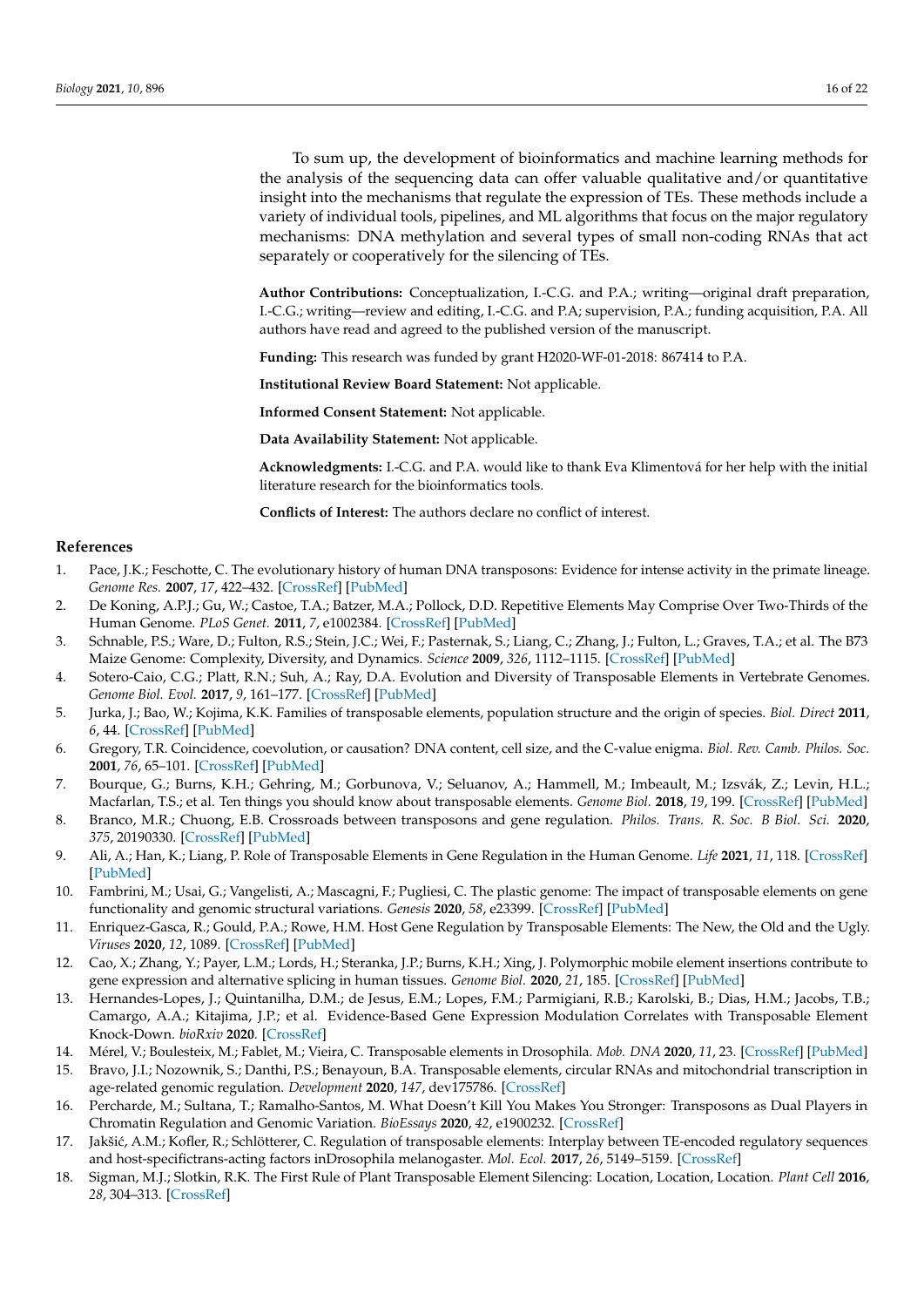To sum up, the development of bioinformatics and machine learning methods for the analysis of the sequencing data can offer valuable qualitative and/or quantitative insight into the mechanisms that regulate the expression of TEs. These methods include a variety of individual tools, pipelines, and ML algorithms that focus on the major regulatory mechanisms: DNA methylation and several types of small non-coding RNAs that act separately or cooperatively for the silencing of TEs.

**Author Contributions:** Conceptualization, I.-C.G. and P.A.; writing—original draft preparation, I.-C.G.; writing—review and editing, I.-C.G. and P.A; supervision, P.A.; funding acquisition, P.A. All authors have read and agreed to the published version of the manuscript.

**Funding:** This research was funded by grant H2020-WF-01-2018: 867414 to P.A.

**Institutional Review Board Statement:** Not applicable.

**Informed Consent Statement:** Not applicable.

**Data Availability Statement:** Not applicable.

**Acknowledgments:** I.-C.G. and P.A. would like to thank Eva Klimentová for her help with the initial literature research for the bioinformatics tools.

**Conflicts of Interest:** The authors declare no conflict of interest.

#### **References**

- <span id="page-15-0"></span>1. Pace, J.K.; Feschotte, C. The evolutionary history of human DNA transposons: Evidence for intense activity in the primate lineage. *Genome Res.* **2007**, *17*, 422–432. [\[CrossRef\]](http://doi.org/10.1101/gr.5826307) [\[PubMed\]](http://www.ncbi.nlm.nih.gov/pubmed/17339369)
- <span id="page-15-1"></span>2. De Koning, A.P.J.; Gu, W.; Castoe, T.A.; Batzer, M.A.; Pollock, D.D. Repetitive Elements May Comprise Over Two-Thirds of the Human Genome. *PLoS Genet.* **2011**, *7*, e1002384. [\[CrossRef\]](http://doi.org/10.1371/journal.pgen.1002384) [\[PubMed\]](http://www.ncbi.nlm.nih.gov/pubmed/22144907)
- <span id="page-15-2"></span>3. Schnable, P.S.; Ware, D.; Fulton, R.S.; Stein, J.C.; Wei, F.; Pasternak, S.; Liang, C.; Zhang, J.; Fulton, L.; Graves, T.A.; et al. The B73 Maize Genome: Complexity, Diversity, and Dynamics. *Science* **2009**, *326*, 1112–1115. [\[CrossRef\]](http://doi.org/10.1126/science.1178534) [\[PubMed\]](http://www.ncbi.nlm.nih.gov/pubmed/19965430)
- 4. Sotero-Caio, C.G.; Platt, R.N.; Suh, A.; Ray, D.A. Evolution and Diversity of Transposable Elements in Vertebrate Genomes. *Genome Biol. Evol.* **2017**, *9*, 161–177. [\[CrossRef\]](http://doi.org/10.1093/gbe/evw264) [\[PubMed\]](http://www.ncbi.nlm.nih.gov/pubmed/28158585)
- 5. Jurka, J.; Bao, W.; Kojima, K.K. Families of transposable elements, population structure and the origin of species. *Biol. Direct* **2011**, *6*, 44. [\[CrossRef\]](http://doi.org/10.1186/1745-6150-6-44) [\[PubMed\]](http://www.ncbi.nlm.nih.gov/pubmed/21929767)
- <span id="page-15-3"></span>6. Gregory, T.R. Coincidence, coevolution, or causation? DNA content, cell size, and the C-value enigma. *Biol. Rev. Camb. Philos. Soc.* **2001**, *76*, 65–101. [\[CrossRef\]](http://doi.org/10.1017/S1464793100005595) [\[PubMed\]](http://www.ncbi.nlm.nih.gov/pubmed/11325054)
- <span id="page-15-4"></span>7. Bourque, G.; Burns, K.H.; Gehring, M.; Gorbunova, V.; Seluanov, A.; Hammell, M.; Imbeault, M.; Izsvák, Z.; Levin, H.L.; Macfarlan, T.S.; et al. Ten things you should know about transposable elements. *Genome Biol.* **2018**, *19*, 199. [\[CrossRef\]](http://doi.org/10.1186/s13059-018-1577-z) [\[PubMed\]](http://www.ncbi.nlm.nih.gov/pubmed/30454069)
- 8. Branco, M.R.; Chuong, E.B. Crossroads between transposons and gene regulation. *Philos. Trans. R. Soc. B Biol. Sci.* **2020**, *375*, 20190330. [\[CrossRef\]](http://doi.org/10.1098/rstb.2019.0330) [\[PubMed\]](http://www.ncbi.nlm.nih.gov/pubmed/32075561)
- 9. Ali, A.; Han, K.; Liang, P. Role of Transposable Elements in Gene Regulation in the Human Genome. *Life* **2021**, *11*, 118. [\[CrossRef\]](http://doi.org/10.3390/life11020118) [\[PubMed\]](http://www.ncbi.nlm.nih.gov/pubmed/33557056)
- 10. Fambrini, M.; Usai, G.; Vangelisti, A.; Mascagni, F.; Pugliesi, C. The plastic genome: The impact of transposable elements on gene functionality and genomic structural variations. *Genesis* **2020**, *58*, e23399. [\[CrossRef\]](http://doi.org/10.1002/dvg.23399) [\[PubMed\]](http://www.ncbi.nlm.nih.gov/pubmed/33230956)
- 11. Enriquez-Gasca, R.; Gould, P.A.; Rowe, H.M. Host Gene Regulation by Transposable Elements: The New, the Old and the Ugly. *Viruses* **2020**, *12*, 1089. [\[CrossRef\]](http://doi.org/10.3390/v12101089) [\[PubMed\]](http://www.ncbi.nlm.nih.gov/pubmed/32993145)
- 12. Cao, X.; Zhang, Y.; Payer, L.M.; Lords, H.; Steranka, J.P.; Burns, K.H.; Xing, J. Polymorphic mobile element insertions contribute to gene expression and alternative splicing in human tissues. *Genome Biol.* **2020**, *21*, 185. [\[CrossRef\]](http://doi.org/10.1186/s13059-020-02101-4) [\[PubMed\]](http://www.ncbi.nlm.nih.gov/pubmed/32718348)
- 13. Hernandes-Lopes, J.; Quintanilha, D.M.; de Jesus, E.M.; Lopes, F.M.; Parmigiani, R.B.; Karolski, B.; Dias, H.M.; Jacobs, T.B.; Camargo, A.A.; Kitajima, J.P.; et al. Evidence-Based Gene Expression Modulation Correlates with Transposable Element Knock-Down. *bioRxiv* **2020**. [\[CrossRef\]](http://doi.org/10.1101/2020.08.15.252312)
- 14. Mérel, V.; Boulesteix, M.; Fablet, M.; Vieira, C. Transposable elements in Drosophila. *Mob. DNA* **2020**, *11*, 23. [\[CrossRef\]](http://doi.org/10.1186/s13100-020-00213-z) [\[PubMed\]](http://www.ncbi.nlm.nih.gov/pubmed/32636946)
- 15. Bravo, J.I.; Nozownik, S.; Danthi, P.S.; Benayoun, B.A. Transposable elements, circular RNAs and mitochondrial transcription in age-related genomic regulation. *Development* **2020**, *147*, dev175786. [\[CrossRef\]](http://doi.org/10.1242/dev.175786)
- <span id="page-15-5"></span>16. Percharde, M.; Sultana, T.; Ramalho-Santos, M. What Doesn't Kill You Makes You Stronger: Transposons as Dual Players in Chromatin Regulation and Genomic Variation. *BioEssays* **2020**, *42*, e1900232. [\[CrossRef\]](http://doi.org/10.1002/bies.201900232)
- <span id="page-15-6"></span>17. Jakšić, A.M.; Kofler, R.; Schlötterer, C. Regulation of transposable elements: Interplay between TE-encoded regulatory sequences and host-specifictrans-acting factors inDrosophila melanogaster. *Mol. Ecol.* **2017**, *26*, 5149–5159. [\[CrossRef\]](http://doi.org/10.1111/mec.14259)
- 18. Sigman, M.J.; Slotkin, R.K. The First Rule of Plant Transposable Element Silencing: Location, Location, Location. *Plant Cell* **2016**, *28*, 304–313. [\[CrossRef\]](http://doi.org/10.1105/tpc.15.00869)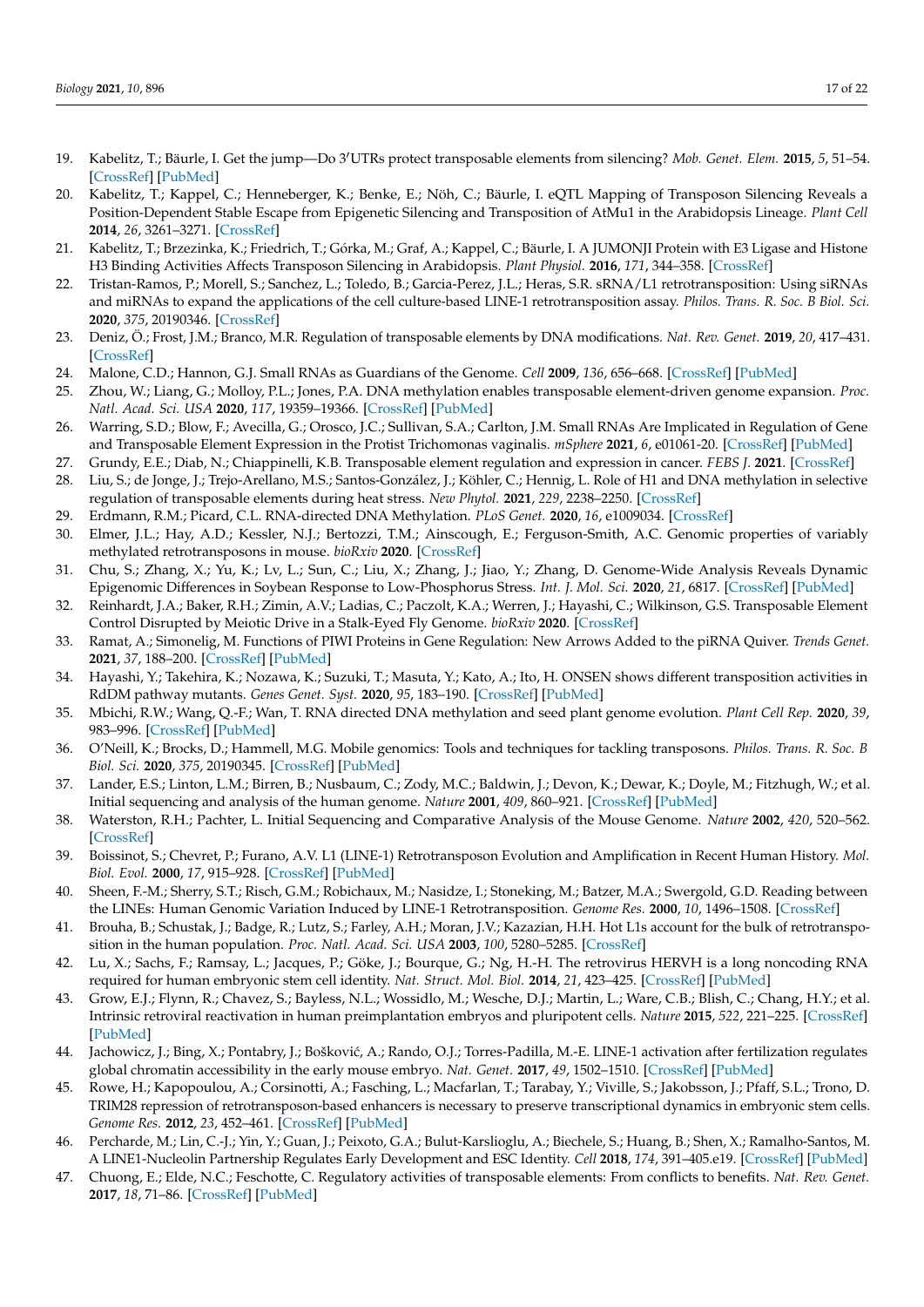- 19. Kabelitz, T.; Bäurle, I. Get the jump—Do 3'UTRs protect transposable elements from silencing? Mob. Genet. Elem. 2015, 5, 51–54. [\[CrossRef\]](http://doi.org/10.1080/2159256X.2015.1052179) [\[PubMed\]](http://www.ncbi.nlm.nih.gov/pubmed/26442184)
- 20. Kabelitz, T.; Kappel, C.; Henneberger, K.; Benke, E.; Nöh, C.; Bäurle, I. eQTL Mapping of Transposon Silencing Reveals a Position-Dependent Stable Escape from Epigenetic Silencing and Transposition of AtMu1 in the Arabidopsis Lineage. *Plant Cell* **2014**, *26*, 3261–3271. [\[CrossRef\]](http://doi.org/10.1105/tpc.114.128512)
- 21. Kabelitz, T.; Brzezinka, K.; Friedrich, T.; Górka, M.; Graf, A.; Kappel, C.; Bäurle, I. A JUMONJI Protein with E3 Ligase and Histone H3 Binding Activities Affects Transposon Silencing in Arabidopsis. *Plant Physiol.* **2016**, *171*, 344–358. [\[CrossRef\]](http://doi.org/10.1104/pp.15.01688)
- 22. Tristan-Ramos, P.; Morell, S.; Sanchez, L.; Toledo, B.; Garcia-Perez, J.L.; Heras, S.R. sRNA/L1 retrotransposition: Using siRNAs and miRNAs to expand the applications of the cell culture-based LINE-1 retrotransposition assay. *Philos. Trans. R. Soc. B Biol. Sci.* **2020**, *375*, 20190346. [\[CrossRef\]](http://doi.org/10.1098/rstb.2019.0346)
- 23. Deniz, Ö.; Frost, J.M.; Branco, M.R. Regulation of transposable elements by DNA modifications. *Nat. Rev. Genet.* **2019**, *20*, 417–431. [\[CrossRef\]](http://doi.org/10.1038/s41576-019-0117-3)
- <span id="page-16-9"></span>24. Malone, C.D.; Hannon, G.J. Small RNAs as Guardians of the Genome. *Cell* **2009**, *136*, 656–668. [\[CrossRef\]](http://doi.org/10.1016/j.cell.2009.01.045) [\[PubMed\]](http://www.ncbi.nlm.nih.gov/pubmed/19239887)
- 25. Zhou, W.; Liang, G.; Molloy, P.L.; Jones, P.A. DNA methylation enables transposable element-driven genome expansion. *Proc. Natl. Acad. Sci. USA* **2020**, *117*, 19359–19366. [\[CrossRef\]](http://doi.org/10.1073/pnas.1921719117) [\[PubMed\]](http://www.ncbi.nlm.nih.gov/pubmed/32719115)
- 26. Warring, S.D.; Blow, F.; Avecilla, G.; Orosco, J.C.; Sullivan, S.A.; Carlton, J.M. Small RNAs Are Implicated in Regulation of Gene and Transposable Element Expression in the Protist Trichomonas vaginalis. *mSphere* **2021**, *6*, e01061-20. [\[CrossRef\]](http://doi.org/10.1128/mSphere.01061-20) [\[PubMed\]](http://www.ncbi.nlm.nih.gov/pubmed/33408230)
- 27. Grundy, E.E.; Diab, N.; Chiappinelli, K.B. Transposable element regulation and expression in cancer. *FEBS J.* **2021**. [\[CrossRef\]](http://doi.org/10.1111/febs.15722)
- 28. Liu, S.; de Jonge, J.; Trejo-Arellano, M.S.; Santos-González, J.; Köhler, C.; Hennig, L. Role of H1 and DNA methylation in selective regulation of transposable elements during heat stress. *New Phytol.* **2021**, *229*, 2238–2250. [\[CrossRef\]](http://doi.org/10.1111/nph.17018)
- 29. Erdmann, R.M.; Picard, C.L. RNA-directed DNA Methylation. *PLoS Genet.* **2020**, *16*, e1009034. [\[CrossRef\]](http://doi.org/10.1371/journal.pgen.1009034)
- 30. Elmer, J.L.; Hay, A.D.; Kessler, N.J.; Bertozzi, T.M.; Ainscough, E.; Ferguson-Smith, A.C. Genomic properties of variably methylated retrotransposons in mouse. *bioRxiv* **2020**. [\[CrossRef\]](http://doi.org/10.1101/2020.10.21.349217)
- 31. Chu, S.; Zhang, X.; Yu, K.; Lv, L.; Sun, C.; Liu, X.; Zhang, J.; Jiao, Y.; Zhang, D. Genome-Wide Analysis Reveals Dynamic Epigenomic Differences in Soybean Response to Low-Phosphorus Stress. *Int. J. Mol. Sci.* **2020**, *21*, 6817. [\[CrossRef\]](http://doi.org/10.3390/ijms21186817) [\[PubMed\]](http://www.ncbi.nlm.nih.gov/pubmed/32957498)
- 32. Reinhardt, J.A.; Baker, R.H.; Zimin, A.V.; Ladias, C.; Paczolt, K.A.; Werren, J.; Hayashi, C.; Wilkinson, G.S. Transposable Element Control Disrupted by Meiotic Drive in a Stalk-Eyed Fly Genome. *bioRxiv* **2020**. [\[CrossRef\]](http://doi.org/10.1101/2020.09.23.310227)
- 33. Ramat, A.; Simonelig, M. Functions of PIWI Proteins in Gene Regulation: New Arrows Added to the piRNA Quiver. *Trends Genet.* **2021**, *37*, 188–200. [\[CrossRef\]](http://doi.org/10.1016/j.tig.2020.08.011) [\[PubMed\]](http://www.ncbi.nlm.nih.gov/pubmed/32951946)
- 34. Hayashi, Y.; Takehira, K.; Nozawa, K.; Suzuki, T.; Masuta, Y.; Kato, A.; Ito, H. ONSEN shows different transposition activities in RdDM pathway mutants. *Genes Genet. Syst.* **2020**, *95*, 183–190. [\[CrossRef\]](http://doi.org/10.1266/ggs.20-00019) [\[PubMed\]](http://www.ncbi.nlm.nih.gov/pubmed/32893196)
- <span id="page-16-0"></span>35. Mbichi, R.W.; Wang, Q.-F.; Wan, T. RNA directed DNA methylation and seed plant genome evolution. *Plant Cell Rep.* **2020**, *39*, 983–996. [\[CrossRef\]](http://doi.org/10.1007/s00299-020-02558-4) [\[PubMed\]](http://www.ncbi.nlm.nih.gov/pubmed/32594202)
- <span id="page-16-1"></span>36. O'Neill, K.; Brocks, D.; Hammell, M.G. Mobile genomics: Tools and techniques for tackling transposons. *Philos. Trans. R. Soc. B Biol. Sci.* **2020**, *375*, 20190345. [\[CrossRef\]](http://doi.org/10.1098/rstb.2019.0345) [\[PubMed\]](http://www.ncbi.nlm.nih.gov/pubmed/32075565)
- <span id="page-16-2"></span>37. Lander, E.S.; Linton, L.M.; Birren, B.; Nusbaum, C.; Zody, M.C.; Baldwin, J.; Devon, K.; Dewar, K.; Doyle, M.; Fitzhugh, W.; et al. Initial sequencing and analysis of the human genome. *Nature* **2001**, *409*, 860–921. [\[CrossRef\]](http://doi.org/10.1038/35057062) [\[PubMed\]](http://www.ncbi.nlm.nih.gov/pubmed/11237011)
- <span id="page-16-3"></span>38. Waterston, R.H.; Pachter, L. Initial Sequencing and Comparative Analysis of the Mouse Genome. *Nature* **2002**, *420*, 520–562. [\[CrossRef\]](http://doi.org/10.1038/nature01262)
- <span id="page-16-4"></span>39. Boissinot, S.; Chevret, P.; Furano, A.V. L1 (LINE-1) Retrotransposon Evolution and Amplification in Recent Human History. *Mol. Biol. Evol.* **2000**, *17*, 915–928. [\[CrossRef\]](http://doi.org/10.1093/oxfordjournals.molbev.a026372) [\[PubMed\]](http://www.ncbi.nlm.nih.gov/pubmed/10833198)
- 40. Sheen, F.-M.; Sherry, S.T.; Risch, G.M.; Robichaux, M.; Nasidze, I.; Stoneking, M.; Batzer, M.A.; Swergold, G.D. Reading between the LINEs: Human Genomic Variation Induced by LINE-1 Retrotransposition. *Genome Res.* **2000**, *10*, 1496–1508. [\[CrossRef\]](http://doi.org/10.1101/gr.149400)
- <span id="page-16-5"></span>41. Brouha, B.; Schustak, J.; Badge, R.; Lutz, S.; Farley, A.H.; Moran, J.V.; Kazazian, H.H. Hot L1s account for the bulk of retrotransposition in the human population. *Proc. Natl. Acad. Sci. USA* **2003**, *100*, 5280–5285. [\[CrossRef\]](http://doi.org/10.1073/pnas.0831042100)
- <span id="page-16-6"></span>42. Lu, X.; Sachs, F.; Ramsay, L.; Jacques, P.; Göke, J.; Bourque, G.; Ng, H.-H. The retrovirus HERVH is a long noncoding RNA required for human embryonic stem cell identity. *Nat. Struct. Mol. Biol.* **2014**, *21*, 423–425. [\[CrossRef\]](http://doi.org/10.1038/nsmb.2799) [\[PubMed\]](http://www.ncbi.nlm.nih.gov/pubmed/24681886)
- 43. Grow, E.J.; Flynn, R.; Chavez, S.; Bayless, N.L.; Wossidlo, M.; Wesche, D.J.; Martin, L.; Ware, C.B.; Blish, C.; Chang, H.Y.; et al. Intrinsic retroviral reactivation in human preimplantation embryos and pluripotent cells. *Nature* **2015**, *522*, 221–225. [\[CrossRef\]](http://doi.org/10.1038/nature14308) [\[PubMed\]](http://www.ncbi.nlm.nih.gov/pubmed/25896322)
- 44. Jachowicz, J.; Bing, X.; Pontabry, J.; Bošković, A.; Rando, O.J.; Torres-Padilla, M.-E. LINE-1 activation after fertilization regulates global chromatin accessibility in the early mouse embryo. *Nat. Genet.* **2017**, *49*, 1502–1510. [\[CrossRef\]](http://doi.org/10.1038/ng.3945) [\[PubMed\]](http://www.ncbi.nlm.nih.gov/pubmed/28846101)
- 45. Rowe, H.; Kapopoulou, A.; Corsinotti, A.; Fasching, L.; Macfarlan, T.; Tarabay, Y.; Viville, S.; Jakobsson, J.; Pfaff, S.L.; Trono, D. TRIM28 repression of retrotransposon-based enhancers is necessary to preserve transcriptional dynamics in embryonic stem cells. *Genome Res.* **2012**, *23*, 452–461. [\[CrossRef\]](http://doi.org/10.1101/gr.147678.112) [\[PubMed\]](http://www.ncbi.nlm.nih.gov/pubmed/23233547)
- <span id="page-16-7"></span>46. Percharde, M.; Lin, C.-J.; Yin, Y.; Guan, J.; Peixoto, G.A.; Bulut-Karslioglu, A.; Biechele, S.; Huang, B.; Shen, X.; Ramalho-Santos, M. A LINE1-Nucleolin Partnership Regulates Early Development and ESC Identity. *Cell* **2018**, *174*, 391–405.e19. [\[CrossRef\]](http://doi.org/10.1016/j.cell.2018.05.043) [\[PubMed\]](http://www.ncbi.nlm.nih.gov/pubmed/29937225)
- <span id="page-16-8"></span>47. Chuong, E.; Elde, N.C.; Feschotte, C. Regulatory activities of transposable elements: From conflicts to benefits. *Nat. Rev. Genet.* **2017**, *18*, 71–86. [\[CrossRef\]](http://doi.org/10.1038/nrg.2016.139) [\[PubMed\]](http://www.ncbi.nlm.nih.gov/pubmed/27867194)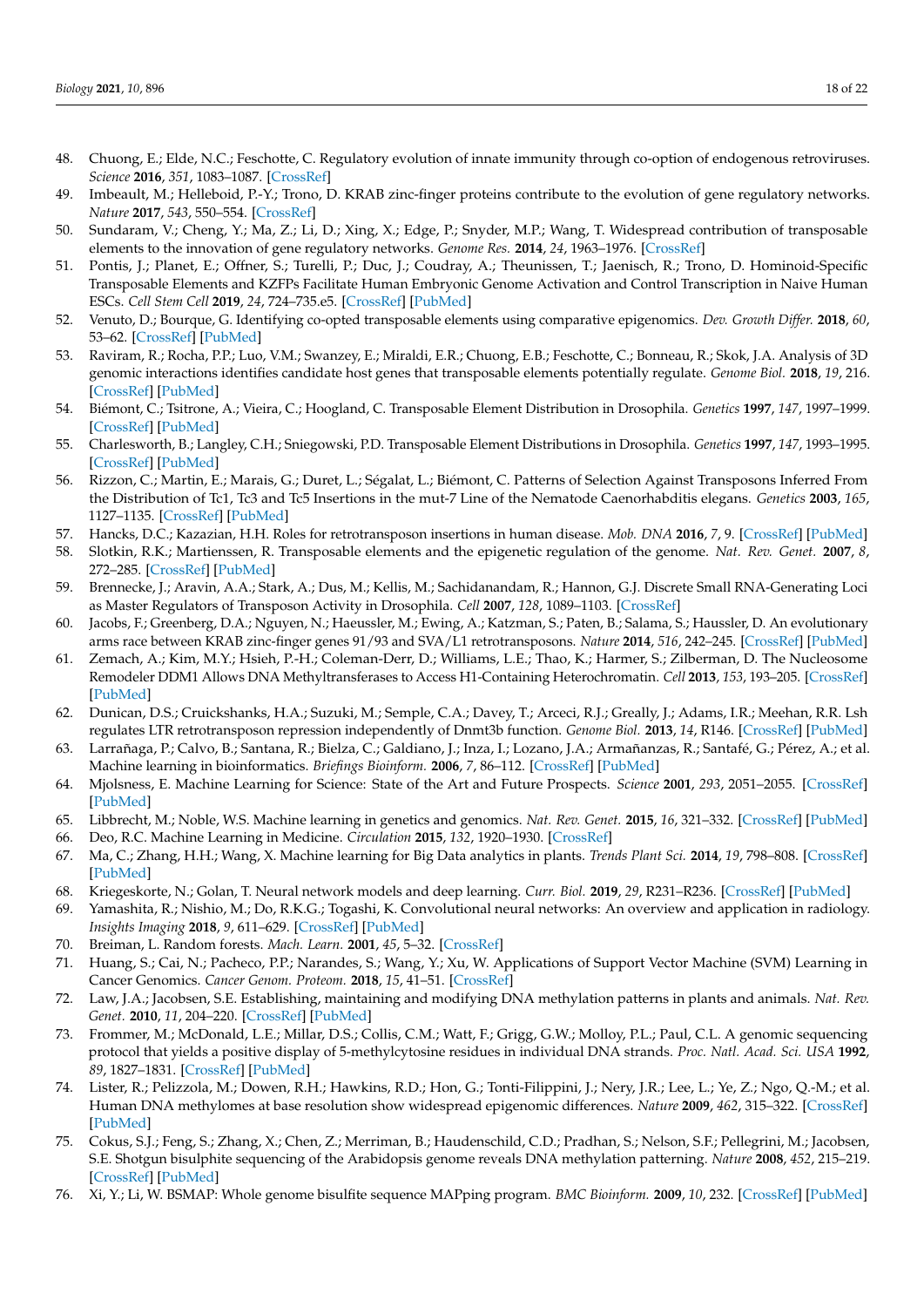- <span id="page-17-0"></span>48. Chuong, E.; Elde, N.C.; Feschotte, C. Regulatory evolution of innate immunity through co-option of endogenous retroviruses. *Science* **2016**, *351*, 1083–1087. [\[CrossRef\]](http://doi.org/10.1126/science.aad5497)
- <span id="page-17-6"></span>49. Imbeault, M.; Helleboid, P.-Y.; Trono, D. KRAB zinc-finger proteins contribute to the evolution of gene regulatory networks. *Nature* **2017**, *543*, 550–554. [\[CrossRef\]](http://doi.org/10.1038/nature21683)
- <span id="page-17-1"></span>50. Sundaram, V.; Cheng, Y.; Ma, Z.; Li, D.; Xing, X.; Edge, P.; Snyder, M.P.; Wang, T. Widespread contribution of transposable elements to the innovation of gene regulatory networks. *Genome Res.* **2014**, *24*, 1963–1976. [\[CrossRef\]](http://doi.org/10.1101/gr.168872.113)
- <span id="page-17-2"></span>51. Pontis, J.; Planet, E.; Offner, S.; Turelli, P.; Duc, J.; Coudray, A.; Theunissen, T.; Jaenisch, R.; Trono, D. Hominoid-Specific Transposable Elements and KZFPs Facilitate Human Embryonic Genome Activation and Control Transcription in Naive Human ESCs. *Cell Stem Cell* **2019**, *24*, 724–735.e5. [\[CrossRef\]](http://doi.org/10.1016/j.stem.2019.03.012) [\[PubMed\]](http://www.ncbi.nlm.nih.gov/pubmed/31006620)
- 52. Venuto, D.; Bourque, G. Identifying co-opted transposable elements using comparative epigenomics. *Dev. Growth Differ.* **2018**, *60*, 53–62. [\[CrossRef\]](http://doi.org/10.1111/dgd.12423) [\[PubMed\]](http://www.ncbi.nlm.nih.gov/pubmed/29363107)
- <span id="page-17-3"></span>53. Raviram, R.; Rocha, P.P.; Luo, V.M.; Swanzey, E.; Miraldi, E.R.; Chuong, E.B.; Feschotte, C.; Bonneau, R.; Skok, J.A. Analysis of 3D genomic interactions identifies candidate host genes that transposable elements potentially regulate. *Genome Biol.* **2018**, *19*, 216. [\[CrossRef\]](http://doi.org/10.1186/s13059-018-1598-7) [\[PubMed\]](http://www.ncbi.nlm.nih.gov/pubmed/30541598)
- <span id="page-17-4"></span>54. Biémont, C.; Tsitrone, A.; Vieira, C.; Hoogland, C. Transposable Element Distribution in Drosophila. *Genetics* **1997**, *147*, 1997–1999. [\[CrossRef\]](http://doi.org/10.1093/genetics/147.4.1997) [\[PubMed\]](http://www.ncbi.nlm.nih.gov/pubmed/9409856)
- 55. Charlesworth, B.; Langley, C.H.; Sniegowski, P.D. Transposable Element Distributions in Drosophila. *Genetics* **1997**, *147*, 1993–1995. [\[CrossRef\]](http://doi.org/10.1093/genetics/147.4.1993) [\[PubMed\]](http://www.ncbi.nlm.nih.gov/pubmed/9409855)
- 56. Rizzon, C.; Martin, E.; Marais, G.; Duret, L.; Ségalat, L.; Biémont, C. Patterns of Selection Against Transposons Inferred From the Distribution of Tc1, Tc3 and Tc5 Insertions in the mut-7 Line of the Nematode Caenorhabditis elegans. *Genetics* **2003**, *165*, 1127–1135. [\[CrossRef\]](http://doi.org/10.1093/genetics/165.3.1127) [\[PubMed\]](http://www.ncbi.nlm.nih.gov/pubmed/14668370)
- <span id="page-17-5"></span>57. Hancks, D.C.; Kazazian, H.H. Roles for retrotransposon insertions in human disease. *Mob. DNA* **2016**, *7*, 9. [\[CrossRef\]](http://doi.org/10.1186/s13100-016-0065-9) [\[PubMed\]](http://www.ncbi.nlm.nih.gov/pubmed/27158268)
- <span id="page-17-7"></span>58. Slotkin, R.K.; Martienssen, R. Transposable elements and the epigenetic regulation of the genome. *Nat. Rev. Genet.* **2007**, *8*, 272–285. [\[CrossRef\]](http://doi.org/10.1038/nrg2072) [\[PubMed\]](http://www.ncbi.nlm.nih.gov/pubmed/17363976)
- <span id="page-17-23"></span>59. Brennecke, J.; Aravin, A.A.; Stark, A.; Dus, M.; Kellis, M.; Sachidanandam, R.; Hannon, G.J. Discrete Small RNA-Generating Loci as Master Regulators of Transposon Activity in Drosophila. *Cell* **2007**, *128*, 1089–1103. [\[CrossRef\]](http://doi.org/10.1016/j.cell.2007.01.043)
- 60. Jacobs, F.; Greenberg, D.A.; Nguyen, N.; Haeussler, M.; Ewing, A.; Katzman, S.; Paten, B.; Salama, S.; Haussler, D. An evolutionary arms race between KRAB zinc-finger genes 91/93 and SVA/L1 retrotransposons. *Nature* **2014**, *516*, 242–245. [\[CrossRef\]](http://doi.org/10.1038/nature13760) [\[PubMed\]](http://www.ncbi.nlm.nih.gov/pubmed/25274305)
- 61. Zemach, A.; Kim, M.Y.; Hsieh, P.-H.; Coleman-Derr, D.; Williams, L.E.; Thao, K.; Harmer, S.; Zilberman, D. The Nucleosome Remodeler DDM1 Allows DNA Methyltransferases to Access H1-Containing Heterochromatin. *Cell* **2013**, *153*, 193–205. [\[CrossRef\]](http://doi.org/10.1016/j.cell.2013.02.033) [\[PubMed\]](http://www.ncbi.nlm.nih.gov/pubmed/23540698)
- <span id="page-17-8"></span>62. Dunican, D.S.; Cruickshanks, H.A.; Suzuki, M.; Semple, C.A.; Davey, T.; Arceci, R.J.; Greally, J.; Adams, I.R.; Meehan, R.R. Lsh regulates LTR retrotransposon repression independently of Dnmt3b function. *Genome Biol.* **2013**, *14*, R146. [\[CrossRef\]](http://doi.org/10.1186/gb-2013-14-12-r146) [\[PubMed\]](http://www.ncbi.nlm.nih.gov/pubmed/24367978)
- <span id="page-17-9"></span>63. Larrañaga, P.; Calvo, B.; Santana, R.; Bielza, C.; Galdiano, J.; Inza, I.; Lozano, J.A.; Armañanzas, R.; Santafé, G.; Pérez, A.; et al. Machine learning in bioinformatics. *Briefings Bioinform.* **2006**, *7*, 86–112. [\[CrossRef\]](http://doi.org/10.1093/bib/bbk007) [\[PubMed\]](http://www.ncbi.nlm.nih.gov/pubmed/16761367)
- <span id="page-17-10"></span>64. Mjolsness, E. Machine Learning for Science: State of the Art and Future Prospects. *Science* **2001**, *293*, 2051–2055. [\[CrossRef\]](http://doi.org/10.1126/science.293.5537.2051) [\[PubMed\]](http://www.ncbi.nlm.nih.gov/pubmed/11557883)
- <span id="page-17-11"></span>65. Libbrecht, M.; Noble, W.S. Machine learning in genetics and genomics. *Nat. Rev. Genet.* **2015**, *16*, 321–332. [\[CrossRef\]](http://doi.org/10.1038/nrg3920) [\[PubMed\]](http://www.ncbi.nlm.nih.gov/pubmed/25948244)
- <span id="page-17-12"></span>66. Deo, R.C. Machine Learning in Medicine. *Circulation* **2015**, *132*, 1920–1930. [\[CrossRef\]](http://doi.org/10.1161/CIRCULATIONAHA.115.001593)
- <span id="page-17-13"></span>67. Ma, C.; Zhang, H.H.; Wang, X. Machine learning for Big Data analytics in plants. *Trends Plant Sci.* **2014**, *19*, 798–808. [\[CrossRef\]](http://doi.org/10.1016/j.tplants.2014.08.004) [\[PubMed\]](http://www.ncbi.nlm.nih.gov/pubmed/25223304)
- <span id="page-17-14"></span>68. Kriegeskorte, N.; Golan, T. Neural network models and deep learning. *Curr. Biol.* **2019**, *29*, R231–R236. [\[CrossRef\]](http://doi.org/10.1016/j.cub.2019.02.034) [\[PubMed\]](http://www.ncbi.nlm.nih.gov/pubmed/30939301)
- <span id="page-17-15"></span>69. Yamashita, R.; Nishio, M.; Do, R.K.G.; Togashi, K. Convolutional neural networks: An overview and application in radiology. *Insights Imaging* **2018**, *9*, 611–629. [\[CrossRef\]](http://doi.org/10.1007/s13244-018-0639-9) [\[PubMed\]](http://www.ncbi.nlm.nih.gov/pubmed/29934920)
- <span id="page-17-16"></span>70. Breiman, L. Random forests. *Mach. Learn.* **2001**, *45*, 5–32. [\[CrossRef\]](http://doi.org/10.1023/A:1010933404324)
- <span id="page-17-17"></span>71. Huang, S.; Cai, N.; Pacheco, P.P.; Narandes, S.; Wang, Y.; Xu, W. Applications of Support Vector Machine (SVM) Learning in Cancer Genomics. *Cancer Genom. Proteom.* **2018**, *15*, 41–51. [\[CrossRef\]](http://doi.org/10.21873/cgp.20063)
- <span id="page-17-18"></span>72. Law, J.A.; Jacobsen, S.E. Establishing, maintaining and modifying DNA methylation patterns in plants and animals. *Nat. Rev. Genet.* **2010**, *11*, 204–220. [\[CrossRef\]](http://doi.org/10.1038/nrg2719) [\[PubMed\]](http://www.ncbi.nlm.nih.gov/pubmed/20142834)
- <span id="page-17-19"></span>73. Frommer, M.; McDonald, L.E.; Millar, D.S.; Collis, C.M.; Watt, F.; Grigg, G.W.; Molloy, P.L.; Paul, C.L. A genomic sequencing protocol that yields a positive display of 5-methylcytosine residues in individual DNA strands. *Proc. Natl. Acad. Sci. USA* **1992**, *89*, 1827–1831. [\[CrossRef\]](http://doi.org/10.1073/pnas.89.5.1827) [\[PubMed\]](http://www.ncbi.nlm.nih.gov/pubmed/1542678)
- <span id="page-17-20"></span>74. Lister, R.; Pelizzola, M.; Dowen, R.H.; Hawkins, R.D.; Hon, G.; Tonti-Filippini, J.; Nery, J.R.; Lee, L.; Ye, Z.; Ngo, Q.-M.; et al. Human DNA methylomes at base resolution show widespread epigenomic differences. *Nature* **2009**, *462*, 315–322. [\[CrossRef\]](http://doi.org/10.1038/nature08514) [\[PubMed\]](http://www.ncbi.nlm.nih.gov/pubmed/19829295)
- <span id="page-17-21"></span>75. Cokus, S.J.; Feng, S.; Zhang, X.; Chen, Z.; Merriman, B.; Haudenschild, C.D.; Pradhan, S.; Nelson, S.F.; Pellegrini, M.; Jacobsen, S.E. Shotgun bisulphite sequencing of the Arabidopsis genome reveals DNA methylation patterning. *Nature* **2008**, *452*, 215–219. [\[CrossRef\]](http://doi.org/10.1038/nature06745) [\[PubMed\]](http://www.ncbi.nlm.nih.gov/pubmed/18278030)
- <span id="page-17-22"></span>76. Xi, Y.; Li, W. BSMAP: Whole genome bisulfite sequence MAPping program. *BMC Bioinform.* **2009**, *10*, 232. [\[CrossRef\]](http://doi.org/10.1186/1471-2105-10-232) [\[PubMed\]](http://www.ncbi.nlm.nih.gov/pubmed/19635165)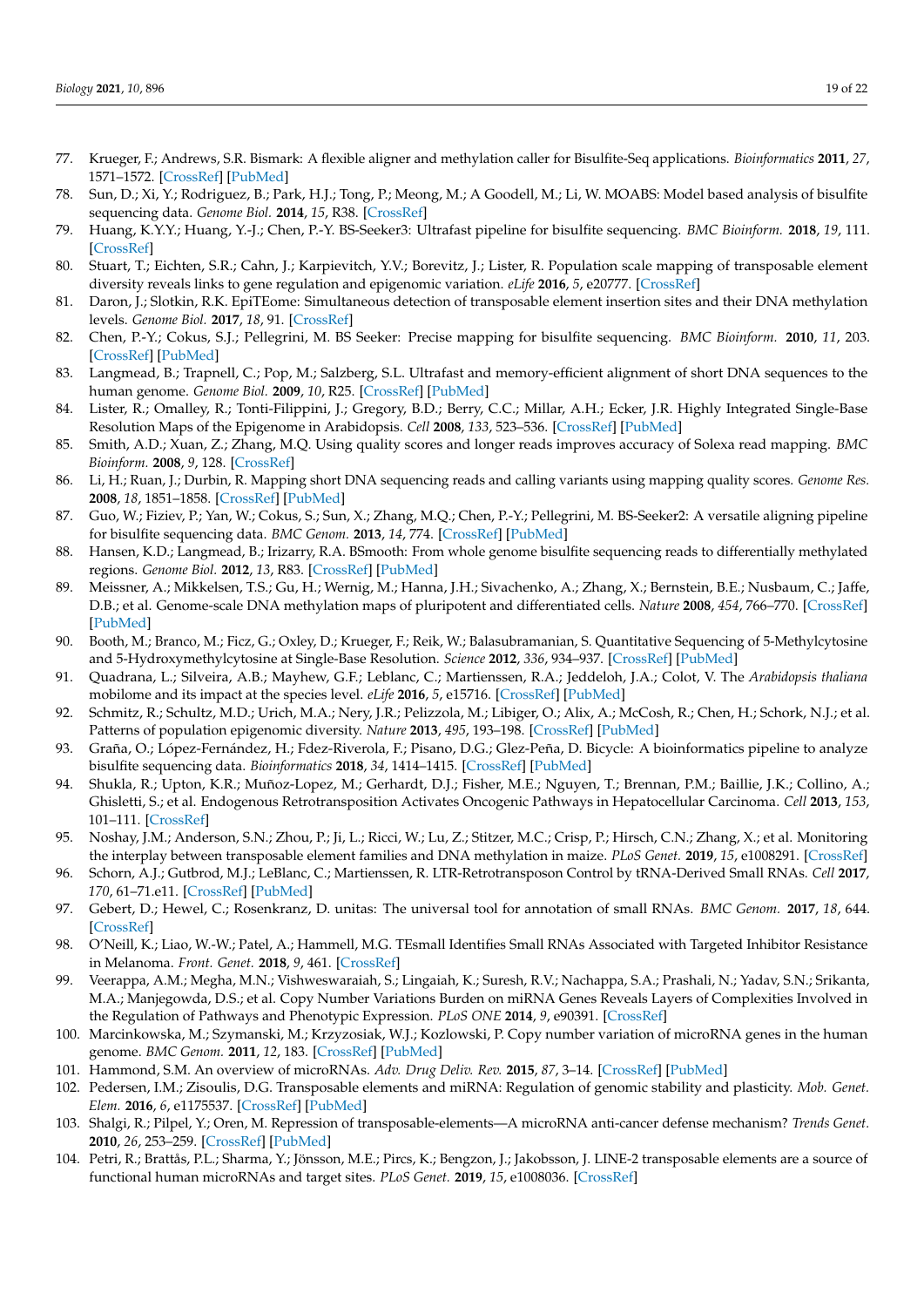- <span id="page-18-0"></span>77. Krueger, F.; Andrews, S.R. Bismark: A flexible aligner and methylation caller for Bisulfite-Seq applications. *Bioinformatics* **2011**, *27*, 1571–1572. [\[CrossRef\]](http://doi.org/10.1093/bioinformatics/btr167) [\[PubMed\]](http://www.ncbi.nlm.nih.gov/pubmed/21493656)
- <span id="page-18-1"></span>78. Sun, D.; Xi, Y.; Rodriguez, B.; Park, H.J.; Tong, P.; Meong, M.; A Goodell, M.; Li, W. MOABS: Model based analysis of bisulfite sequencing data. *Genome Biol.* **2014**, *15*, R38. [\[CrossRef\]](http://doi.org/10.1186/gb-2014-15-2-r38)
- <span id="page-18-2"></span>79. Huang, K.Y.Y.; Huang, Y.-J.; Chen, P.-Y. BS-Seeker3: Ultrafast pipeline for bisulfite sequencing. *BMC Bioinform.* **2018**, *19*, 111. [\[CrossRef\]](http://doi.org/10.1186/s12859-018-2120-7)
- <span id="page-18-3"></span>80. Stuart, T.; Eichten, S.R.; Cahn, J.; Karpievitch, Y.V.; Borevitz, J.; Lister, R. Population scale mapping of transposable element diversity reveals links to gene regulation and epigenomic variation. *eLife* **2016**, *5*, e20777. [\[CrossRef\]](http://doi.org/10.7554/eLife.20777)
- <span id="page-18-4"></span>81. Daron, J.; Slotkin, R.K. EpiTEome: Simultaneous detection of transposable element insertion sites and their DNA methylation levels. *Genome Biol.* **2017**, *18*, 91. [\[CrossRef\]](http://doi.org/10.1186/s13059-017-1232-0)
- <span id="page-18-5"></span>82. Chen, P.-Y.; Cokus, S.J.; Pellegrini, M. BS Seeker: Precise mapping for bisulfite sequencing. *BMC Bioinform.* **2010**, *11*, 203. [\[CrossRef\]](http://doi.org/10.1186/1471-2105-11-203) [\[PubMed\]](http://www.ncbi.nlm.nih.gov/pubmed/20416082)
- <span id="page-18-6"></span>83. Langmead, B.; Trapnell, C.; Pop, M.; Salzberg, S.L. Ultrafast and memory-efficient alignment of short DNA sequences to the human genome. *Genome Biol.* **2009**, *10*, R25. [\[CrossRef\]](http://doi.org/10.1186/gb-2009-10-3-r25) [\[PubMed\]](http://www.ncbi.nlm.nih.gov/pubmed/19261174)
- <span id="page-18-7"></span>84. Lister, R.; Omalley, R.; Tonti-Filippini, J.; Gregory, B.D.; Berry, C.C.; Millar, A.H.; Ecker, J.R. Highly Integrated Single-Base Resolution Maps of the Epigenome in Arabidopsis. *Cell* **2008**, *133*, 523–536. [\[CrossRef\]](http://doi.org/10.1016/j.cell.2008.03.029) [\[PubMed\]](http://www.ncbi.nlm.nih.gov/pubmed/18423832)
- <span id="page-18-8"></span>85. Smith, A.D.; Xuan, Z.; Zhang, M.Q. Using quality scores and longer reads improves accuracy of Solexa read mapping. *BMC Bioinform.* **2008**, *9*, 128. [\[CrossRef\]](http://doi.org/10.1186/1471-2105-9-128)
- <span id="page-18-9"></span>86. Li, H.; Ruan, J.; Durbin, R. Mapping short DNA sequencing reads and calling variants using mapping quality scores. *Genome Res.* **2008**, *18*, 1851–1858. [\[CrossRef\]](http://doi.org/10.1101/gr.078212.108) [\[PubMed\]](http://www.ncbi.nlm.nih.gov/pubmed/18714091)
- <span id="page-18-10"></span>87. Guo, W.; Fiziev, P.; Yan, W.; Cokus, S.; Sun, X.; Zhang, M.Q.; Chen, P.-Y.; Pellegrini, M. BS-Seeker2: A versatile aligning pipeline for bisulfite sequencing data. *BMC Genom.* **2013**, *14*, 774. [\[CrossRef\]](http://doi.org/10.1186/1471-2164-14-774) [\[PubMed\]](http://www.ncbi.nlm.nih.gov/pubmed/24206606)
- <span id="page-18-11"></span>88. Hansen, K.D.; Langmead, B.; Irizarry, R.A. BSmooth: From whole genome bisulfite sequencing reads to differentially methylated regions. *Genome Biol.* **2012**, *13*, R83. [\[CrossRef\]](http://doi.org/10.1186/gb-2012-13-10-r83) [\[PubMed\]](http://www.ncbi.nlm.nih.gov/pubmed/23034175)
- <span id="page-18-12"></span>89. Meissner, A.; Mikkelsen, T.S.; Gu, H.; Wernig, M.; Hanna, J.H.; Sivachenko, A.; Zhang, X.; Bernstein, B.E.; Nusbaum, C.; Jaffe, D.B.; et al. Genome-scale DNA methylation maps of pluripotent and differentiated cells. *Nature* **2008**, *454*, 766–770. [\[CrossRef\]](http://doi.org/10.1038/nature07107) [\[PubMed\]](http://www.ncbi.nlm.nih.gov/pubmed/18600261)
- <span id="page-18-13"></span>90. Booth, M.; Branco, M.; Ficz, G.; Oxley, D.; Krueger, F.; Reik, W.; Balasubramanian, S. Quantitative Sequencing of 5-Methylcytosine and 5-Hydroxymethylcytosine at Single-Base Resolution. *Science* **2012**, *336*, 934–937. [\[CrossRef\]](http://doi.org/10.1126/science.1220671) [\[PubMed\]](http://www.ncbi.nlm.nih.gov/pubmed/22539555)
- <span id="page-18-14"></span>91. Quadrana, L.; Silveira, A.B.; Mayhew, G.F.; Leblanc, C.; Martienssen, R.A.; Jeddeloh, J.A.; Colot, V. The *Arabidopsis thaliana* mobilome and its impact at the species level. *eLife* **2016**, *5*, e15716. [\[CrossRef\]](http://doi.org/10.7554/eLife.15716) [\[PubMed\]](http://www.ncbi.nlm.nih.gov/pubmed/27258693)
- <span id="page-18-15"></span>92. Schmitz, R.; Schultz, M.D.; Urich, M.A.; Nery, J.R.; Pelizzola, M.; Libiger, O.; Alix, A.; McCosh, R.; Chen, H.; Schork, N.J.; et al. Patterns of population epigenomic diversity. *Nature* **2013**, *495*, 193–198. [\[CrossRef\]](http://doi.org/10.1038/nature11968) [\[PubMed\]](http://www.ncbi.nlm.nih.gov/pubmed/23467092)
- <span id="page-18-16"></span>93. Graña, O.; López-Fernández, H.; Fdez-Riverola, F.; Pisano, D.G.; Glez-Peña, D. Bicycle: A bioinformatics pipeline to analyze bisulfite sequencing data. *Bioinformatics* **2018**, *34*, 1414–1415. [\[CrossRef\]](http://doi.org/10.1093/bioinformatics/btx778) [\[PubMed\]](http://www.ncbi.nlm.nih.gov/pubmed/29211825)
- <span id="page-18-17"></span>94. Shukla, R.; Upton, K.R.; Muñoz-Lopez, M.; Gerhardt, D.J.; Fisher, M.E.; Nguyen, T.; Brennan, P.M.; Baillie, J.K.; Collino, A.; Ghisletti, S.; et al. Endogenous Retrotransposition Activates Oncogenic Pathways in Hepatocellular Carcinoma. *Cell* **2013**, *153*, 101–111. [\[CrossRef\]](http://doi.org/10.1016/j.cell.2013.02.032)
- <span id="page-18-18"></span>95. Noshay, J.M.; Anderson, S.N.; Zhou, P.; Ji, L.; Ricci, W.; Lu, Z.; Stitzer, M.C.; Crisp, P.; Hirsch, C.N.; Zhang, X.; et al. Monitoring the interplay between transposable element families and DNA methylation in maize. *PLoS Genet.* **2019**, *15*, e1008291. [\[CrossRef\]](http://doi.org/10.1371/journal.pgen.1008291)
- <span id="page-18-19"></span>96. Schorn, A.J.; Gutbrod, M.J.; LeBlanc, C.; Martienssen, R. LTR-Retrotransposon Control by tRNA-Derived Small RNAs. *Cell* **2017**, *170*, 61–71.e11. [\[CrossRef\]](http://doi.org/10.1016/j.cell.2017.06.013) [\[PubMed\]](http://www.ncbi.nlm.nih.gov/pubmed/28666125)
- <span id="page-18-20"></span>97. Gebert, D.; Hewel, C.; Rosenkranz, D. unitas: The universal tool for annotation of small RNAs. *BMC Genom.* **2017**, *18*, 644. [\[CrossRef\]](http://doi.org/10.1186/s12864-017-4031-9)
- <span id="page-18-21"></span>98. O'Neill, K.; Liao, W.-W.; Patel, A.; Hammell, M.G. TEsmall Identifies Small RNAs Associated with Targeted Inhibitor Resistance in Melanoma. *Front. Genet.* **2018**, *9*, 461. [\[CrossRef\]](http://doi.org/10.3389/fgene.2018.00461)
- <span id="page-18-22"></span>99. Veerappa, A.M.; Megha, M.N.; Vishweswaraiah, S.; Lingaiah, K.; Suresh, R.V.; Nachappa, S.A.; Prashali, N.; Yadav, S.N.; Srikanta, M.A.; Manjegowda, D.S.; et al. Copy Number Variations Burden on miRNA Genes Reveals Layers of Complexities Involved in the Regulation of Pathways and Phenotypic Expression. *PLoS ONE* **2014**, *9*, e90391. [\[CrossRef\]](http://doi.org/10.1371/journal.pone.0090391)
- 100. Marcinkowska, M.; Szymanski, M.; Krzyzosiak, W.J.; Kozlowski, P. Copy number variation of microRNA genes in the human genome. *BMC Genom.* **2011**, *12*, 183. [\[CrossRef\]](http://doi.org/10.1186/1471-2164-12-183) [\[PubMed\]](http://www.ncbi.nlm.nih.gov/pubmed/21486463)
- <span id="page-18-23"></span>101. Hammond, S.M. An overview of microRNAs. *Adv. Drug Deliv. Rev.* **2015**, *87*, 3–14. [\[CrossRef\]](http://doi.org/10.1016/j.addr.2015.05.001) [\[PubMed\]](http://www.ncbi.nlm.nih.gov/pubmed/25979468)
- <span id="page-18-24"></span>102. Pedersen, I.M.; Zisoulis, D.G. Transposable elements and miRNA: Regulation of genomic stability and plasticity. *Mob. Genet. Elem.* **2016**, *6*, e1175537. [\[CrossRef\]](http://doi.org/10.1080/2159256X.2016.1175537) [\[PubMed\]](http://www.ncbi.nlm.nih.gov/pubmed/27511122)
- 103. Shalgi, R.; Pilpel, Y.; Oren, M. Repression of transposable-elements—A microRNA anti-cancer defense mechanism? *Trends Genet.* **2010**, *26*, 253–259. [\[CrossRef\]](http://doi.org/10.1016/j.tig.2010.03.006) [\[PubMed\]](http://www.ncbi.nlm.nih.gov/pubmed/20417576)
- 104. Petri, R.; Brattås, P.L.; Sharma, Y.; Jönsson, M.E.; Pircs, K.; Bengzon, J.; Jakobsson, J. LINE-2 transposable elements are a source of functional human microRNAs and target sites. *PLoS Genet.* **2019**, *15*, e1008036. [\[CrossRef\]](http://doi.org/10.1371/journal.pgen.1008036)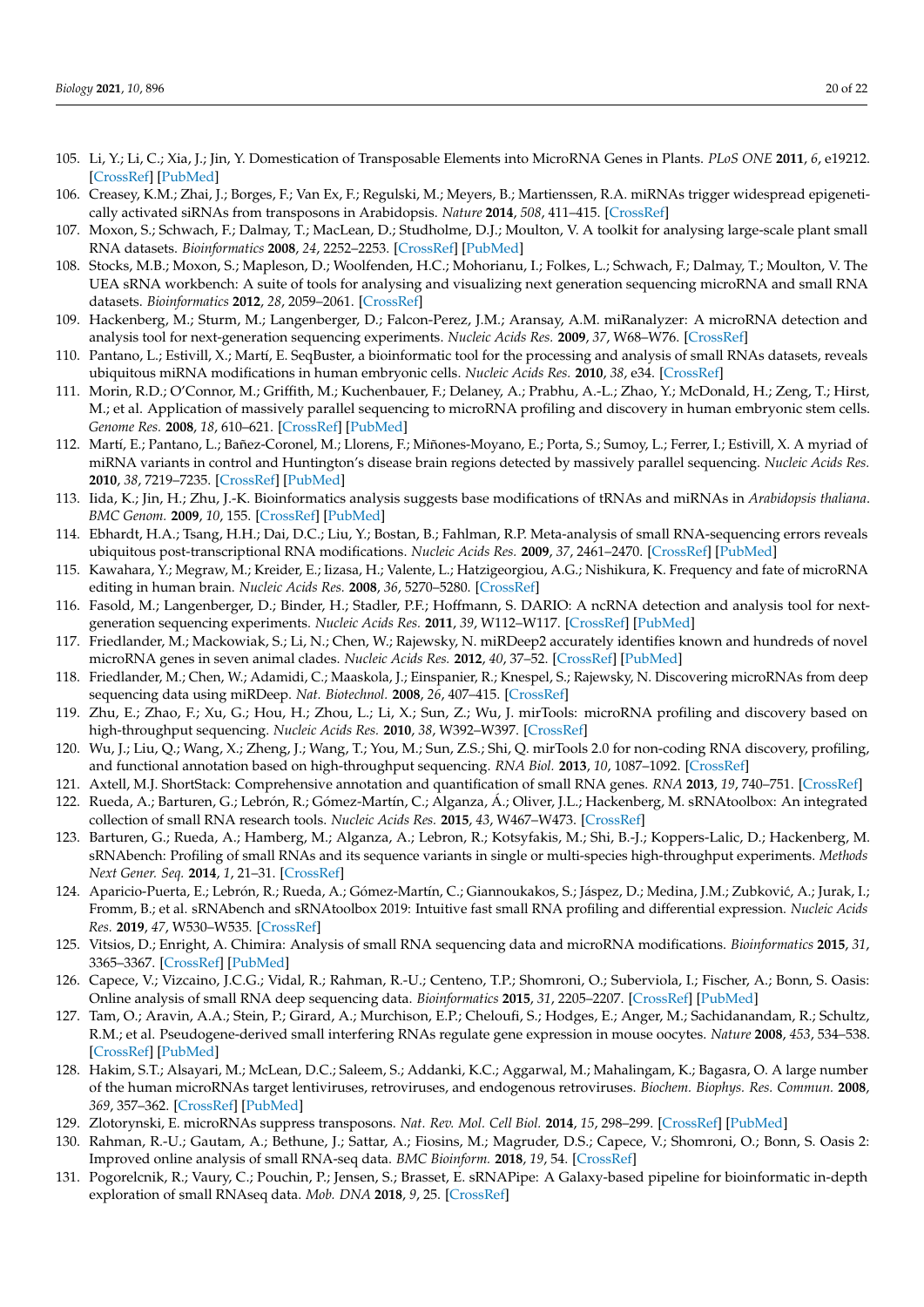- 105. Li, Y.; Li, C.; Xia, J.; Jin, Y. Domestication of Transposable Elements into MicroRNA Genes in Plants. *PLoS ONE* **2011**, *6*, e19212. [\[CrossRef\]](http://doi.org/10.1371/journal.pone.0019212) [\[PubMed\]](http://www.ncbi.nlm.nih.gov/pubmed/21559273)
- <span id="page-19-0"></span>106. Creasey, K.M.; Zhai, J.; Borges, F.; Van Ex, F.; Regulski, M.; Meyers, B.; Martienssen, R.A. miRNAs trigger widespread epigenetically activated siRNAs from transposons in Arabidopsis. *Nature* **2014**, *508*, 411–415. [\[CrossRef\]](http://doi.org/10.1038/nature13069)
- <span id="page-19-1"></span>107. Moxon, S.; Schwach, F.; Dalmay, T.; MacLean, D.; Studholme, D.J.; Moulton, V. A toolkit for analysing large-scale plant small RNA datasets. *Bioinformatics* **2008**, *24*, 2252–2253. [\[CrossRef\]](http://doi.org/10.1093/bioinformatics/btn428) [\[PubMed\]](http://www.ncbi.nlm.nih.gov/pubmed/18713789)
- <span id="page-19-2"></span>108. Stocks, M.B.; Moxon, S.; Mapleson, D.; Woolfenden, H.C.; Mohorianu, I.; Folkes, L.; Schwach, F.; Dalmay, T.; Moulton, V. The UEA sRNA workbench: A suite of tools for analysing and visualizing next generation sequencing microRNA and small RNA datasets. *Bioinformatics* **2012**, *28*, 2059–2061. [\[CrossRef\]](http://doi.org/10.1093/bioinformatics/bts311)
- <span id="page-19-3"></span>109. Hackenberg, M.; Sturm, M.; Langenberger, D.; Falcon-Perez, J.M.; Aransay, A.M. miRanalyzer: A microRNA detection and analysis tool for next-generation sequencing experiments. *Nucleic Acids Res.* **2009**, *37*, W68–W76. [\[CrossRef\]](http://doi.org/10.1093/nar/gkp347)
- <span id="page-19-4"></span>110. Pantano, L.; Estivill, X.; Martí, E. SeqBuster, a bioinformatic tool for the processing and analysis of small RNAs datasets, reveals ubiquitous miRNA modifications in human embryonic cells. *Nucleic Acids Res.* **2010**, *38*, e34. [\[CrossRef\]](http://doi.org/10.1093/nar/gkp1127)
- <span id="page-19-5"></span>111. Morin, R.D.; O'Connor, M.; Griffith, M.; Kuchenbauer, F.; Delaney, A.; Prabhu, A.-L.; Zhao, Y.; McDonald, H.; Zeng, T.; Hirst, M.; et al. Application of massively parallel sequencing to microRNA profiling and discovery in human embryonic stem cells. *Genome Res.* **2008**, *18*, 610–621. [\[CrossRef\]](http://doi.org/10.1101/gr.7179508) [\[PubMed\]](http://www.ncbi.nlm.nih.gov/pubmed/18285502)
- <span id="page-19-6"></span>112. Martí, E.; Pantano, L.; Bañez-Coronel, M.; Llorens, F.; Miñones-Moyano, E.; Porta, S.; Sumoy, L.; Ferrer, I.; Estivill, X. A myriad of miRNA variants in control and Huntington's disease brain regions detected by massively parallel sequencing. *Nucleic Acids Res.* **2010**, *38*, 7219–7235. [\[CrossRef\]](http://doi.org/10.1093/nar/gkq575) [\[PubMed\]](http://www.ncbi.nlm.nih.gov/pubmed/20591823)
- 113. Iida, K.; Jin, H.; Zhu, J.-K. Bioinformatics analysis suggests base modifications of tRNAs and miRNAs in *Arabidopsis thaliana*. *BMC Genom.* **2009**, *10*, 155. [\[CrossRef\]](http://doi.org/10.1186/1471-2164-10-155) [\[PubMed\]](http://www.ncbi.nlm.nih.gov/pubmed/19358740)
- <span id="page-19-23"></span>114. Ebhardt, H.A.; Tsang, H.H.; Dai, D.C.; Liu, Y.; Bostan, B.; Fahlman, R.P. Meta-analysis of small RNA-sequencing errors reveals ubiquitous post-transcriptional RNA modifications. *Nucleic Acids Res.* **2009**, *37*, 2461–2470. [\[CrossRef\]](http://doi.org/10.1093/nar/gkp093) [\[PubMed\]](http://www.ncbi.nlm.nih.gov/pubmed/19255090)
- <span id="page-19-7"></span>115. Kawahara, Y.; Megraw, M.; Kreider, E.; Iizasa, H.; Valente, L.; Hatzigeorgiou, A.G.; Nishikura, K. Frequency and fate of microRNA editing in human brain. *Nucleic Acids Res.* **2008**, *36*, 5270–5280. [\[CrossRef\]](http://doi.org/10.1093/nar/gkn479)
- <span id="page-19-8"></span>116. Fasold, M.; Langenberger, D.; Binder, H.; Stadler, P.F.; Hoffmann, S. DARIO: A ncRNA detection and analysis tool for nextgeneration sequencing experiments. *Nucleic Acids Res.* **2011**, *39*, W112–W117. [\[CrossRef\]](http://doi.org/10.1093/nar/gkr357) [\[PubMed\]](http://www.ncbi.nlm.nih.gov/pubmed/21622957)
- <span id="page-19-9"></span>117. Friedlander, M.; Mackowiak, S.; Li, N.; Chen, W.; Rajewsky, N. miRDeep2 accurately identifies known and hundreds of novel microRNA genes in seven animal clades. *Nucleic Acids Res.* **2012**, *40*, 37–52. [\[CrossRef\]](http://doi.org/10.1093/nar/gkr688) [\[PubMed\]](http://www.ncbi.nlm.nih.gov/pubmed/21911355)
- <span id="page-19-10"></span>118. Friedlander, M.; Chen, W.; Adamidi, C.; Maaskola, J.; Einspanier, R.; Knespel, S.; Rajewsky, N. Discovering microRNAs from deep sequencing data using miRDeep. *Nat. Biotechnol.* **2008**, *26*, 407–415. [\[CrossRef\]](http://doi.org/10.1038/nbt1394)
- <span id="page-19-11"></span>119. Zhu, E.; Zhao, F.; Xu, G.; Hou, H.; Zhou, L.; Li, X.; Sun, Z.; Wu, J. mirTools: microRNA profiling and discovery based on high-throughput sequencing. *Nucleic Acids Res.* **2010**, *38*, W392–W397. [\[CrossRef\]](http://doi.org/10.1093/nar/gkq393)
- <span id="page-19-12"></span>120. Wu, J.; Liu, Q.; Wang, X.; Zheng, J.; Wang, T.; You, M.; Sun, Z.S.; Shi, Q. mirTools 2.0 for non-coding RNA discovery, profiling, and functional annotation based on high-throughput sequencing. *RNA Biol.* **2013**, *10*, 1087–1092. [\[CrossRef\]](http://doi.org/10.4161/rna.25193)
- <span id="page-19-13"></span>121. Axtell, M.J. ShortStack: Comprehensive annotation and quantification of small RNA genes. *RNA* **2013**, *19*, 740–751. [\[CrossRef\]](http://doi.org/10.1261/rna.035279.112)
- <span id="page-19-14"></span>122. Rueda, A.; Barturen, G.; Lebrón, R.; Gómez-Martín, C.; Alganza, Á.; Oliver, J.L.; Hackenberg, M. sRNAtoolbox: An integrated collection of small RNA research tools. *Nucleic Acids Res.* **2015**, *43*, W467–W473. [\[CrossRef\]](http://doi.org/10.1093/nar/gkv555)
- <span id="page-19-15"></span>123. Barturen, G.; Rueda, A.; Hamberg, M.; Alganza, A.; Lebron, R.; Kotsyfakis, M.; Shi, B.-J.; Koppers-Lalic, D.; Hackenberg, M. sRNAbench: Profiling of small RNAs and its sequence variants in single or multi-species high-throughput experiments. *Methods Next Gener. Seq.* **2014**, *1*, 21–31. [\[CrossRef\]](http://doi.org/10.2478/mngs-2014-0001)
- <span id="page-19-16"></span>124. Aparicio-Puerta, E.; Lebrón, R.; Rueda, A.; Gómez-Martín, C.; Giannoukakos, S.; Jáspez, D.; Medina, J.M.; Zubković, A.; Jurak, I.; Fromm, B.; et al. sRNAbench and sRNAtoolbox 2019: Intuitive fast small RNA profiling and differential expression. *Nucleic Acids Res.* **2019**, *47*, W530–W535. [\[CrossRef\]](http://doi.org/10.1093/nar/gkz415)
- <span id="page-19-17"></span>125. Vitsios, D.; Enright, A. Chimira: Analysis of small RNA sequencing data and microRNA modifications. *Bioinformatics* **2015**, *31*, 3365–3367. [\[CrossRef\]](http://doi.org/10.1093/bioinformatics/btv380) [\[PubMed\]](http://www.ncbi.nlm.nih.gov/pubmed/26093149)
- <span id="page-19-18"></span>126. Capece, V.; Vizcaino, J.C.G.; Vidal, R.; Rahman, R.-U.; Centeno, T.P.; Shomroni, O.; Suberviola, I.; Fischer, A.; Bonn, S. Oasis: Online analysis of small RNA deep sequencing data. *Bioinformatics* **2015**, *31*, 2205–2207. [\[CrossRef\]](http://doi.org/10.1093/bioinformatics/btv113) [\[PubMed\]](http://www.ncbi.nlm.nih.gov/pubmed/25701573)
- <span id="page-19-19"></span>127. Tam, O.; Aravin, A.A.; Stein, P.; Girard, A.; Murchison, E.P.; Cheloufi, S.; Hodges, E.; Anger, M.; Sachidanandam, R.; Schultz, R.M.; et al. Pseudogene-derived small interfering RNAs regulate gene expression in mouse oocytes. *Nature* **2008**, *453*, 534–538. [\[CrossRef\]](http://doi.org/10.1038/nature06904) [\[PubMed\]](http://www.ncbi.nlm.nih.gov/pubmed/18404147)
- 128. Hakim, S.T.; Alsayari, M.; McLean, D.C.; Saleem, S.; Addanki, K.C.; Aggarwal, M.; Mahalingam, K.; Bagasra, O. A large number of the human microRNAs target lentiviruses, retroviruses, and endogenous retroviruses. *Biochem. Biophys. Res. Commun.* **2008**, *369*, 357–362. [\[CrossRef\]](http://doi.org/10.1016/j.bbrc.2008.02.025) [\[PubMed\]](http://www.ncbi.nlm.nih.gov/pubmed/18282469)
- <span id="page-19-20"></span>129. Zlotorynski, E. microRNAs suppress transposons. *Nat. Rev. Mol. Cell Biol.* **2014**, *15*, 298–299. [\[CrossRef\]](http://doi.org/10.1038/nrm3788) [\[PubMed\]](http://www.ncbi.nlm.nih.gov/pubmed/24694981)
- <span id="page-19-21"></span>130. Rahman, R.-U.; Gautam, A.; Bethune, J.; Sattar, A.; Fiosins, M.; Magruder, D.S.; Capece, V.; Shomroni, O.; Bonn, S. Oasis 2: Improved online analysis of small RNA-seq data. *BMC Bioinform.* **2018**, *19*, 54. [\[CrossRef\]](http://doi.org/10.1186/s12859-018-2047-z)
- <span id="page-19-22"></span>131. Pogorelcnik, R.; Vaury, C.; Pouchin, P.; Jensen, S.; Brasset, E. sRNAPipe: A Galaxy-based pipeline for bioinformatic in-depth exploration of small RNAseq data. *Mob. DNA* **2018**, *9*, 25. [\[CrossRef\]](http://doi.org/10.1186/s13100-018-0130-7)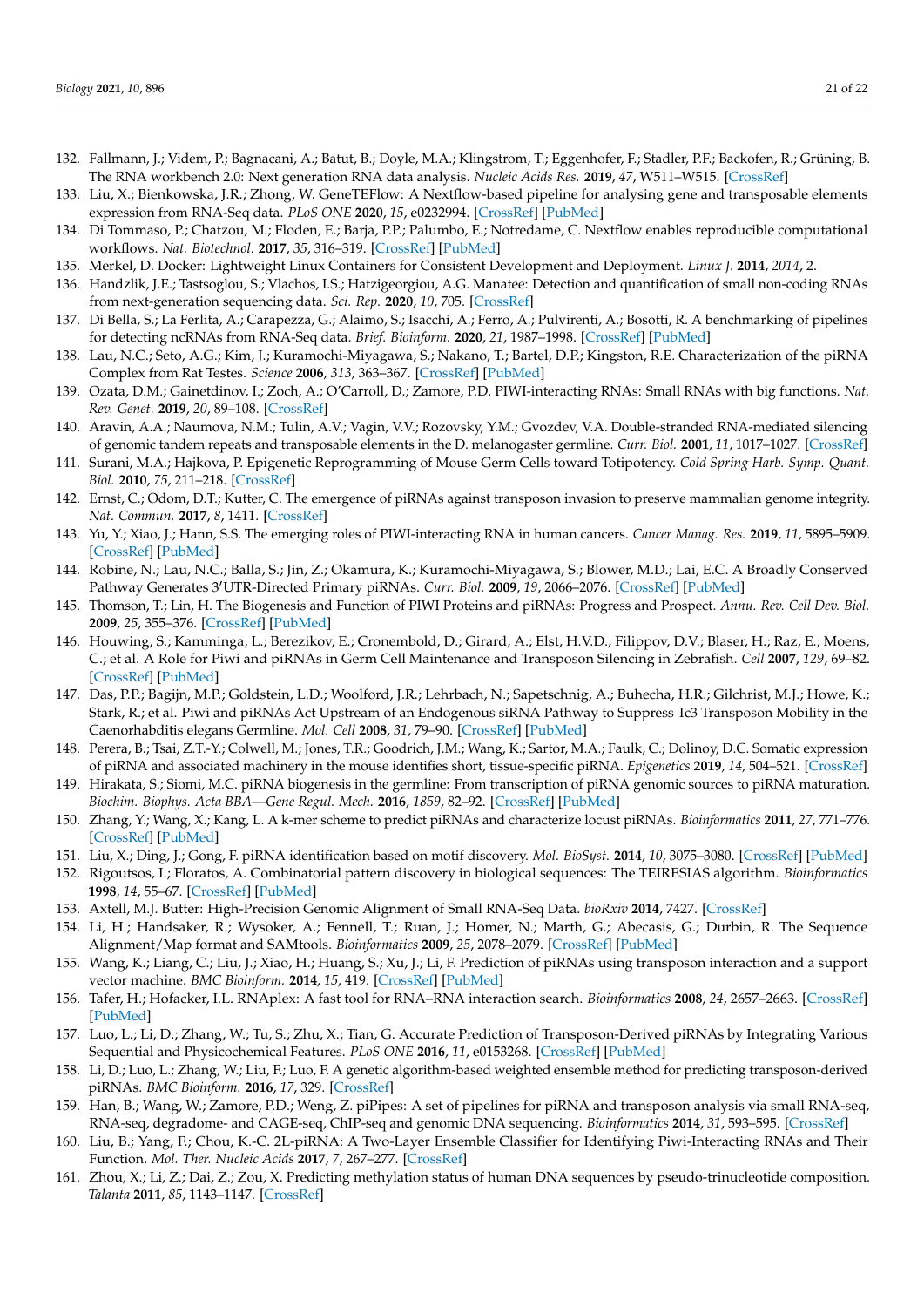- <span id="page-20-0"></span>132. Fallmann, J.; Videm, P.; Bagnacani, A.; Batut, B.; Doyle, M.A.; Klingstrom, T.; Eggenhofer, F.; Stadler, P.F.; Backofen, R.; Grüning, B. The RNA workbench 2.0: Next generation RNA data analysis. *Nucleic Acids Res.* **2019**, *47*, W511–W515. [\[CrossRef\]](http://doi.org/10.1093/nar/gkz353)
- <span id="page-20-1"></span>133. Liu, X.; Bienkowska, J.R.; Zhong, W. GeneTEFlow: A Nextflow-based pipeline for analysing gene and transposable elements expression from RNA-Seq data. *PLoS ONE* **2020**, *15*, e0232994. [\[CrossRef\]](http://doi.org/10.1371/journal.pone.0232994) [\[PubMed\]](http://www.ncbi.nlm.nih.gov/pubmed/32866155)
- <span id="page-20-2"></span>134. Di Tommaso, P.; Chatzou, M.; Floden, E.; Barja, P.P.; Palumbo, E.; Notredame, C. Nextflow enables reproducible computational workflows. *Nat. Biotechnol.* **2017**, *35*, 316–319. [\[CrossRef\]](http://doi.org/10.1038/nbt.3820) [\[PubMed\]](http://www.ncbi.nlm.nih.gov/pubmed/28398311)
- <span id="page-20-3"></span>135. Merkel, D. Docker: Lightweight Linux Containers for Consistent Development and Deployment. *Linux J.* **2014**, *2014*, 2.
- <span id="page-20-4"></span>136. Handzlik, J.E.; Tastsoglou, S.; Vlachos, I.S.; Hatzigeorgiou, A.G. Manatee: Detection and quantification of small non-coding RNAs from next-generation sequencing data. *Sci. Rep.* **2020**, *10*, 705. [\[CrossRef\]](http://doi.org/10.1038/s41598-020-57495-9)
- <span id="page-20-5"></span>137. Di Bella, S.; La Ferlita, A.; Carapezza, G.; Alaimo, S.; Isacchi, A.; Ferro, A.; Pulvirenti, A.; Bosotti, R. A benchmarking of pipelines for detecting ncRNAs from RNA-Seq data. *Brief. Bioinform.* **2020**, *21*, 1987–1998. [\[CrossRef\]](http://doi.org/10.1093/bib/bbz110) [\[PubMed\]](http://www.ncbi.nlm.nih.gov/pubmed/31740918)
- <span id="page-20-6"></span>138. Lau, N.C.; Seto, A.G.; Kim, J.; Kuramochi-Miyagawa, S.; Nakano, T.; Bartel, D.P.; Kingston, R.E. Characterization of the piRNA Complex from Rat Testes. *Science* **2006**, *313*, 363–367. [\[CrossRef\]](http://doi.org/10.1126/science.1130164) [\[PubMed\]](http://www.ncbi.nlm.nih.gov/pubmed/16778019)
- <span id="page-20-7"></span>139. Ozata, D.M.; Gainetdinov, I.; Zoch, A.; O'Carroll, D.; Zamore, P.D. PIWI-interacting RNAs: Small RNAs with big functions. *Nat. Rev. Genet.* **2019**, *20*, 89–108. [\[CrossRef\]](http://doi.org/10.1038/s41576-018-0073-3)
- <span id="page-20-8"></span>140. Aravin, A.A.; Naumova, N.M.; Tulin, A.V.; Vagin, V.V.; Rozovsky, Y.M.; Gvozdev, V.A. Double-stranded RNA-mediated silencing of genomic tandem repeats and transposable elements in the D. melanogaster germline. *Curr. Biol.* **2001**, *11*, 1017–1027. [\[CrossRef\]](http://doi.org/10.1016/S0960-9822(01)00299-8)
- <span id="page-20-9"></span>141. Surani, M.A.; Hajkova, P. Epigenetic Reprogramming of Mouse Germ Cells toward Totipotency. *Cold Spring Harb. Symp. Quant. Biol.* **2010**, *75*, 211–218. [\[CrossRef\]](http://doi.org/10.1101/sqb.2010.75.010)
- <span id="page-20-10"></span>142. Ernst, C.; Odom, D.T.; Kutter, C. The emergence of piRNAs against transposon invasion to preserve mammalian genome integrity. *Nat. Commun.* **2017**, *8*, 1411. [\[CrossRef\]](http://doi.org/10.1038/s41467-017-01049-7)
- <span id="page-20-11"></span>143. Yu, Y.; Xiao, J.; Hann, S.S. The emerging roles of PIWI-interacting RNA in human cancers. *Cancer Manag. Res.* **2019**, *11*, 5895–5909. [\[CrossRef\]](http://doi.org/10.2147/CMAR.S209300) [\[PubMed\]](http://www.ncbi.nlm.nih.gov/pubmed/31303794)
- <span id="page-20-12"></span>144. Robine, N.; Lau, N.C.; Balla, S.; Jin, Z.; Okamura, K.; Kuramochi-Miyagawa, S.; Blower, M.D.; Lai, E.C. A Broadly Conserved Pathway Generates 3<sup>'</sup>UTR-Directed Primary piRNAs. *Curr. Biol.* 2009, 19, 2066–2076. [\[CrossRef\]](http://doi.org/10.1016/j.cub.2009.11.064) [\[PubMed\]](http://www.ncbi.nlm.nih.gov/pubmed/20022248)
- 145. Thomson, T.; Lin, H. The Biogenesis and Function of PIWI Proteins and piRNAs: Progress and Prospect. *Annu. Rev. Cell Dev. Biol.* **2009**, *25*, 355–376. [\[CrossRef\]](http://doi.org/10.1146/annurev.cellbio.24.110707.175327) [\[PubMed\]](http://www.ncbi.nlm.nih.gov/pubmed/19575643)
- 146. Houwing, S.; Kamminga, L.; Berezikov, E.; Cronembold, D.; Girard, A.; Elst, H.V.D.; Filippov, D.V.; Blaser, H.; Raz, E.; Moens, C.; et al. A Role for Piwi and piRNAs in Germ Cell Maintenance and Transposon Silencing in Zebrafish. *Cell* **2007**, *129*, 69–82. [\[CrossRef\]](http://doi.org/10.1016/j.cell.2007.03.026) [\[PubMed\]](http://www.ncbi.nlm.nih.gov/pubmed/17418787)
- <span id="page-20-13"></span>147. Das, P.P.; Bagijn, M.P.; Goldstein, L.D.; Woolford, J.R.; Lehrbach, N.; Sapetschnig, A.; Buhecha, H.R.; Gilchrist, M.J.; Howe, K.; Stark, R.; et al. Piwi and piRNAs Act Upstream of an Endogenous siRNA Pathway to Suppress Tc3 Transposon Mobility in the Caenorhabditis elegans Germline. *Mol. Cell* **2008**, *31*, 79–90. [\[CrossRef\]](http://doi.org/10.1016/j.molcel.2008.06.003) [\[PubMed\]](http://www.ncbi.nlm.nih.gov/pubmed/18571451)
- <span id="page-20-14"></span>148. Perera, B.; Tsai, Z.T.-Y.; Colwell, M.; Jones, T.R.; Goodrich, J.M.; Wang, K.; Sartor, M.A.; Faulk, C.; Dolinoy, D.C. Somatic expression of piRNA and associated machinery in the mouse identifies short, tissue-specific piRNA. *Epigenetics* **2019**, *14*, 504–521. [\[CrossRef\]](http://doi.org/10.1080/15592294.2019.1600389)
- <span id="page-20-15"></span>149. Hirakata, S.; Siomi, M.C. piRNA biogenesis in the germline: From transcription of piRNA genomic sources to piRNA maturation. *Biochim. Biophys. Acta BBA—Gene Regul. Mech.* **2016**, *1859*, 82–92. [\[CrossRef\]](http://doi.org/10.1016/j.bbagrm.2015.09.002) [\[PubMed\]](http://www.ncbi.nlm.nih.gov/pubmed/26348412)
- <span id="page-20-16"></span>150. Zhang, Y.; Wang, X.; Kang, L. A k-mer scheme to predict piRNAs and characterize locust piRNAs. *Bioinformatics* **2011**, *27*, 771–776. [\[CrossRef\]](http://doi.org/10.1093/bioinformatics/btr016) [\[PubMed\]](http://www.ncbi.nlm.nih.gov/pubmed/21224287)
- <span id="page-20-17"></span>151. Liu, X.; Ding, J.; Gong, F. piRNA identification based on motif discovery. *Mol. BioSyst.* **2014**, *10*, 3075–3080. [\[CrossRef\]](http://doi.org/10.1039/C4MB00447G) [\[PubMed\]](http://www.ncbi.nlm.nih.gov/pubmed/25230731)
- <span id="page-20-18"></span>152. Rigoutsos, I.; Floratos, A. Combinatorial pattern discovery in biological sequences: The TEIRESIAS algorithm. *Bioinformatics* **1998**, *14*, 55–67. [\[CrossRef\]](http://doi.org/10.1093/bioinformatics/14.1.55) [\[PubMed\]](http://www.ncbi.nlm.nih.gov/pubmed/9520502)
- <span id="page-20-19"></span>153. Axtell, M.J. Butter: High-Precision Genomic Alignment of Small RNA-Seq Data. *bioRxiv* **2014**, 7427. [\[CrossRef\]](http://doi.org/10.1101/007427)
- <span id="page-20-20"></span>154. Li, H.; Handsaker, R.; Wysoker, A.; Fennell, T.; Ruan, J.; Homer, N.; Marth, G.; Abecasis, G.; Durbin, R. The Sequence Alignment/Map format and SAMtools. *Bioinformatics* **2009**, *25*, 2078–2079. [\[CrossRef\]](http://doi.org/10.1093/bioinformatics/btp352) [\[PubMed\]](http://www.ncbi.nlm.nih.gov/pubmed/19505943)
- <span id="page-20-21"></span>155. Wang, K.; Liang, C.; Liu, J.; Xiao, H.; Huang, S.; Xu, J.; Li, F. Prediction of piRNAs using transposon interaction and a support vector machine. *BMC Bioinform.* **2014**, *15*, 419. [\[CrossRef\]](http://doi.org/10.1186/s12859-014-0419-6) [\[PubMed\]](http://www.ncbi.nlm.nih.gov/pubmed/25547961)
- <span id="page-20-22"></span>156. Tafer, H.; Hofacker, I.L. RNAplex: A fast tool for RNA–RNA interaction search. *Bioinformatics* **2008**, *24*, 2657–2663. [\[CrossRef\]](http://doi.org/10.1093/bioinformatics/btn193) [\[PubMed\]](http://www.ncbi.nlm.nih.gov/pubmed/18434344)
- <span id="page-20-23"></span>157. Luo, L.; Li, D.; Zhang, W.; Tu, S.; Zhu, X.; Tian, G. Accurate Prediction of Transposon-Derived piRNAs by Integrating Various Sequential and Physicochemical Features. *PLoS ONE* **2016**, *11*, e0153268. [\[CrossRef\]](http://doi.org/10.1371/journal.pone.0153268) [\[PubMed\]](http://www.ncbi.nlm.nih.gov/pubmed/27074043)
- <span id="page-20-24"></span>158. Li, D.; Luo, L.; Zhang, W.; Liu, F.; Luo, F. A genetic algorithm-based weighted ensemble method for predicting transposon-derived piRNAs. *BMC Bioinform.* **2016**, *17*, 329. [\[CrossRef\]](http://doi.org/10.1186/s12859-016-1206-3)
- <span id="page-20-25"></span>159. Han, B.; Wang, W.; Zamore, P.D.; Weng, Z. piPipes: A set of pipelines for piRNA and transposon analysis via small RNA-seq, RNA-seq, degradome- and CAGE-seq, ChIP-seq and genomic DNA sequencing. *Bioinformatics* **2014**, *31*, 593–595. [\[CrossRef\]](http://doi.org/10.1093/bioinformatics/btu647)
- <span id="page-20-26"></span>160. Liu, B.; Yang, F.; Chou, K.-C. 2L-piRNA: A Two-Layer Ensemble Classifier for Identifying Piwi-Interacting RNAs and Their Function. *Mol. Ther. Nucleic Acids* **2017**, *7*, 267–277. [\[CrossRef\]](http://doi.org/10.1016/j.omtn.2017.04.008)
- <span id="page-20-27"></span>161. Zhou, X.; Li, Z.; Dai, Z.; Zou, X. Predicting methylation status of human DNA sequences by pseudo-trinucleotide composition. *Talanta* **2011**, *85*, 1143–1147. [\[CrossRef\]](http://doi.org/10.1016/j.talanta.2011.05.043)